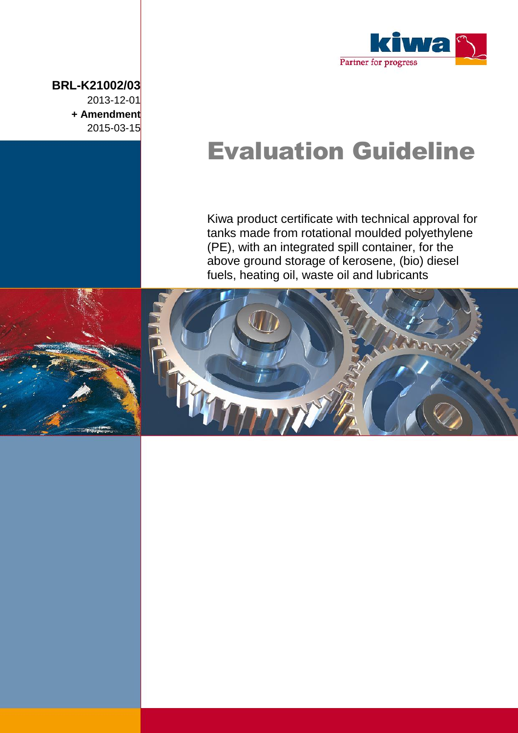

# Evaluation Guideline

Kiwa product certificate with technical approval for tanks made from rotational moulded polyethylene (PE), with an integrated spill container, for the above ground storage of kerosene, (bio) diesel fuels, heating oil, waste oil and lubricants



**BRL-K21002/03**

2013-12-01 **+ Amendment**  2015-03-15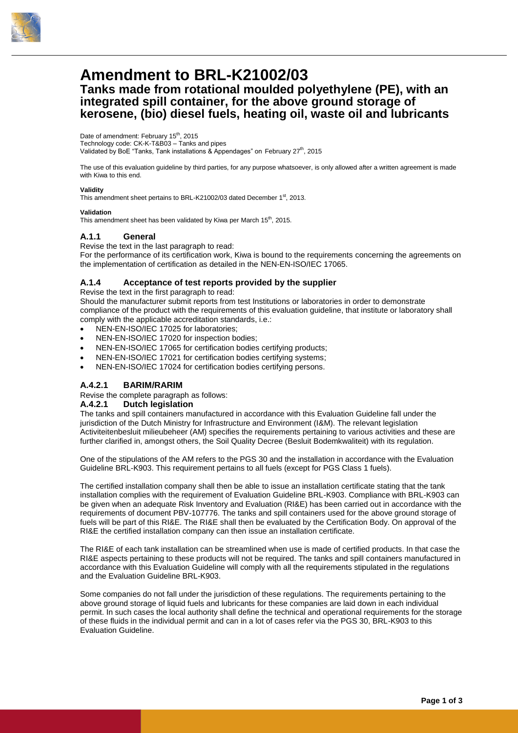

### **Amendment to BRL-K21002/03**

### **Tanks made from rotational moulded polyethylene (PE), with an integrated spill container, for the above ground storage of kerosene, (bio) diesel fuels, heating oil, waste oil and lubricants**

Date of amendment: February 15<sup>th</sup>, 2015

Technology code: CK-K-T&B03 – Tanks and pipes Validated by BoE "Tanks, Tank installations & Appendages" on February  $27<sup>th</sup>$ , 2015

The use of this evaluation guideline by third parties, for any purpose whatsoever, is only allowed after a written agreement is made with Kiwa to this end.

#### **Validity**

This amendment sheet pertains to BRL-K21002/03 dated December 1st, 2013.

#### **Validation**

This amendment sheet has been validated by Kiwa per March 15<sup>th</sup>, 2015.

#### **A.1.1 General**

Revise the text in the last paragraph to read:

For the performance of its certification work, Kiwa is bound to the requirements concerning the agreements on the implementation of certification as detailed in the NEN-EN-ISO/IEC 17065.

#### **A.1.4 Acceptance of test reports provided by the supplier**

Revise the text in the first paragraph to read:

Should the manufacturer submit reports from test Institutions or laboratories in order to demonstrate compliance of the product with the requirements of this evaluation guideline, that institute or laboratory shall comply with the applicable accreditation standards, i.e.:

- NEN-EN-ISO/IEC 17025 for laboratories;
- NEN-EN-ISO/IEC 17020 for inspection bodies;
- NEN-EN-ISO/IEC 17065 for certification bodies certifying products;
- NEN-EN-ISO/IEC 17021 for certification bodies certifying systems;
- NEN-EN-ISO/IEC 17024 for certification bodies certifying persons.

#### **A.4.2.1 BARIM/RARIM**

Revise the complete paragraph as follows:

#### **A.4.2.1 Dutch legislation**

The tanks and spill containers manufactured in accordance with this Evaluation Guideline fall under the jurisdiction of the Dutch Ministry for Infrastructure and Environment (I&M). The relevant legislation Activiteitenbesluit milieubeheer (AM) specifies the requirements pertaining to various activities and these are further clarified in, amongst others, the Soil Quality Decree (Besluit Bodemkwaliteit) with its regulation.

One of the stipulations of the AM refers to the PGS 30 and the installation in accordance with the Evaluation Guideline BRL-K903. This requirement pertains to all fuels (except for PGS Class 1 fuels).

The certified installation company shall then be able to issue an installation certificate stating that the tank installation complies with the requirement of Evaluation Guideline BRL-K903. Compliance with BRL-K903 can be given when an adequate Risk Inventory and Evaluation (RI&E) has been carried out in accordance with the requirements of document PBV-107776. The tanks and spill containers used for the above ground storage of fuels will be part of this RI&E. The RI&E shall then be evaluated by the Certification Body. On approval of the RI&E the certified installation company can then issue an installation certificate.

The RI&E of each tank installation can be streamlined when use is made of certified products. In that case the RI&E aspects pertaining to these products will not be required. The tanks and spill containers manufactured in accordance with this Evaluation Guideline will comply with all the requirements stipulated in the regulations and the Evaluation Guideline BRL-K903.

Some companies do not fall under the jurisdiction of these regulations. The requirements pertaining to the above ground storage of liquid fuels and lubricants for these companies are laid down in each individual permit. In such cases the local authority shall define the technical and operational requirements for the storage of these fluids in the individual permit and can in a lot of cases refer via the PGS 30, BRL-K903 to this Evaluation Guideline.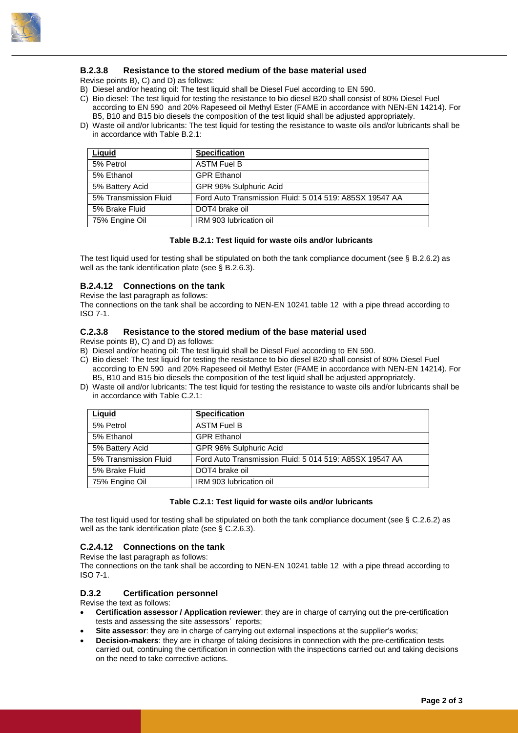

#### **B.2.3.8 Resistance to the stored medium of the base material used**

Revise points B), C) and D) as follows:

B) Diesel and/or heating oil: The test liquid shall be Diesel Fuel according to EN 590.

- C) Bio diesel: The test liquid for testing the resistance to bio diesel B20 shall consist of 80% Diesel Fuel according to EN 590 and 20% Rapeseed oil Methyl Ester (FAME in accordance with NEN-EN 14214). For B5, B10 and B15 bio diesels the composition of the test liquid shall be adjusted appropriately.
- D) Waste oil and/or lubricants: The test liquid for testing the resistance to waste oils and/or lubricants shall be in accordance with Table B.2.1:

| Liquid                | <b>Specification</b>                                    |
|-----------------------|---------------------------------------------------------|
| 5% Petrol             | <b>ASTM Fuel B</b>                                      |
| 5% Ethanol            | <b>GPR Ethanol</b>                                      |
| 5% Battery Acid       | GPR 96% Sulphuric Acid                                  |
| 5% Transmission Fluid | Ford Auto Transmission Fluid: 5 014 519: A85SX 19547 AA |
| 5% Brake Fluid        | DOT4 brake oil                                          |
| 75% Engine Oil        | IRM 903 lubrication oil                                 |

#### **Table B.2.1: Test liquid for waste oils and/or lubricants**

The test liquid used for testing shall be stipulated on both the tank compliance document (see § B.2.6.2) as well as the tank identification plate (see § B.2.6.3).

#### **B.2.4.12 Connections on the tank**

Revise the last paragraph as follows:

The connections on the tank shall be according to NEN-EN 10241 table 12 with a pipe thread according to ISO 7-1.

#### **C.2.3.8 Resistance to the stored medium of the base material used**

Revise points B), C) and D) as follows:

- B) Diesel and/or heating oil: The test liquid shall be Diesel Fuel according to EN 590.
- C) Bio diesel: The test liquid for testing the resistance to bio diesel B20 shall consist of 80% Diesel Fuel according to EN 590 and 20% Rapeseed oil Methyl Ester (FAME in accordance with NEN-EN 14214). For B5, B10 and B15 bio diesels the composition of the test liquid shall be adjusted appropriately.
- D) Waste oil and/or lubricants: The test liquid for testing the resistance to waste oils and/or lubricants shall be in accordance with Table C.2.1:

| Liquid                | <b>Specification</b>                                    |
|-----------------------|---------------------------------------------------------|
| 5% Petrol             | <b>ASTM Fuel B</b>                                      |
| 5% Ethanol            | <b>GPR Ethanol</b>                                      |
| 5% Battery Acid       | GPR 96% Sulphuric Acid                                  |
| 5% Transmission Fluid | Ford Auto Transmission Fluid: 5 014 519: A85SX 19547 AA |
| 5% Brake Fluid        | DOT4 brake oil                                          |
| 75% Engine Oil        | IRM 903 lubrication oil                                 |

#### **Table C.2.1: Test liquid for waste oils and/or lubricants**

The test liquid used for testing shall be stipulated on both the tank compliance document (see § C.2.6.2) as well as the tank identification plate (see § C.2.6.3).

#### **C.2.4.12 Connections on the tank**

Revise the last paragraph as follows:

The connections on the tank shall be according to NEN-EN 10241 table 12 with a pipe thread according to ISO 7-1.

#### **D.3.2 Certification personnel**

Revise the text as follows:

- **Certification assessor / Application reviewer**: they are in charge of carrying out the pre-certification tests and assessing the site assessors' reports;
- **Site assessor**: they are in charge of carrying out external inspections at the supplier's works;
- **Decision-makers**: they are in charge of taking decisions in connection with the pre-certification tests carried out, continuing the certification in connection with the inspections carried out and taking decisions on the need to take corrective actions.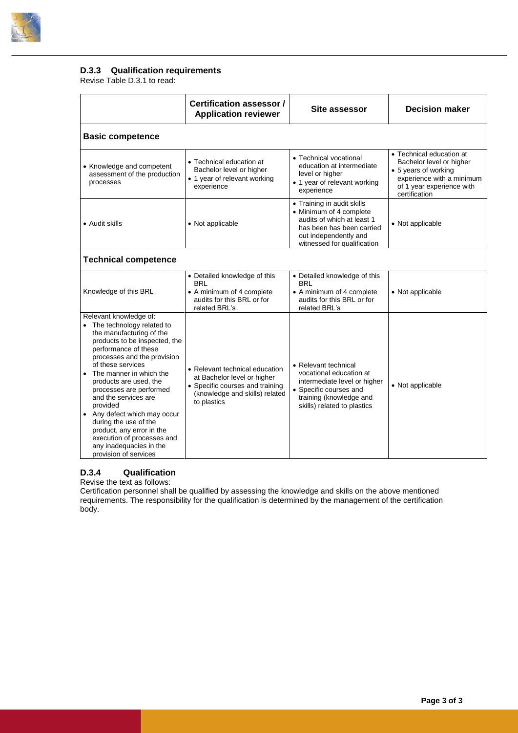

#### **D.3.3 Qualification requirements**

Revise Table D.3.1 to read:

|                                                                                                                                                                                                                                                                                                                                                                                                                                                                                            | Certification assessor /<br><b>Application reviewer</b>                                                                                           | Site assessor                                                                                                                                                            | <b>Decision maker</b>                                                                                                                                   |  |
|--------------------------------------------------------------------------------------------------------------------------------------------------------------------------------------------------------------------------------------------------------------------------------------------------------------------------------------------------------------------------------------------------------------------------------------------------------------------------------------------|---------------------------------------------------------------------------------------------------------------------------------------------------|--------------------------------------------------------------------------------------------------------------------------------------------------------------------------|---------------------------------------------------------------------------------------------------------------------------------------------------------|--|
| <b>Basic competence</b>                                                                                                                                                                                                                                                                                                                                                                                                                                                                    |                                                                                                                                                   |                                                                                                                                                                          |                                                                                                                                                         |  |
| • Knowledge and competent<br>assessment of the production<br>processes                                                                                                                                                                                                                                                                                                                                                                                                                     | • Technical education at<br>Bachelor level or higher<br>• 1 year of relevant working<br>experience                                                | • Technical vocational<br>education at intermediate<br>level or higher<br>• 1 year of relevant working<br>experience                                                     | • Technical education at<br>Bachelor level or higher<br>• 5 years of working<br>experience with a minimum<br>of 1 year experience with<br>certification |  |
| • Audit skills                                                                                                                                                                                                                                                                                                                                                                                                                                                                             | • Not applicable                                                                                                                                  | • Training in audit skills<br>• Minimum of 4 complete<br>audits of which at least 1<br>has been has been carried<br>out independently and<br>witnessed for qualification | • Not applicable                                                                                                                                        |  |
| <b>Technical competence</b>                                                                                                                                                                                                                                                                                                                                                                                                                                                                |                                                                                                                                                   |                                                                                                                                                                          |                                                                                                                                                         |  |
| Knowledge of this BRL                                                                                                                                                                                                                                                                                                                                                                                                                                                                      | • Detailed knowledge of this<br>BRI<br>• A minimum of 4 complete<br>audits for this BRL or for<br>related BRL's                                   | • Detailed knowledge of this<br><b>BRL</b><br>• A minimum of 4 complete<br>audits for this BRL or for<br>related BRL's                                                   | • Not applicable                                                                                                                                        |  |
| Relevant knowledge of:<br>• The technology related to<br>the manufacturing of the<br>products to be inspected, the<br>performance of these<br>processes and the provision<br>of these services<br>The manner in which the<br>products are used, the<br>processes are performed<br>and the services are<br>provided<br>• Any defect which may occur<br>during the use of the<br>product, any error in the<br>execution of processes and<br>any inadequacies in the<br>provision of services | • Relevant technical education<br>at Bachelor level or higher<br>• Specific courses and training<br>(knowledge and skills) related<br>to plastics | • Relevant technical<br>vocational education at<br>intermediate level or higher<br>• Specific courses and<br>training (knowledge and<br>skills) related to plastics      | • Not applicable                                                                                                                                        |  |

#### **D.3.4 Qualification**

Revise the text as follows:

Certification personnel shall be qualified by assessing the knowledge and skills on the above mentioned requirements. The responsibility for the qualification is determined by the management of the certification body.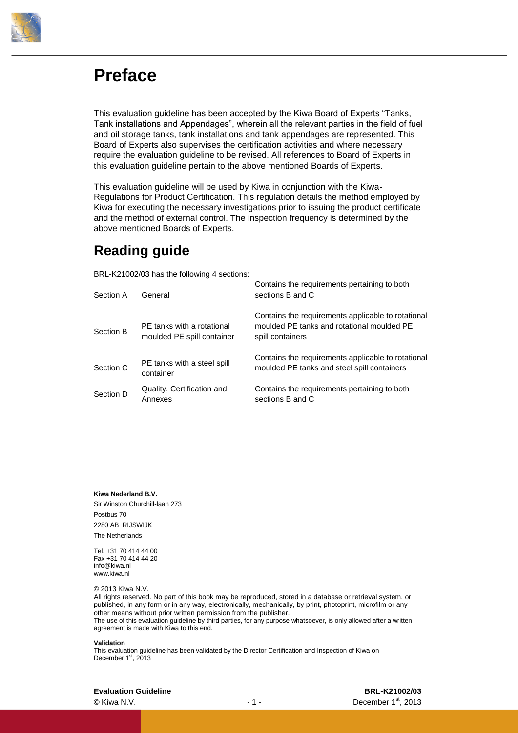

### **Preface**

This evaluation guideline has been accepted by the Kiwa Board of Experts "Tanks, Tank installations and Appendages", wherein all the relevant parties in the field of fuel and oil storage tanks, tank installations and tank appendages are represented. This Board of Experts also supervises the certification activities and where necessary require the evaluation guideline to be revised. All references to Board of Experts in this evaluation guideline pertain to the above mentioned Boards of Experts.

This evaluation guideline will be used by Kiwa in conjunction with the Kiwa-Regulations for Product Certification. This regulation details the method employed by Kiwa for executing the necessary investigations prior to issuing the product certificate and the method of external control. The inspection frequency is determined by the above mentioned Boards of Experts.

### **Reading guide**

BRL-K21002/03 has the following 4 sections:

| Section A | General                                                  | Contains the requirements pertaining to both<br>sections B and C                                                     |
|-----------|----------------------------------------------------------|----------------------------------------------------------------------------------------------------------------------|
| Section B | PE tanks with a rotational<br>moulded PE spill container | Contains the requirements applicable to rotational<br>moulded PE tanks and rotational moulded PE<br>spill containers |
| Section C | PE tanks with a steel spill<br>container                 | Contains the requirements applicable to rotational<br>moulded PE tanks and steel spill containers                    |
| Section D | Quality, Certification and<br>Annexes                    | Contains the requirements pertaining to both<br>sections B and C                                                     |

**Kiwa Nederland B.V.**

Sir Winston Churchill-laan 273 Postbus 70 2280 AB RIJSWIJK The Netherlands

Tel. +31 70 414 44 00 Fax +31 70 414 44 20 info@kiwa.nl www.kiwa.nl

© 2013 Kiwa N.V.

All rights reserved. No part of this book may be reproduced, stored in a database or retrieval system, or published, in any form or in any way, electronically, mechanically, by print, photoprint, microfilm or any other means without prior written permission from the publisher. The use of this evaluation guideline by third parties, for any purpose whatsoever, is only allowed after a written agreement is made with Kiwa to this end.

#### **Validation**

This evaluation guideline has been validated by the Director Certification and Inspection of Kiwa on December 1<sup>st</sup>, 2013

| <b>Evaluation Guideline</b> |     | BRL-K21002/03                   |
|-----------------------------|-----|---------------------------------|
| © Kiwa N.V.                 | -1- | December 1 <sup>st</sup> , 2013 |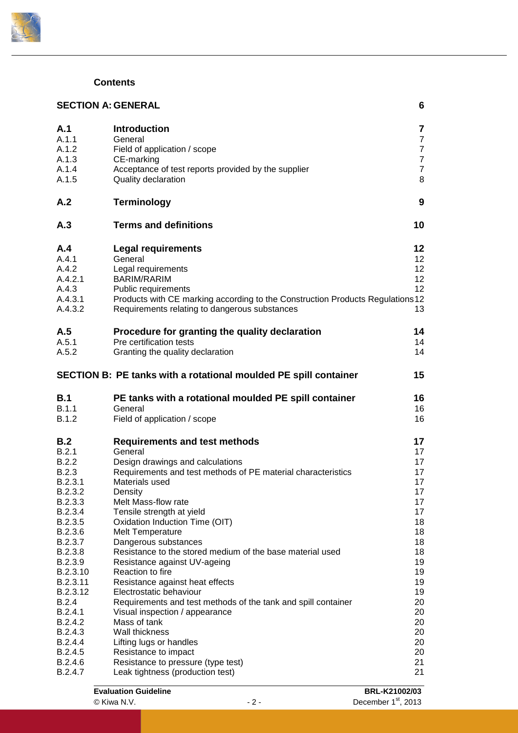

### **Contents**

| <b>SECTION A: GENERAL</b><br>6                                                                                                                                                                                                                              |                                                                                                                                                                                                                                                                                                                                                                                                                                                                                                                                                                                                                                                                                                                                                                            |                                                                                                                                              |
|-------------------------------------------------------------------------------------------------------------------------------------------------------------------------------------------------------------------------------------------------------------|----------------------------------------------------------------------------------------------------------------------------------------------------------------------------------------------------------------------------------------------------------------------------------------------------------------------------------------------------------------------------------------------------------------------------------------------------------------------------------------------------------------------------------------------------------------------------------------------------------------------------------------------------------------------------------------------------------------------------------------------------------------------------|----------------------------------------------------------------------------------------------------------------------------------------------|
| A.1<br>A.1.1<br>A.1.2<br>A.1.3<br>A.1.4<br>A.1.5                                                                                                                                                                                                            | <b>Introduction</b><br>General<br>Field of application / scope<br>CE-marking<br>Acceptance of test reports provided by the supplier<br>Quality declaration                                                                                                                                                                                                                                                                                                                                                                                                                                                                                                                                                                                                                 | $\overline{\mathbf{7}}$<br>$\overline{7}$<br>$\overline{7}$<br>$\overline{7}$<br>$\overline{7}$<br>8                                         |
| A.2                                                                                                                                                                                                                                                         | <b>Terminology</b>                                                                                                                                                                                                                                                                                                                                                                                                                                                                                                                                                                                                                                                                                                                                                         | 9                                                                                                                                            |
| A.3                                                                                                                                                                                                                                                         | <b>Terms and definitions</b>                                                                                                                                                                                                                                                                                                                                                                                                                                                                                                                                                                                                                                                                                                                                               | 10                                                                                                                                           |
| A.4<br>A.4.1<br>A.4.2<br>A.4.2.1<br>A.4.3<br>A.4.3.1<br>A.4.3.2                                                                                                                                                                                             | <b>Legal requirements</b><br>General<br>Legal requirements<br><b>BARIM/RARIM</b><br>Public requirements<br>Products with CE marking according to the Construction Products Regulations 12<br>Requirements relating to dangerous substances                                                                                                                                                                                                                                                                                                                                                                                                                                                                                                                                 | 12<br>12 <sup>°</sup><br>12<br>12<br>12<br>13                                                                                                |
| A.5<br>A.5.1<br>A.5.2                                                                                                                                                                                                                                       | Procedure for granting the quality declaration<br>Pre certification tests<br>Granting the quality declaration                                                                                                                                                                                                                                                                                                                                                                                                                                                                                                                                                                                                                                                              | 14<br>14<br>14                                                                                                                               |
|                                                                                                                                                                                                                                                             | SECTION B: PE tanks with a rotational moulded PE spill container                                                                                                                                                                                                                                                                                                                                                                                                                                                                                                                                                                                                                                                                                                           | 15                                                                                                                                           |
| <b>B.1</b><br>B.1.1<br><b>B.1.2</b>                                                                                                                                                                                                                         | PE tanks with a rotational moulded PE spill container<br>General<br>Field of application / scope                                                                                                                                                                                                                                                                                                                                                                                                                                                                                                                                                                                                                                                                           | 16<br>16<br>16                                                                                                                               |
| B.2<br>B.2.1<br>B.2.2<br>B.2.3<br>B.2.3.1<br>B.2.3.2<br>B.2.3.3<br>B.2.3.4<br>B.2.3.5<br>B.2.3.6<br>B.2.3.7<br>B.2.3.8<br>B.2.3.9<br>B.2.3.10<br>B.2.3.11<br>B.2.3.12<br>B.2.4<br>B.2.4.1<br>B.2.4.2<br>B.2.4.3<br>B.2.4.4<br>B.2.4.5<br>B.2.4.6<br>B.2.4.7 | <b>Requirements and test methods</b><br>General<br>Design drawings and calculations<br>Requirements and test methods of PE material characteristics<br>Materials used<br>Density<br>Melt Mass-flow rate<br>Tensile strength at yield<br>Oxidation Induction Time (OIT)<br><b>Melt Temperature</b><br>Dangerous substances<br>Resistance to the stored medium of the base material used<br>Resistance against UV-ageing<br>Reaction to fire<br>Resistance against heat effects<br>Electrostatic behaviour<br>Requirements and test methods of the tank and spill container<br>Visual inspection / appearance<br>Mass of tank<br>Wall thickness<br>Lifting lugs or handles<br>Resistance to impact<br>Resistance to pressure (type test)<br>Leak tightness (production test) | 17<br>17<br>17<br>17<br>17<br>17<br>17<br>17<br>18<br>18<br>18<br>18<br>19<br>19<br>19<br>19<br>20<br>20<br>20<br>20<br>20<br>20<br>21<br>21 |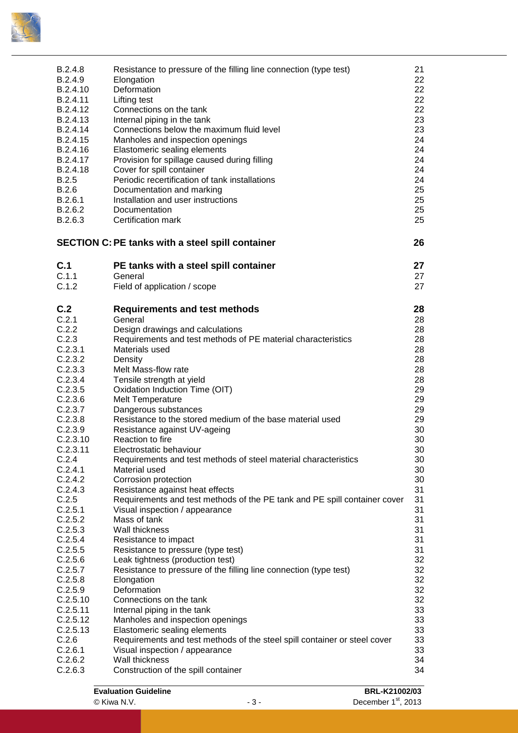

| B.2.4.8<br>B.2.4.9<br>B.2.4.10<br>B.2.4.11<br>B.2.4.12<br>B.2.4.13<br>B.2.4.14<br>B.2.4.15<br>B.2.4.16<br>B.2.4.17<br>B.2.4.18<br>B.2.5<br>B.2.6<br>B.2.6.1 | Resistance to pressure of the filling line connection (type test)<br>Elongation<br>Deformation<br>Lifting test<br>Connections on the tank<br>Internal piping in the tank<br>Connections below the maximum fluid level<br>Manholes and inspection openings<br>Elastomeric sealing elements<br>Provision for spillage caused during filling<br>Cover for spill container<br>Periodic recertification of tank installations<br>Documentation and marking<br>Installation and user instructions | 21<br>22<br>22<br>22<br>22<br>23<br>23<br>24<br>24<br>24<br>24<br>24<br>25<br>25 |
|-------------------------------------------------------------------------------------------------------------------------------------------------------------|---------------------------------------------------------------------------------------------------------------------------------------------------------------------------------------------------------------------------------------------------------------------------------------------------------------------------------------------------------------------------------------------------------------------------------------------------------------------------------------------|----------------------------------------------------------------------------------|
| B.2.6.2<br>B.2.6.3                                                                                                                                          | Documentation<br>Certification mark                                                                                                                                                                                                                                                                                                                                                                                                                                                         | 25<br>25                                                                         |
|                                                                                                                                                             | <b>SECTION C: PE tanks with a steel spill container</b>                                                                                                                                                                                                                                                                                                                                                                                                                                     | 26                                                                               |
| C.1                                                                                                                                                         | PE tanks with a steel spill container                                                                                                                                                                                                                                                                                                                                                                                                                                                       | 27                                                                               |
| C.1.1<br>C.1.2                                                                                                                                              | General<br>Field of application / scope                                                                                                                                                                                                                                                                                                                                                                                                                                                     | 27<br>27                                                                         |
| C.2                                                                                                                                                         | <b>Requirements and test methods</b>                                                                                                                                                                                                                                                                                                                                                                                                                                                        | 28                                                                               |
| C.2.1                                                                                                                                                       | General                                                                                                                                                                                                                                                                                                                                                                                                                                                                                     | 28                                                                               |
| C.2.2                                                                                                                                                       | Design drawings and calculations                                                                                                                                                                                                                                                                                                                                                                                                                                                            | 28                                                                               |
| C.2.3                                                                                                                                                       | Requirements and test methods of PE material characteristics                                                                                                                                                                                                                                                                                                                                                                                                                                | 28                                                                               |
| C.2.3.1                                                                                                                                                     | Materials used                                                                                                                                                                                                                                                                                                                                                                                                                                                                              | 28                                                                               |
| C.2.3.2                                                                                                                                                     | Density                                                                                                                                                                                                                                                                                                                                                                                                                                                                                     | 28                                                                               |
| C.2.3.3                                                                                                                                                     | Melt Mass-flow rate                                                                                                                                                                                                                                                                                                                                                                                                                                                                         | 28                                                                               |
| C.2.3.4                                                                                                                                                     | Tensile strength at yield                                                                                                                                                                                                                                                                                                                                                                                                                                                                   | 28                                                                               |
| C.2.3.5                                                                                                                                                     | Oxidation Induction Time (OIT)                                                                                                                                                                                                                                                                                                                                                                                                                                                              | 29                                                                               |
| C.2.3.6                                                                                                                                                     | <b>Melt Temperature</b>                                                                                                                                                                                                                                                                                                                                                                                                                                                                     | 29                                                                               |
| C.2.3.7                                                                                                                                                     | Dangerous substances                                                                                                                                                                                                                                                                                                                                                                                                                                                                        | 29                                                                               |
| C.2.3.8                                                                                                                                                     | Resistance to the stored medium of the base material used                                                                                                                                                                                                                                                                                                                                                                                                                                   | 29                                                                               |
| C.2.3.9                                                                                                                                                     | Resistance against UV-ageing                                                                                                                                                                                                                                                                                                                                                                                                                                                                | 30                                                                               |
| C.2.3.10                                                                                                                                                    | Reaction to fire                                                                                                                                                                                                                                                                                                                                                                                                                                                                            | 30                                                                               |
| C.2.3.11                                                                                                                                                    | Electrostatic behaviour                                                                                                                                                                                                                                                                                                                                                                                                                                                                     | 30                                                                               |
| C.2.4                                                                                                                                                       | Requirements and test methods of steel material characteristics                                                                                                                                                                                                                                                                                                                                                                                                                             | 30                                                                               |
| C.2.4.1                                                                                                                                                     | Material used                                                                                                                                                                                                                                                                                                                                                                                                                                                                               | 30                                                                               |
| C.2.4.2                                                                                                                                                     | Corrosion protection                                                                                                                                                                                                                                                                                                                                                                                                                                                                        | 30                                                                               |
| C.2.4.3                                                                                                                                                     | Resistance against heat effects                                                                                                                                                                                                                                                                                                                                                                                                                                                             | 31                                                                               |
|                                                                                                                                                             |                                                                                                                                                                                                                                                                                                                                                                                                                                                                                             | 31                                                                               |
| C.2.5                                                                                                                                                       | Requirements and test methods of the PE tank and PE spill container cover                                                                                                                                                                                                                                                                                                                                                                                                                   |                                                                                  |
| C.2.5.1                                                                                                                                                     | Visual inspection / appearance                                                                                                                                                                                                                                                                                                                                                                                                                                                              | 31                                                                               |
| C.2.5.2                                                                                                                                                     | Mass of tank                                                                                                                                                                                                                                                                                                                                                                                                                                                                                | 31                                                                               |
| C.2.5.3                                                                                                                                                     | Wall thickness                                                                                                                                                                                                                                                                                                                                                                                                                                                                              | 31                                                                               |
| C.2.5.4                                                                                                                                                     | Resistance to impact                                                                                                                                                                                                                                                                                                                                                                                                                                                                        | 31                                                                               |
| C.2.5.5                                                                                                                                                     | Resistance to pressure (type test)                                                                                                                                                                                                                                                                                                                                                                                                                                                          | 31                                                                               |
| C.2.5.6                                                                                                                                                     | Leak tightness (production test)                                                                                                                                                                                                                                                                                                                                                                                                                                                            | 32                                                                               |
| C.2.5.7                                                                                                                                                     | Resistance to pressure of the filling line connection (type test)                                                                                                                                                                                                                                                                                                                                                                                                                           | 32                                                                               |
| C.2.5.8                                                                                                                                                     | Elongation                                                                                                                                                                                                                                                                                                                                                                                                                                                                                  | 32                                                                               |
| C.2.5.9                                                                                                                                                     | Deformation                                                                                                                                                                                                                                                                                                                                                                                                                                                                                 | 32                                                                               |
| C.2.5.10                                                                                                                                                    | Connections on the tank                                                                                                                                                                                                                                                                                                                                                                                                                                                                     | 32                                                                               |
| C.2.5.11                                                                                                                                                    | Internal piping in the tank                                                                                                                                                                                                                                                                                                                                                                                                                                                                 | 33                                                                               |
| C.2.5.12                                                                                                                                                    | Manholes and inspection openings                                                                                                                                                                                                                                                                                                                                                                                                                                                            | 33                                                                               |
| C.2.5.13                                                                                                                                                    | Elastomeric sealing elements                                                                                                                                                                                                                                                                                                                                                                                                                                                                | 33                                                                               |
| C.2.6                                                                                                                                                       | Requirements and test methods of the steel spill container or steel cover                                                                                                                                                                                                                                                                                                                                                                                                                   | 33                                                                               |
| C.2.6.1                                                                                                                                                     | Visual inspection / appearance                                                                                                                                                                                                                                                                                                                                                                                                                                                              | 33                                                                               |
| C.2.6.2                                                                                                                                                     | Wall thickness                                                                                                                                                                                                                                                                                                                                                                                                                                                                              | 34                                                                               |
| C.2.6.3                                                                                                                                                     | Construction of the spill container                                                                                                                                                                                                                                                                                                                                                                                                                                                         | 34                                                                               |
|                                                                                                                                                             |                                                                                                                                                                                                                                                                                                                                                                                                                                                                                             |                                                                                  |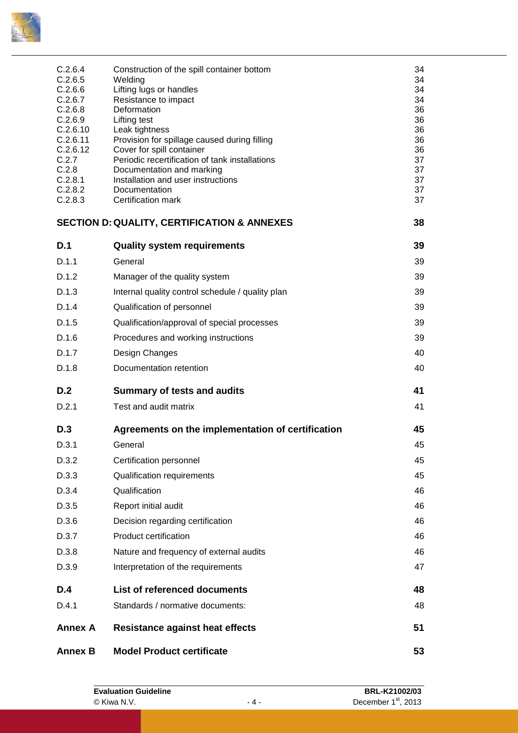

| <b>Annex B</b>                                                                                                                                        | <b>Model Product certificate</b>                                                                                                                                                                                                                                                                                                                                                                          | 53                                                                               |
|-------------------------------------------------------------------------------------------------------------------------------------------------------|-----------------------------------------------------------------------------------------------------------------------------------------------------------------------------------------------------------------------------------------------------------------------------------------------------------------------------------------------------------------------------------------------------------|----------------------------------------------------------------------------------|
| <b>Annex A</b>                                                                                                                                        | <b>Resistance against heat effects</b>                                                                                                                                                                                                                                                                                                                                                                    | 51                                                                               |
| D.4.1                                                                                                                                                 | Standards / normative documents:                                                                                                                                                                                                                                                                                                                                                                          | 48                                                                               |
| D.4                                                                                                                                                   | List of referenced documents                                                                                                                                                                                                                                                                                                                                                                              | 48                                                                               |
| D.3.9                                                                                                                                                 | Interpretation of the requirements                                                                                                                                                                                                                                                                                                                                                                        | 47                                                                               |
| D.3.8                                                                                                                                                 | Nature and frequency of external audits                                                                                                                                                                                                                                                                                                                                                                   | 46                                                                               |
| D.3.7                                                                                                                                                 | <b>Product certification</b>                                                                                                                                                                                                                                                                                                                                                                              | 46                                                                               |
| D.3.6                                                                                                                                                 | Decision regarding certification                                                                                                                                                                                                                                                                                                                                                                          | 46                                                                               |
| D.3.5                                                                                                                                                 | Report initial audit                                                                                                                                                                                                                                                                                                                                                                                      | 46                                                                               |
| D.3.4                                                                                                                                                 | Qualification                                                                                                                                                                                                                                                                                                                                                                                             | 46                                                                               |
| D.3.3                                                                                                                                                 | Qualification requirements                                                                                                                                                                                                                                                                                                                                                                                | 45                                                                               |
| D.3.2                                                                                                                                                 | Certification personnel                                                                                                                                                                                                                                                                                                                                                                                   | 45                                                                               |
| D.3.1                                                                                                                                                 | General                                                                                                                                                                                                                                                                                                                                                                                                   | 45                                                                               |
| D.3                                                                                                                                                   | Agreements on the implementation of certification                                                                                                                                                                                                                                                                                                                                                         | 45                                                                               |
| D.2.1                                                                                                                                                 | Test and audit matrix                                                                                                                                                                                                                                                                                                                                                                                     | 41                                                                               |
| D.2                                                                                                                                                   | <b>Summary of tests and audits</b>                                                                                                                                                                                                                                                                                                                                                                        | 41                                                                               |
| D.1.8                                                                                                                                                 | Documentation retention                                                                                                                                                                                                                                                                                                                                                                                   | 40                                                                               |
| D.1.7                                                                                                                                                 | Design Changes                                                                                                                                                                                                                                                                                                                                                                                            | 40                                                                               |
| D.1.6                                                                                                                                                 | Procedures and working instructions                                                                                                                                                                                                                                                                                                                                                                       | 39                                                                               |
| D.1.5                                                                                                                                                 | Qualification/approval of special processes                                                                                                                                                                                                                                                                                                                                                               | 39                                                                               |
| D.1.4                                                                                                                                                 | Qualification of personnel                                                                                                                                                                                                                                                                                                                                                                                | 39                                                                               |
| D.1.3                                                                                                                                                 | Internal quality control schedule / quality plan                                                                                                                                                                                                                                                                                                                                                          | 39                                                                               |
| D.1.2                                                                                                                                                 | Manager of the quality system                                                                                                                                                                                                                                                                                                                                                                             | 39                                                                               |
| D.1.1                                                                                                                                                 | General                                                                                                                                                                                                                                                                                                                                                                                                   | 39                                                                               |
| D.1                                                                                                                                                   | <b>Quality system requirements</b>                                                                                                                                                                                                                                                                                                                                                                        | 39                                                                               |
|                                                                                                                                                       | <b>SECTION D: QUALITY, CERTIFICATION &amp; ANNEXES</b>                                                                                                                                                                                                                                                                                                                                                    | 38                                                                               |
| C.2.6.4<br>C.2.6.5<br>C.2.6.6<br>C.2.6.7<br>C.2.6.8<br>C.2.6.9<br>C.2.6.10<br>C.2.6.11<br>C.2.6.12<br>C.2.7<br>C.2.8<br>C.2.8.1<br>C.2.8.2<br>C.2.8.3 | Construction of the spill container bottom<br>Welding<br>Lifting lugs or handles<br>Resistance to impact<br>Deformation<br><b>Lifting test</b><br>Leak tightness<br>Provision for spillage caused during filling<br>Cover for spill container<br>Periodic recertification of tank installations<br>Documentation and marking<br>Installation and user instructions<br>Documentation<br>Certification mark | 34<br>34<br>34<br>34<br>36<br>36<br>36<br>36<br>36<br>37<br>37<br>37<br>37<br>37 |
|                                                                                                                                                       |                                                                                                                                                                                                                                                                                                                                                                                                           |                                                                                  |

| <b>Evaluation Guideline</b> |       | BRL-K21002/03                   |
|-----------------------------|-------|---------------------------------|
| © Kiwa N.V.                 | - 4 - | December 1 <sup>st</sup> , 2013 |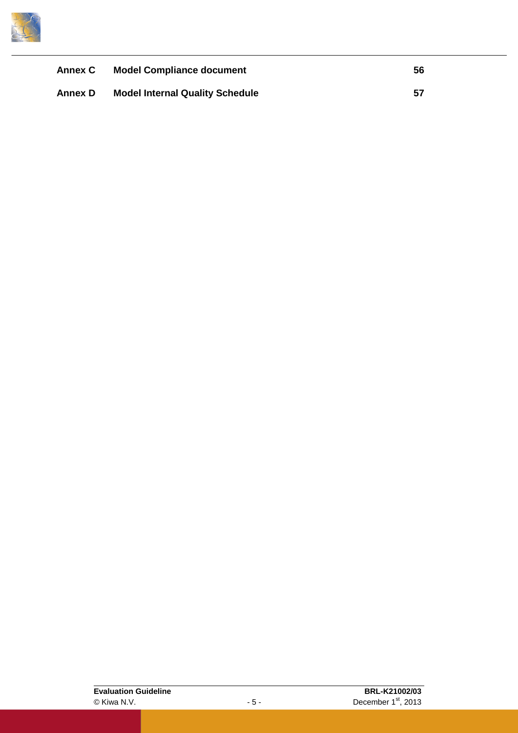

| <b>Annex C</b> | <b>Model Compliance document</b>       | 56 |
|----------------|----------------------------------------|----|
| Annex D        | <b>Model Internal Quality Schedule</b> | 57 |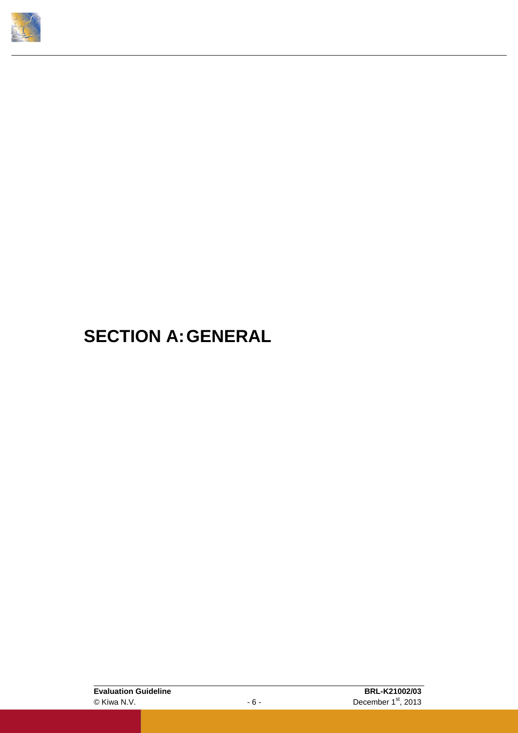<span id="page-9-0"></span>

## **SECTION A:GENERAL**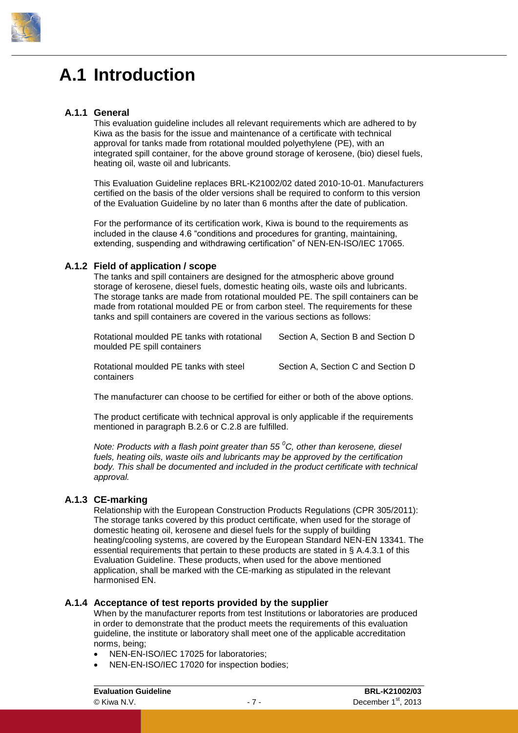

### <span id="page-10-0"></span>**A.1 Introduction**

#### **A.1.1 General**

<span id="page-10-1"></span>This evaluation guideline includes all relevant requirements which are adhered to by Kiwa as the basis for the issue and maintenance of a certificate with technical approval for tanks made from rotational moulded polyethylene (PE), with an integrated spill container, for the above ground storage of kerosene, (bio) diesel fuels, heating oil, waste oil and lubricants.

This Evaluation Guideline replaces BRL-K21002/02 dated 2010-10-01. Manufacturers certified on the basis of the older versions shall be required to conform to this version of the Evaluation Guideline by no later than 6 months after the date of publication.

For the performance of its certification work, Kiwa is bound to the requirements as included in the clause 4.6 "conditions and procedures for granting, maintaining, extending, suspending and withdrawing certification" of NEN-EN-ISO/IEC 17065.

#### **A.1.2 Field of application / scope**

<span id="page-10-2"></span>The tanks and spill containers are designed for the atmospheric above ground storage of kerosene, diesel fuels, domestic heating oils, waste oils and lubricants. The storage tanks are made from rotational moulded PE. The spill containers can be made from rotational moulded PE or from carbon steel. The requirements for these tanks and spill containers are covered in the various sections as follows:

Rotational moulded PE tanks with rotational Section A, Section B and Section D moulded PE spill containers

Rotational moulded PE tanks with steel Section A, Section C and Section D containers

The manufacturer can choose to be certified for either or both of the above options.

The product certificate with technical approval is only applicable if the requirements mentioned in paragraph [B.2.6](#page-28-0) or [C.2.8](#page-40-1) are fulfilled.

*Note: Products with a flash point greater than 55 <sup>0</sup>C, other than kerosene, diesel fuels, heating oils, waste oils and lubricants may be approved by the certification body. This shall be documented and included in the product certificate with technical approval.*

#### **A.1.3 CE-marking**

<span id="page-10-3"></span>Relationship with the European Construction Products Regulations (CPR 305/2011): The storage tanks covered by this product certificate, when used for the storage of domestic heating oil, kerosene and diesel fuels for the supply of building heating/cooling systems, are covered by the European Standard NEN-EN 13341. The essential requirements that pertain to these products are stated in § [A.4.3.1](#page-15-6) of this Evaluation Guideline. These products, when used for the above mentioned application, shall be marked with the CE-marking as stipulated in the relevant harmonised EN.

#### **A.1.4 Acceptance of test reports provided by the supplier**

<span id="page-10-4"></span>When by the manufacturer reports from test Institutions or laboratories are produced in order to demonstrate that the product meets the requirements of this evaluation guideline, the institute or laboratory shall meet one of the applicable accreditation norms, being;

- NEN-EN-ISO/IEC 17025 for laboratories;
- NEN-EN-ISO/IEC 17020 for inspection bodies;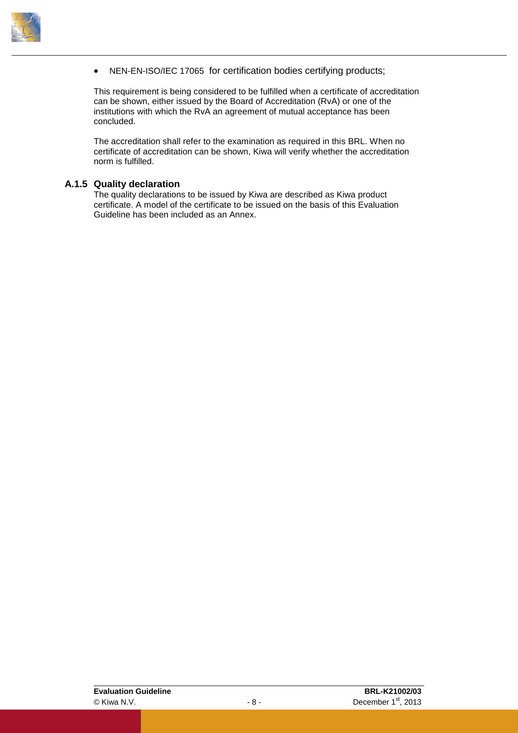

• NEN-EN-ISO/IEC 17065 for certification bodies certifying products;

This requirement is being considered to be fulfilled when a certificate of accreditation can be shown, either issued by the Board of Accreditation (RvA) or one of the institutions with which the RvA an agreement of mutual acceptance has been concluded.

The accreditation shall refer to the examination as required in this BRL. When no certificate of accreditation can be shown, Kiwa will verify whether the accreditation norm is fulfilled.

#### **A.1.5 Quality declaration**

<span id="page-11-0"></span>The quality declarations to be issued by Kiwa are described as Kiwa product certificate. A model of the certificate to be issued on the basis of this Evaluation Guideline has been included as an Annex.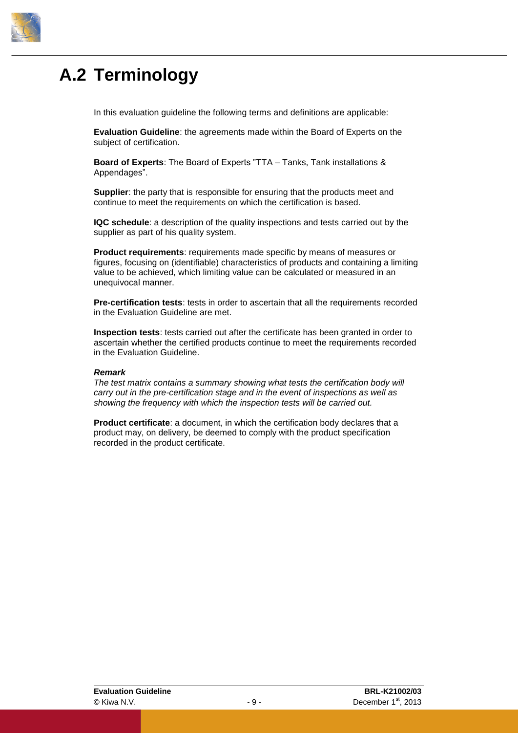

### <span id="page-12-0"></span>**A.2 Terminology**

In this evaluation guideline the following terms and definitions are applicable:

**Evaluation Guideline**: the agreements made within the Board of Experts on the subject of certification.

**Board of Experts**: The Board of Experts "TTA – Tanks, Tank installations & Appendages".

**Supplier**: the party that is responsible for ensuring that the products meet and continue to meet the requirements on which the certification is based.

**IQC schedule**: a description of the quality inspections and tests carried out by the supplier as part of his quality system.

**Product requirements**: requirements made specific by means of measures or figures, focusing on (identifiable) characteristics of products and containing a limiting value to be achieved, which limiting value can be calculated or measured in an unequivocal manner.

**Pre-certification tests**: tests in order to ascertain that all the requirements recorded in the Evaluation Guideline are met.

**Inspection tests**: tests carried out after the certificate has been granted in order to ascertain whether the certified products continue to meet the requirements recorded in the Evaluation Guideline.

#### *Remark*

*The test matrix contains a summary showing what tests the certification body will carry out in the pre-certification stage and in the event of inspections as well as showing the frequency with which the inspection tests will be carried out.*

**Product certificate**: a document, in which the certification body declares that a product may, on delivery, be deemed to comply with the product specification recorded in the product certificate.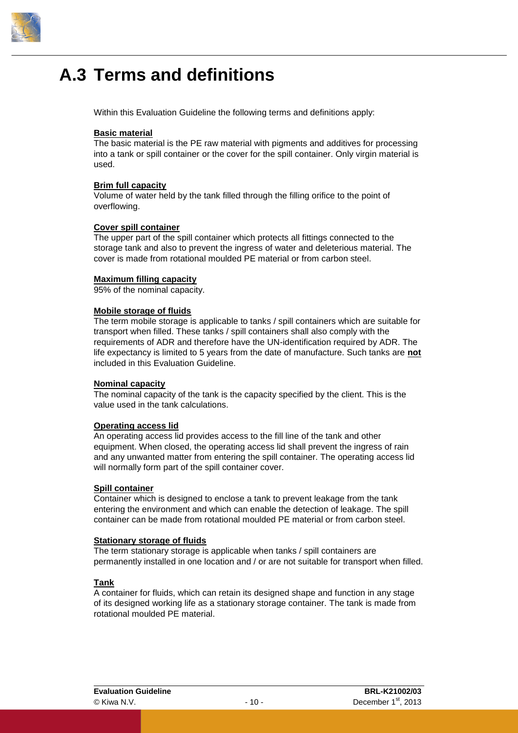

### <span id="page-13-0"></span>**A.3 Terms and definitions**

Within this Evaluation Guideline the following terms and definitions apply:

#### **Basic material**

The basic material is the PE raw material with pigments and additives for processing into a tank or spill container or the cover for the spill container. Only virgin material is used.

#### **Brim full capacity**

Volume of water held by the tank filled through the filling orifice to the point of overflowing.

#### **Cover spill container**

The upper part of the spill container which protects all fittings connected to the storage tank and also to prevent the ingress of water and deleterious material. The cover is made from rotational moulded PE material or from carbon steel.

#### **Maximum filling capacity**

95% of the nominal capacity.

#### **Mobile storage of fluids**

The term mobile storage is applicable to tanks / spill containers which are suitable for transport when filled. These tanks / spill containers shall also comply with the requirements of ADR and therefore have the UN-identification required by ADR. The life expectancy is limited to 5 years from the date of manufacture. Such tanks are **not** included in this Evaluation Guideline.

#### **Nominal capacity**

The nominal capacity of the tank is the capacity specified by the client. This is the value used in the tank calculations.

#### **Operating access lid**

An operating access lid provides access to the fill line of the tank and other equipment. When closed, the operating access lid shall prevent the ingress of rain and any unwanted matter from entering the spill container. The operating access lid will normally form part of the spill container cover.

#### **Spill container**

Container which is designed to enclose a tank to prevent leakage from the tank entering the environment and which can enable the detection of leakage. The spill container can be made from rotational moulded PE material or from carbon steel.

#### **Stationary storage of fluids**

The term stationary storage is applicable when tanks / spill containers are permanently installed in one location and / or are not suitable for transport when filled.

#### **Tank**

A container for fluids, which can retain its designed shape and function in any stage of its designed working life as a stationary storage container. The tank is made from rotational moulded PE material.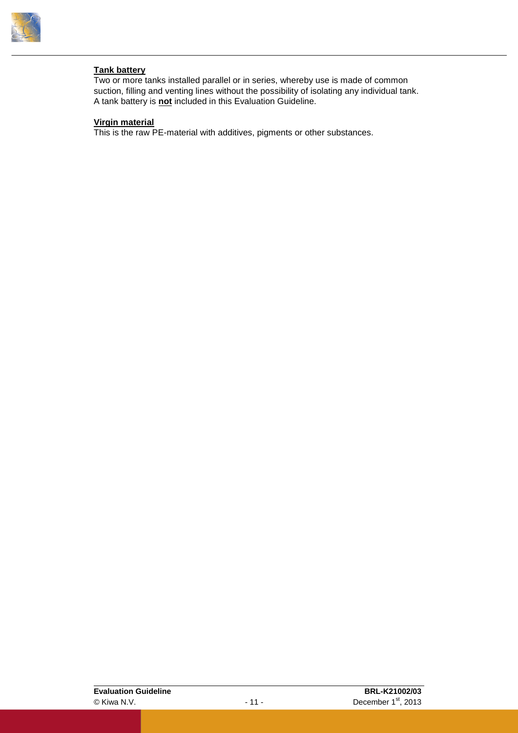

#### **Tank battery**

Two or more tanks installed parallel or in series, whereby use is made of common suction, filling and venting lines without the possibility of isolating any individual tank. A tank battery is **not** included in this Evaluation Guideline.

#### **Virgin material**

This is the raw PE-material with additives, pigments or other substances.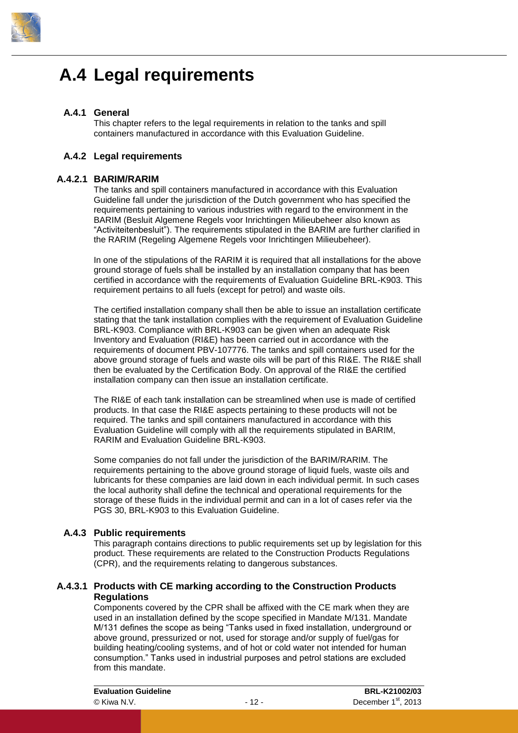

### <span id="page-15-0"></span>**A.4 Legal requirements**

#### **A.4.1 General**

<span id="page-15-2"></span><span id="page-15-1"></span>This chapter refers to the legal requirements in relation to the tanks and spill containers manufactured in accordance with this Evaluation Guideline.

#### **A.4.2 Legal requirements**

#### **A.4.2.1 BARIM/RARIM**

<span id="page-15-3"></span>The tanks and spill containers manufactured in accordance with this Evaluation Guideline fall under the jurisdiction of the Dutch government who has specified the requirements pertaining to various industries with regard to the environment in the BARIM (Besluit Algemene Regels voor Inrichtingen Milieubeheer also known as "Activiteitenbesluit"). The requirements stipulated in the BARIM are further clarified in the RARIM (Regeling Algemene Regels voor Inrichtingen Milieubeheer).

In one of the stipulations of the RARIM it is required that all installations for the above ground storage of fuels shall be installed by an installation company that has been certified in accordance with the requirements of Evaluation Guideline BRL-K903. This requirement pertains to all fuels (except for petrol) and waste oils.

The certified installation company shall then be able to issue an installation certificate stating that the tank installation complies with the requirement of Evaluation Guideline BRL-K903. Compliance with BRL-K903 can be given when an adequate Risk Inventory and Evaluation (RI&E) has been carried out in accordance with the requirements of document PBV-107776. The tanks and spill containers used for the above ground storage of fuels and waste oils will be part of this RI&E. The RI&E shall then be evaluated by the Certification Body. On approval of the RI&E the certified installation company can then issue an installation certificate.

The RI&E of each tank installation can be streamlined when use is made of certified products. In that case the RI&E aspects pertaining to these products will not be required. The tanks and spill containers manufactured in accordance with this Evaluation Guideline will comply with all the requirements stipulated in BARIM, RARIM and Evaluation Guideline BRL-K903.

Some companies do not fall under the jurisdiction of the BARIM/RARIM. The requirements pertaining to the above ground storage of liquid fuels, waste oils and lubricants for these companies are laid down in each individual permit. In such cases the local authority shall define the technical and operational requirements for the storage of these fluids in the individual permit and can in a lot of cases refer via the PGS 30, BRL-K903 to this Evaluation Guideline.

#### **A.4.3 Public requirements**

<span id="page-15-6"></span><span id="page-15-5"></span><span id="page-15-4"></span>This paragraph contains directions to public requirements set up by legislation for this product. These requirements are related to the Construction Products Regulations (CPR), and the requirements relating to dangerous substances.

#### **A.4.3.1 Products with CE marking according to the Construction Products Regulations**

Components covered by the CPR shall be affixed with the CE mark when they are used in an installation defined by the scope specified in Mandate M/131. Mandate M/131 defines the scope as being "Tanks used in fixed installation, underground or above ground, pressurized or not, used for storage and/or supply of fuel/gas for building heating/cooling systems, and of hot or cold water not intended for human consumption." Tanks used in industrial purposes and petrol stations are excluded from this mandate.

**Evaluation Guideline BRL-K21002/03** © Kiwa N.V. - 12 - December 1 st , 2013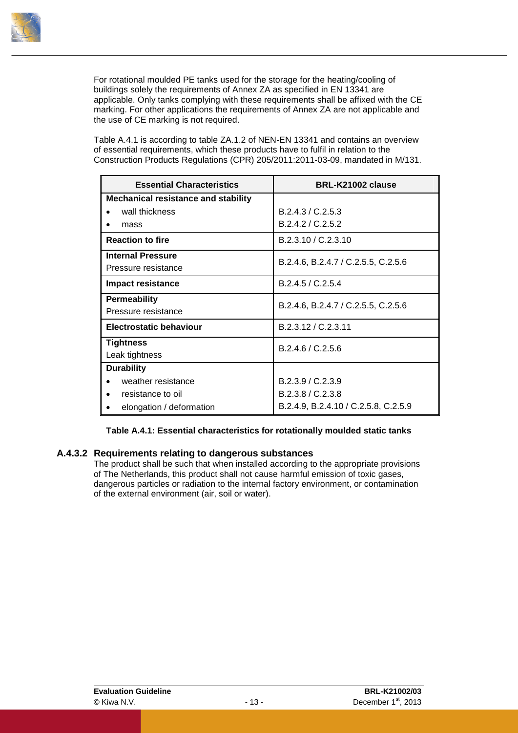

For rotational moulded PE tanks used for the storage for the heating/cooling of buildings solely the requirements of Annex ZA as specified in EN 13341 are applicable. Only tanks complying with these requirements shall be affixed with the CE marking. For other applications the requirements of Annex ZA are not applicable and the use of CE marking is not required.

[Table A.4.1](#page-16-1) is according to table ZA.1.2 of NEN-EN 13341 and contains an overview of essential requirements, which these products have to fulfil in relation to the Construction Products Regulations (CPR) 205/2011:2011-03-09, mandated in M/131.

| <b>Essential Characteristics</b>           | BRL-K21002 clause                    |
|--------------------------------------------|--------------------------------------|
| <b>Mechanical resistance and stability</b> |                                      |
| wall thickness                             | B.2.4.3 / C.2.5.3                    |
| mass                                       | B.2.4.2 / C.2.5.2                    |
| <b>Reaction to fire</b>                    | B.2.3.10 / C.2.3.10                  |
| <b>Internal Pressure</b>                   | B.2.4.6, B.2.4.7 / C.2.5.5, C.2.5.6  |
| Pressure resistance                        |                                      |
| <b>Impact resistance</b>                   | B.2.4.5 / C.2.5.4                    |
| <b>Permeability</b>                        | B.2.4.6, B.2.4.7 / C.2.5.5, C.2.5.6  |
| Pressure resistance                        |                                      |
| Electrostatic behaviour                    | B.2.3.12 / C.2.3.11                  |
| <b>Tightness</b>                           | B.2.4.6 / C.2.5.6                    |
| Leak tightness                             |                                      |
| <b>Durability</b>                          |                                      |
| weather resistance                         | B.2.3.9 / C.2.3.9                    |
| resistance to oil                          | B.2.3.8 / C.2.3.8                    |
| elongation / deformation                   | B.2.4.9, B.2.4.10 / C.2.5.8, C.2.5.9 |

#### <span id="page-16-1"></span><span id="page-16-0"></span>**Table A.4.1: Essential characteristics for rotationally moulded static tanks**

#### **A.4.3.2 Requirements relating to dangerous substances**

The product shall be such that when installed according to the appropriate provisions of The Netherlands, this product shall not cause harmful emission of toxic gases, dangerous particles or radiation to the internal factory environment, or contamination of the external environment (air, soil or water).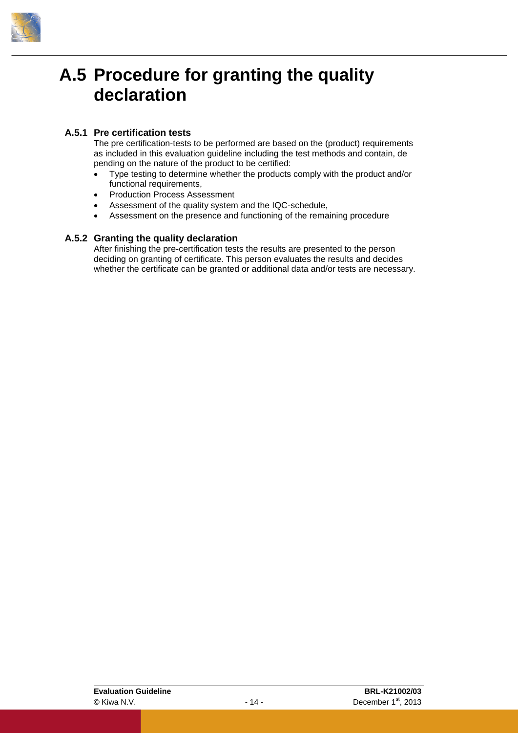

### <span id="page-17-0"></span>**A.5 Procedure for granting the quality declaration**

#### **A.5.1 Pre certification tests**

<span id="page-17-1"></span>The pre certification-tests to be performed are based on the (product) requirements as included in this evaluation guideline including the test methods and contain, de pending on the nature of the product to be certified:

- Type testing to determine whether the products comply with the product and/or functional requirements,
- Production Process Assessment
- Assessment of the quality system and the IQC-schedule,
- <span id="page-17-2"></span>Assessment on the presence and functioning of the remaining procedure

#### **A.5.2 Granting the quality declaration**

After finishing the pre-certification tests the results are presented to the person deciding on granting of certificate. This person evaluates the results and decides whether the certificate can be granted or additional data and/or tests are necessary.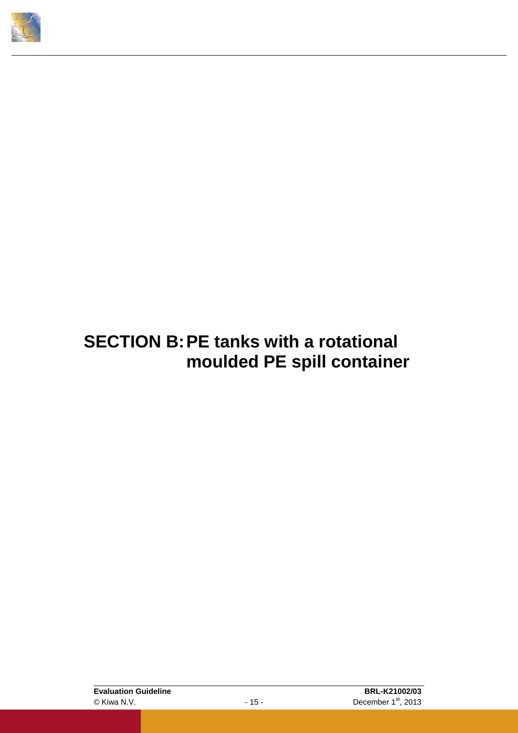<span id="page-18-0"></span>

### **SECTION B:PE tanks with a rotational moulded PE spill container**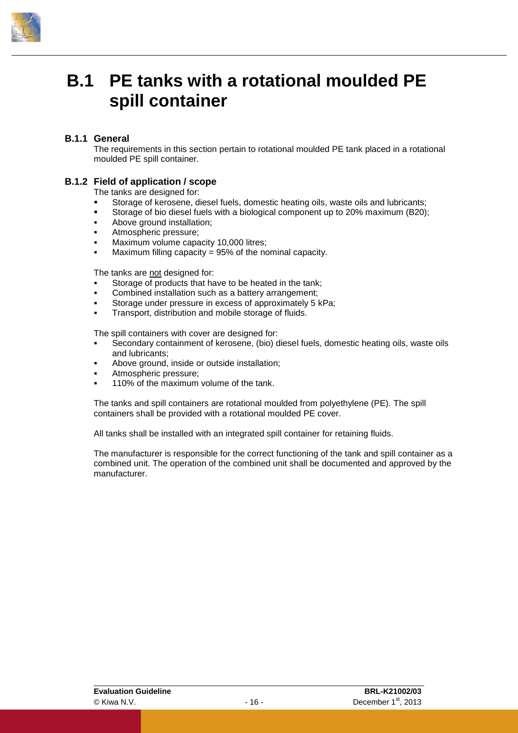

### <span id="page-19-0"></span>**B.1 PE tanks with a rotational moulded PE spill container**

#### **B.1.1 General**

<span id="page-19-2"></span><span id="page-19-1"></span>The requirements in this section pertain to rotational moulded PE tank placed in a rotational moulded PE spill container.

#### **B.1.2 Field of application / scope**

The tanks are designed for:

- Storage of kerosene, diesel fuels, domestic heating oils, waste oils and lubricants;
- Storage of bio diesel fuels with a biological component up to 20% maximum (B20);
- Above ground installation;
- Atmospheric pressure;
- Maximum volume capacity 10,000 litres;
- Maximum filling capacity =  $95\%$  of the nominal capacity.

The tanks are not designed for:

- Storage of products that have to be heated in the tank;
- Combined installation such as a battery arrangement;
- Storage under pressure in excess of approximately 5 kPa;
- Transport, distribution and mobile storage of fluids.

The spill containers with cover are designed for:

- Secondary containment of kerosene, (bio) diesel fuels, domestic heating oils, waste oils and lubricants;
- Above ground, inside or outside installation;
- Atmospheric pressure;
- 110% of the maximum volume of the tank.

The tanks and spill containers are rotational moulded from polyethylene (PE). The spill containers shall be provided with a rotational moulded PE cover.

All tanks shall be installed with an integrated spill container for retaining fluids.

The manufacturer is responsible for the correct functioning of the tank and spill container as a combined unit. The operation of the combined unit shall be documented and approved by the manufacturer.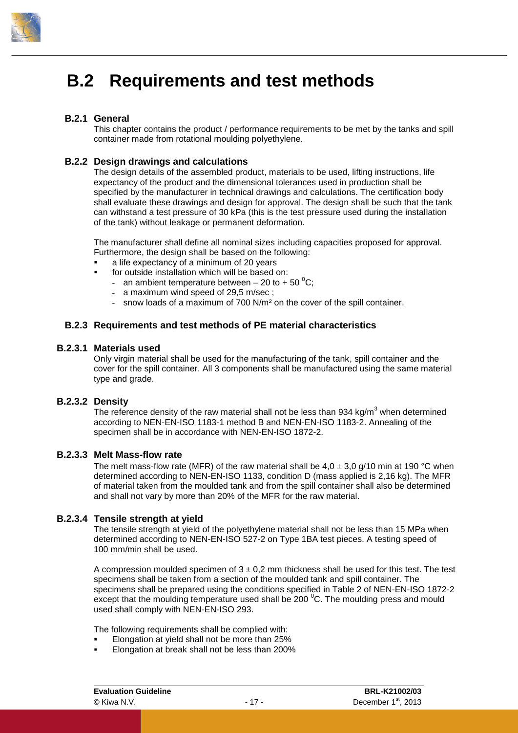

### <span id="page-20-0"></span>**B.2 Requirements and test methods**

#### **B.2.1 General**

<span id="page-20-2"></span><span id="page-20-1"></span>This chapter contains the product / performance requirements to be met by the tanks and spill container made from rotational moulding polyethylene.

#### **B.2.2 Design drawings and calculations**

The design details of the assembled product, materials to be used, lifting instructions, life expectancy of the product and the dimensional tolerances used in production shall be specified by the manufacturer in technical drawings and calculations. The certification body shall evaluate these drawings and design for approval. The design shall be such that the tank can withstand a test pressure of 30 kPa (this is the test pressure used during the installation of the tank) without leakage or permanent deformation.

The manufacturer shall define all nominal sizes including capacities proposed for approval. Furthermore, the design shall be based on the following:

- a life expectancy of a minimum of 20 years
- for outside installation which will be based on:
	- an ambient temperature between  $-20$  to  $+50^{\circ}$ C;
	- a maximum wind speed of 29,5 m/sec ;
	- snow loads of a maximum of 700 N/m<sup>2</sup> on the cover of the spill container.

#### <span id="page-20-3"></span>**B.2.3 Requirements and test methods of PE material characteristics**

#### **B.2.3.1 Materials used**

<span id="page-20-4"></span>Only virgin material shall be used for the manufacturing of the tank, spill container and the cover for the spill container. All 3 components shall be manufactured using the same material type and grade.

#### **B.2.3.2 Density**

<span id="page-20-5"></span>The reference density of the raw material shall not be less than 934 kg/m<sup>3</sup> when determined according to NEN-EN-ISO 1183-1 method B and NEN-EN-ISO 1183-2. Annealing of the specimen shall be in accordance with NEN-EN-ISO 1872-2.

#### **B.2.3.3 Melt Mass-flow rate**

<span id="page-20-6"></span>The melt mass-flow rate (MFR) of the raw material shall be  $4.0 \pm 3.0$  g/10 min at 190 °C when determined according to NEN-EN-ISO 1133, condition D (mass applied is 2,16 kg). The MFR of material taken from the moulded tank and from the spill container shall also be determined and shall not vary by more than 20% of the MFR for the raw material.

#### **B.2.3.4 Tensile strength at yield**

<span id="page-20-7"></span>The tensile strength at yield of the polyethylene material shall not be less than 15 MPa when determined according to NEN-EN-ISO 527-2 on Type 1BA test pieces. A testing speed of 100 mm/min shall be used.

A compression moulded specimen of  $3 \pm 0.2$  mm thickness shall be used for this test. The test specimens shall be taken from a section of the moulded tank and spill container. The specimens shall be prepared using the conditions specified in Table 2 of NEN-EN-ISO 1872-2 except that the moulding temperature used shall be  $200<sup>o</sup>C$ . The moulding press and mould used shall comply with NEN-EN-ISO 293.

The following requirements shall be complied with:

- Elongation at yield shall not be more than 25%
- Elongation at break shall not be less than 200%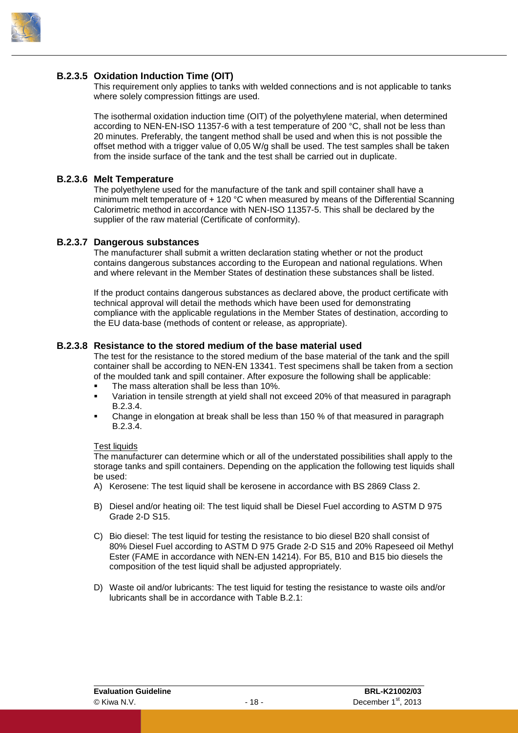

#### **B.2.3.5 Oxidation Induction Time (OIT)**

<span id="page-21-0"></span>This requirement only applies to tanks with welded connections and is not applicable to tanks where solely compression fittings are used.

The isothermal oxidation induction time (OIT) of the polyethylene material, when determined according to NEN-EN-ISO 11357-6 with a test temperature of 200 °C, shall not be less than 20 minutes. Preferably, the tangent method shall be used and when this is not possible the offset method with a trigger value of 0,05 W/g shall be used. The test samples shall be taken from the inside surface of the tank and the test shall be carried out in duplicate.

#### **B.2.3.6 Melt Temperature**

<span id="page-21-1"></span>The polyethylene used for the manufacture of the tank and spill container shall have a minimum melt temperature of + 120 °C when measured by means of the Differential Scanning Calorimetric method in accordance with NEN-ISO 11357-5. This shall be declared by the supplier of the raw material (Certificate of conformity).

#### **B.2.3.7 Dangerous substances**

<span id="page-21-2"></span>The manufacturer shall submit a written declaration stating whether or not the product contains dangerous substances according to the European and national regulations. When and where relevant in the Member States of destination these substances shall be listed.

If the product contains dangerous substances as declared above, the product certificate with technical approval will detail the methods which have been used for demonstrating compliance with the applicable regulations in the Member States of destination, according to the EU data-base (methods of content or release, as appropriate).

#### **B.2.3.8 Resistance to the stored medium of the base material used**

<span id="page-21-3"></span>The test for the resistance to the stored medium of the base material of the tank and the spill container shall be according to NEN-EN 13341. Test specimens shall be taken from a section of the moulded tank and spill container. After exposure the following shall be applicable:

- The mass alteration shall be less than 10%.
- Variation in tensile strength at yield shall not exceed 20% of that measured in paragraph [B.2.3.4.](#page-20-7)
- Change in elongation at break shall be less than 150 % of that measured in paragraph [B.2.3.4.](#page-20-7)

#### Test liquids

The manufacturer can determine which or all of the understated possibilities shall apply to the storage tanks and spill containers. Depending on the application the following test liquids shall be used:

- A) Kerosene: The test liquid shall be kerosene in accordance with BS 2869 Class 2.
- B) Diesel and/or heating oil: The test liquid shall be Diesel Fuel according to ASTM D 975 Grade 2-D S15.
- C) Bio diesel: The test liquid for testing the resistance to bio diesel B20 shall consist of 80% Diesel Fuel according to ASTM D 975 Grade 2-D S15 and 20% Rapeseed oil Methyl Ester (FAME in accordance with NEN-EN 14214). For B5, B10 and B15 bio diesels the composition of the test liquid shall be adjusted appropriately.
- D) Waste oil and/or lubricants: The test liquid for testing the resistance to waste oils and/or lubricants shall be in accordance with [Table B.2.1:](#page-22-4)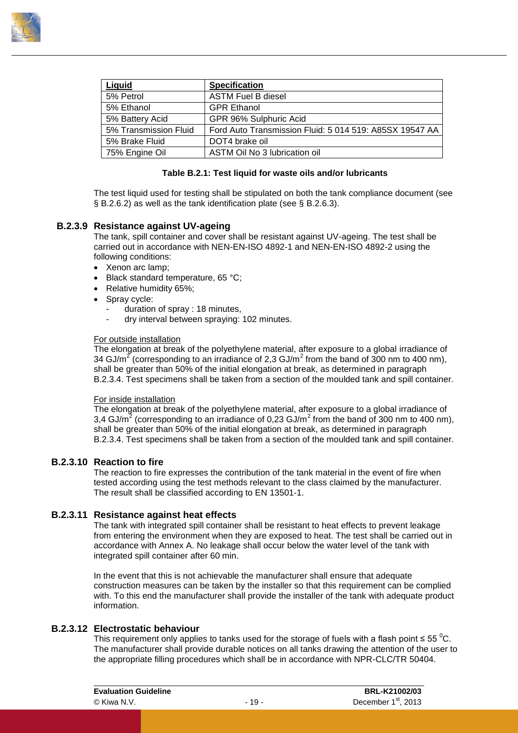

| Liquid                | <b>Specification</b>                                    |
|-----------------------|---------------------------------------------------------|
| 5% Petrol             | <b>ASTM Fuel B diesel</b>                               |
| 5% Ethanol            | <b>GPR Ethanol</b>                                      |
| 5% Battery Acid       | GPR 96% Sulphuric Acid                                  |
| 5% Transmission Fluid | Ford Auto Transmission Fluid: 5 014 519: A85SX 19547 AA |
| 5% Brake Fluid        | DOT4 brake oil                                          |
| 75% Engine Oil        | ASTM Oil No 3 lubrication oil                           |

#### **Table B.2.1: Test liquid for waste oils and/or lubricants**

<span id="page-22-4"></span><span id="page-22-0"></span>The test liquid used for testing shall be stipulated on both the tank compliance document (see § [B.2.6.2\)](#page-28-2) as well as the tank identification plate (see § [B.2.6.3\)](#page-28-3).

#### **B.2.3.9 Resistance against UV-ageing**

The tank, spill container and cover shall be resistant against UV-ageing. The test shall be carried out in accordance with NEN-EN-ISO 4892-1 and NEN-EN-ISO 4892-2 using the following conditions:

- Xenon arc lamp;
- Black standard temperature, 65 °C:
- Relative humidity 65%;
- Spray cycle:
	- duration of spray : 18 minutes,
	- dry interval between spraying: 102 minutes.

#### For outside installation

The elongation at break of the polyethylene material, after exposure to a global irradiance of 34 GJ/m<sup>2</sup> (corresponding to an irradiance of 2,3 GJ/m<sup>2</sup> from the band of 300 nm to 400 nm), shall be greater than 50% of the initial elongation at break, as determined in paragraph [B.2.3.4.](#page-20-7) Test specimens shall be taken from a section of the moulded tank and spill container.

#### For inside installation

The elongation at break of the polyethylene material, after exposure to a global irradiance of 3,4 GJ/m<sup>2</sup> (corresponding to an irradiance of 0,23 GJ/m<sup>2</sup> from the band of 300 nm to 400 nm), shall be greater than 50% of the initial elongation at break, as determined in paragraph [B.2.3.4.](#page-20-7) Test specimens shall be taken from a section of the moulded tank and spill container.

#### **B.2.3.10 Reaction to fire**

<span id="page-22-1"></span>The reaction to fire expresses the contribution of the tank material in the event of fire when tested according using the test methods relevant to the class claimed by the manufacturer. The result shall be classified according to EN 13501-1.

#### **B.2.3.11 Resistance against heat effects**

<span id="page-22-2"></span>The tank with integrated spill container shall be resistant to heat effects to prevent leakage from entering the environment when they are exposed to heat. The test shall be carried out in accordance with [Annex A.](#page-54-0) No leakage shall occur below the water level of the tank with integrated spill container after 60 min.

In the event that this is not achievable the manufacturer shall ensure that adequate construction measures can be taken by the installer so that this requirement can be complied with. To this end the manufacturer shall provide the installer of the tank with adequate product information.

#### **B.2.3.12 Electrostatic behaviour**

<span id="page-22-3"></span>This requirement only applies to tanks used for the storage of fuels with a flash point  $\leq 55 \degree C$ . The manufacturer shall provide durable notices on all tanks drawing the attention of the user to the appropriate filling procedures which shall be in accordance with NPR-CLC/TR 50404.

| <b>Evaluation Guideline</b> |        | BRL-K21002/03                   |  |
|-----------------------------|--------|---------------------------------|--|
| © Kiwa N.V.                 | $-19-$ | December 1 <sup>st</sup> , 2013 |  |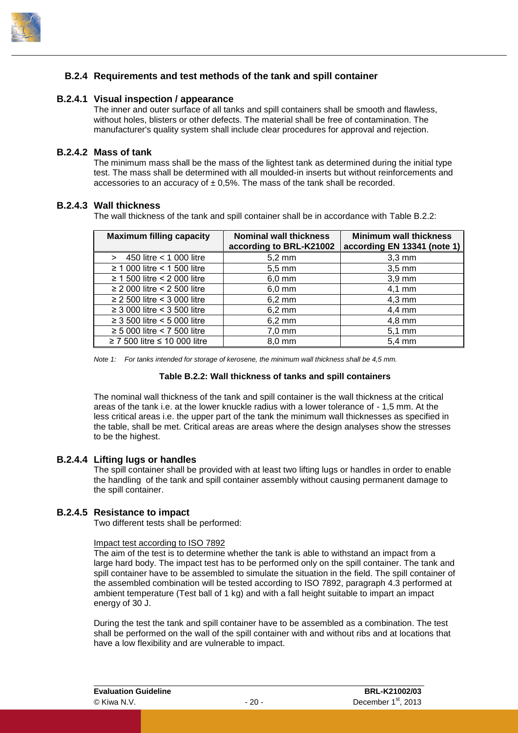

#### <span id="page-23-0"></span>**B.2.4 Requirements and test methods of the tank and spill container**

#### **B.2.4.1 Visual inspection / appearance**

<span id="page-23-1"></span>The inner and outer surface of all tanks and spill containers shall be smooth and flawless, without holes, blisters or other defects. The material shall be free of contamination. The manufacturer's quality system shall include clear procedures for approval and rejection.

#### **B.2.4.2 Mass of tank**

<span id="page-23-2"></span>The minimum mass shall be the mass of the lightest tank as determined during the initial type test. The mass shall be determined with all moulded-in inserts but without reinforcements and accessories to an accuracy of  $\pm$  0,5%. The mass of the tank shall be recorded.

#### **B.2.4.3 Wall thickness**

<span id="page-23-3"></span>The wall thickness of the tank and spill container shall be in accordance with [Table B.2.2:](#page-23-6)

| <b>Maximum filling capacity</b>        | <b>Nominal wall thickness</b><br>according to BRL-K21002 | <b>Minimum wall thickness</b><br>according EN 13341 (note 1) |  |
|----------------------------------------|----------------------------------------------------------|--------------------------------------------------------------|--|
|                                        |                                                          |                                                              |  |
| $> 450$ litre $< 1000$ litre           | $5,2 \text{ mm}$                                         | $3,3$ mm                                                     |  |
| $\geq$ 1 000 litre < 1 500 litre       | $5,5 \, \text{mm}$                                       | $3,5 \text{ mm}$                                             |  |
| $\geq$ 1 500 litre < 2 000 litre       | $6,0$ mm                                                 | $3,9$ mm                                                     |  |
| $\geq$ 2 000 litre < 2 500 litre       | $6,0$ mm                                                 | $4,1$ mm                                                     |  |
| $\geq$ 2 500 litre < 3 000 litre       | $6,2 \, \text{mm}$                                       | $4,3 \text{ mm}$                                             |  |
| $\geq$ 3 000 litre < 3 500 litre       | $6,2 \, \text{mm}$                                       | $4,4$ mm                                                     |  |
| $\geq$ 3 500 litre < 5 000 litre       | $6,2 \, \text{mm}$                                       | $4,8 \text{ mm}$                                             |  |
| $\geq$ 5 000 litre < 7 500 litre       | $7,0$ mm                                                 | $5,1$ mm                                                     |  |
| $\geq$ 7 500 litre $\leq$ 10 000 litre | $8,0$ mm                                                 | $5.4 \text{ mm}$                                             |  |

<span id="page-23-6"></span>*Note 1: For tanks intended for storage of kerosene, the minimum wall thickness shall be 4,5 mm.*

#### **Table B.2.2: Wall thickness of tanks and spill containers**

The nominal wall thickness of the tank and spill container is the wall thickness at the critical areas of the tank i.e. at the lower knuckle radius with a lower tolerance of - 1,5 mm. At the less critical areas i.e. the upper part of the tank the minimum wall thicknesses as specified in the table, shall be met. Critical areas are areas where the design analyses show the stresses to be the highest.

#### **B.2.4.4 Lifting lugs or handles**

<span id="page-23-4"></span>The spill container shall be provided with at least two lifting lugs or handles in order to enable the handling of the tank and spill container assembly without causing permanent damage to the spill container.

#### **B.2.4.5 Resistance to impact**

<span id="page-23-5"></span>Two different tests shall be performed:

#### Impact test according to ISO 7892

The aim of the test is to determine whether the tank is able to withstand an impact from a large hard body. The impact test has to be performed only on the spill container. The tank and spill container have to be assembled to simulate the situation in the field. The spill container of the assembled combination will be tested according to ISO 7892, paragraph 4.3 performed at ambient temperature (Test ball of 1 kg) and with a fall height suitable to impart an impact energy of 30 J.

During the test the tank and spill container have to be assembled as a combination. The test shall be performed on the wall of the spill container with and without ribs and at locations that have a low flexibility and are vulnerable to impact.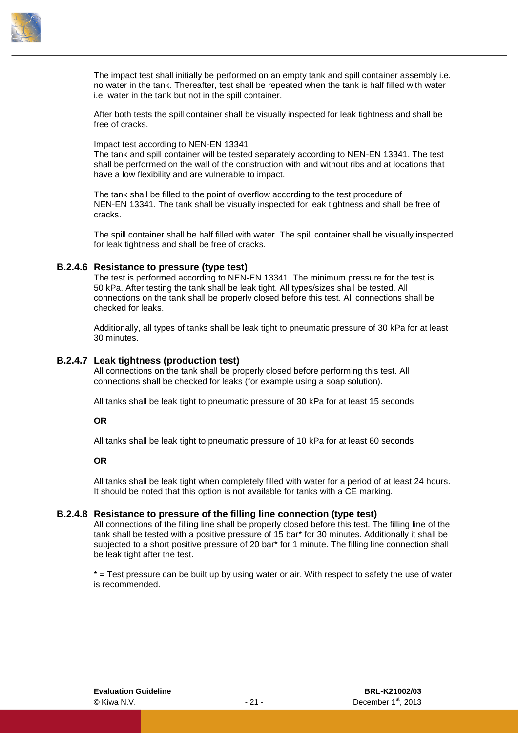

The impact test shall initially be performed on an empty tank and spill container assembly i.e. no water in the tank. Thereafter, test shall be repeated when the tank is half filled with water i.e. water in the tank but not in the spill container.

After both tests the spill container shall be visually inspected for leak tightness and shall be free of cracks.

#### Impact test according to NEN-EN 13341

The tank and spill container will be tested separately according to NEN-EN 13341. The test shall be performed on the wall of the construction with and without ribs and at locations that have a low flexibility and are vulnerable to impact.

The tank shall be filled to the point of overflow according to the test procedure of NEN-EN 13341. The tank shall be visually inspected for leak tightness and shall be free of cracks.

<span id="page-24-0"></span>The spill container shall be half filled with water. The spill container shall be visually inspected for leak tightness and shall be free of cracks.

#### **B.2.4.6 Resistance to pressure (type test)**

The test is performed according to NEN-EN 13341. The minimum pressure for the test is 50 kPa. After testing the tank shall be leak tight. All types/sizes shall be tested. All connections on the tank shall be properly closed before this test. All connections shall be checked for leaks.

<span id="page-24-1"></span>Additionally, all types of tanks shall be leak tight to pneumatic pressure of 30 kPa for at least 30 minutes.

#### **B.2.4.7 Leak tightness (production test)**

All connections on the tank shall be properly closed before performing this test. All connections shall be checked for leaks (for example using a soap solution).

All tanks shall be leak tight to pneumatic pressure of 30 kPa for at least 15 seconds

#### **OR**

All tanks shall be leak tight to pneumatic pressure of 10 kPa for at least 60 seconds

#### **OR**

<span id="page-24-2"></span>All tanks shall be leak tight when completely filled with water for a period of at least 24 hours. It should be noted that this option is not available for tanks with a CE marking.

#### **B.2.4.8 Resistance to pressure of the filling line connection (type test)**

All connections of the filling line shall be properly closed before this test. The filling line of the tank shall be tested with a positive pressure of 15 bar\* for 30 minutes. Additionally it shall be subjected to a short positive pressure of 20 bar\* for 1 minute. The filling line connection shall be leak tight after the test.

\* = Test pressure can be built up by using water or air. With respect to safety the use of water is recommended.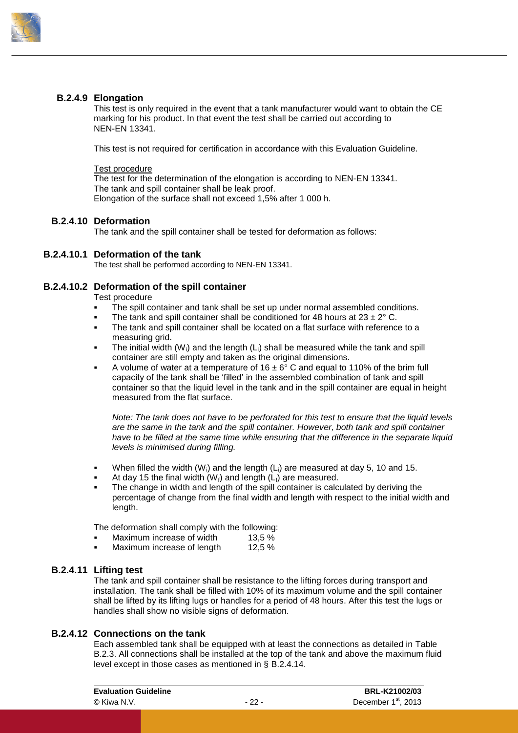

#### **B.2.4.9 Elongation**

<span id="page-25-0"></span>This test is only required in the event that a tank manufacturer would want to obtain the CE marking for his product. In that event the test shall be carried out according to NEN-EN 13341.

This test is not required for certification in accordance with this Evaluation Guideline.

#### Test procedure

The test for the determination of the elongation is according to NEN-EN 13341. The tank and spill container shall be leak proof. Elongation of the surface shall not exceed 1,5% after 1 000 h.

#### **B.2.4.10 Deformation**

<span id="page-25-1"></span>The tank and the spill container shall be tested for deformation as follows:

#### **B.2.4.10.1 Deformation of the tank**

The test shall be performed according to NEN-EN 13341.

#### **B.2.4.10.2 Deformation of the spill container**

Test procedure

- The spill container and tank shall be set up under normal assembled conditions.
- The tank and spill container shall be conditioned for 48 hours at  $23 \pm 2^{\circ}$  C.
- The tank and spill container shall be located on a flat surface with reference to a measuring grid.
- The initial width  $(W_i)$  and the length  $(L_i)$  shall be measured while the tank and spill container are still empty and taken as the original dimensions.
- A volume of water at a temperature of  $16 \pm 6^{\circ}$  C and equal to 110% of the brim full capacity of the tank shall be 'filled' in the assembled combination of tank and spill container so that the liquid level in the tank and in the spill container are equal in height measured from the flat surface.

*Note: The tank does not have to be perforated for this test to ensure that the liquid levels are the same in the tank and the spill container. However, both tank and spill container have to be filled at the same time while ensuring that the difference in the separate liquid levels is minimised during filling.*

- When filled the width  $(W_i)$  and the length  $(L_i)$  are measured at day 5, 10 and 15.
- At day 15 the final width  $(W_i)$  and length  $(L_i)$  are measured.
- The change in width and length of the spill container is calculated by deriving the percentage of change from the final width and length with respect to the initial width and length.

The deformation shall comply with the following:

- Maximum increase of width 13.5 %
- <span id="page-25-2"></span>Maximum increase of length 12,5 %

#### **B.2.4.11 Lifting test**

The tank and spill container shall be resistance to the lifting forces during transport and installation. The tank shall be filled with 10% of its maximum volume and the spill container shall be lifted by its lifting lugs or handles for a period of 48 hours. After this test the lugs or handles shall show no visible signs of deformation.

#### **B.2.4.12 Connections on the tank**

<span id="page-25-3"></span>Each assembled tank shall be equipped with at least the connections as detailed in [Table](#page-26-2)  [B.2.3.](#page-26-2) All connections shall be installed at the top of the tank and above the maximum fluid level except in those cases as mentioned in § [B.2.4.14.](#page-26-1)

| <b>Evaluation Guideline</b> | BRL-K21002/03 |                                 |  |
|-----------------------------|---------------|---------------------------------|--|
| © Kiwa N.V.                 | - 22 -        | December 1 <sup>st</sup> , 2013 |  |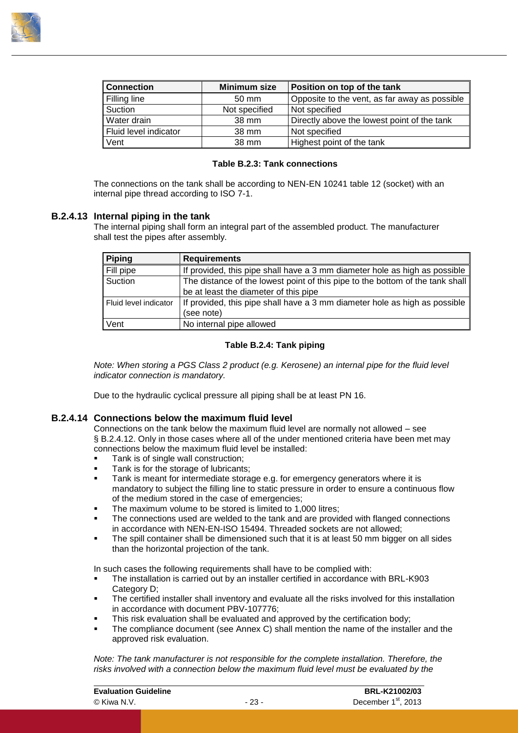

| <b>Connection</b>     | Minimum size  | Position on top of the tank                   |
|-----------------------|---------------|-----------------------------------------------|
| Filling line          | 50 mm         | Opposite to the vent, as far away as possible |
| Suction               | Not specified | Not specified                                 |
| Water drain           | 38 mm         | Directly above the lowest point of the tank   |
| Fluid level indicator | 38 mm         | Not specified                                 |
| Vent                  | 38 mm         | Highest point of the tank                     |

#### **Table B.2.3: Tank connections**

<span id="page-26-2"></span><span id="page-26-0"></span>The connections on the tank shall be according to NEN-EN 10241 table 12 (socket) with an internal pipe thread according to ISO 7-1.

#### **B.2.4.13 Internal piping in the tank**

The internal piping shall form an integral part of the assembled product. The manufacturer shall test the pipes after assembly.

| <b>Piping</b>         | <b>Requirements</b>                                                           |
|-----------------------|-------------------------------------------------------------------------------|
| Fill pipe             | If provided, this pipe shall have a 3 mm diameter hole as high as possible    |
| Suction               | The distance of the lowest point of this pipe to the bottom of the tank shall |
|                       | be at least the diameter of this pipe                                         |
| Fluid level indicator | If provided, this pipe shall have a 3 mm diameter hole as high as possible    |
|                       | (see note)                                                                    |
| Vent                  | No internal pipe allowed                                                      |

#### **Table B.2.4: Tank piping**

*Note: When storing a PGS Class 2 product (e.g. Kerosene) an internal pipe for the fluid level indicator connection is mandatory.*

<span id="page-26-1"></span>Due to the hydraulic cyclical pressure all piping shall be at least PN 16.

#### **B.2.4.14 Connections below the maximum fluid level**

Connections on the tank below the maximum fluid level are normally not allowed – see § [B.2.4.12.](#page-25-3) Only in those cases where all of the under mentioned criteria have been met may connections below the maximum fluid level be installed:

- Tank is of single wall construction;
- Tank is for the storage of lubricants;
- Tank is meant for intermediate storage e.g. for emergency generators where it is mandatory to subject the filling line to static pressure in order to ensure a continuous flow of the medium stored in the case of emergencies;
- The maximum volume to be stored is limited to 1,000 litres;
- The connections used are welded to the tank and are provided with flanged connections in accordance with NEN-EN-ISO 15494. Threaded sockets are not allowed;
- The spill container shall be dimensioned such that it is at least 50 mm bigger on all sides than the horizontal projection of the tank.

In such cases the following requirements shall have to be complied with:

- The installation is carried out by an installer certified in accordance with BRL-K903 Category D:
- The certified installer shall inventory and evaluate all the risks involved for this installation in accordance with document PBV-107776;
- This risk evaluation shall be evaluated and approved by the certification body;
- The compliance document (see [Annex C\)](#page-59-0) shall mention the name of the installer and the approved risk evaluation.

*Note: The tank manufacturer is not responsible for the complete installation. Therefore, the risks involved with a connection below the maximum fluid level must be evaluated by the*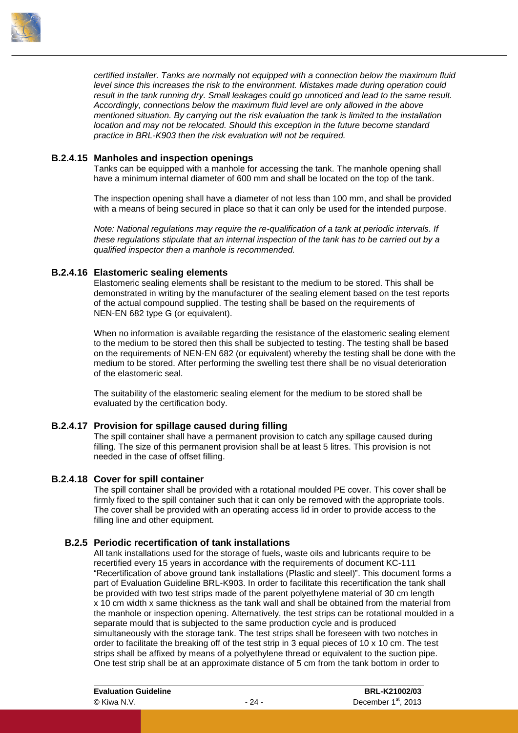

*certified installer. Tanks are normally not equipped with a connection below the maximum fluid level since this increases the risk to the environment. Mistakes made during operation could result in the tank running dry. Small leakages could go unnoticed and lead to the same result. Accordingly, connections below the maximum fluid level are only allowed in the above mentioned situation. By carrying out the risk evaluation the tank is limited to the installation location and may not be relocated. Should this exception in the future become standard practice in BRL-K903 then the risk evaluation will not be required.*

#### **B.2.4.15 Manholes and inspection openings**

<span id="page-27-0"></span>Tanks can be equipped with a manhole for accessing the tank. The manhole opening shall have a minimum internal diameter of 600 mm and shall be located on the top of the tank.

The inspection opening shall have a diameter of not less than 100 mm, and shall be provided with a means of being secured in place so that it can only be used for the intended purpose.

*Note: National regulations may require the re-qualification of a tank at periodic intervals. If these regulations stipulate that an internal inspection of the tank has to be carried out by a qualified inspector then a manhole is recommended.*

#### **B.2.4.16 Elastomeric sealing elements**

<span id="page-27-1"></span>Elastomeric sealing elements shall be resistant to the medium to be stored. This shall be demonstrated in writing by the manufacturer of the sealing element based on the test reports of the actual compound supplied. The testing shall be based on the requirements of NEN-EN 682 type G (or equivalent).

When no information is available regarding the resistance of the elastomeric sealing element to the medium to be stored then this shall be subjected to testing. The testing shall be based on the requirements of NEN-EN 682 (or equivalent) whereby the testing shall be done with the medium to be stored. After performing the swelling test there shall be no visual deterioration of the elastomeric seal.

<span id="page-27-2"></span>The suitability of the elastomeric sealing element for the medium to be stored shall be evaluated by the certification body.

#### **B.2.4.17 Provision for spillage caused during filling**

The spill container shall have a permanent provision to catch any spillage caused during filling. The size of this permanent provision shall be at least 5 litres. This provision is not needed in the case of offset filling.

#### **B.2.4.18 Cover for spill container**

<span id="page-27-3"></span>The spill container shall be provided with a rotational moulded PE cover. This cover shall be firmly fixed to the spill container such that it can only be removed with the appropriate tools. The cover shall be provided with an operating access lid in order to provide access to the filling line and other equipment.

#### **B.2.5 Periodic recertification of tank installations**

<span id="page-27-4"></span>All tank installations used for the storage of fuels, waste oils and lubricants require to be recertified every 15 years in accordance with the requirements of document KC-111 "Recertification of above ground tank installations (Plastic and steel)". This document forms a part of Evaluation Guideline BRL-K903. In order to facilitate this recertification the tank shall be provided with two test strips made of the parent polyethylene material of 30 cm length x 10 cm width x same thickness as the tank wall and shall be obtained from the material from the manhole or inspection opening. Alternatively, the test strips can be rotational moulded in a separate mould that is subjected to the same production cycle and is produced simultaneously with the storage tank. The test strips shall be foreseen with two notches in order to facilitate the breaking off of the test strip in 3 equal pieces of 10 x 10 cm. The test strips shall be affixed by means of a polyethylene thread or equivalent to the suction pipe. One test strip shall be at an approximate distance of 5 cm from the tank bottom in order to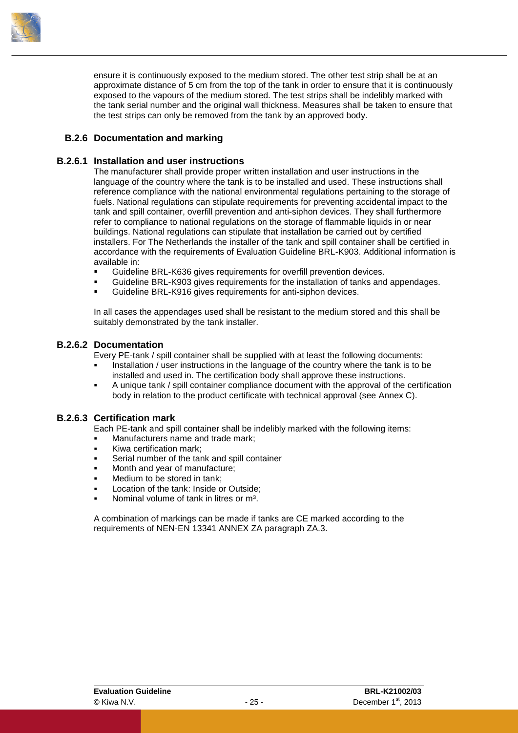

ensure it is continuously exposed to the medium stored. The other test strip shall be at an approximate distance of 5 cm from the top of the tank in order to ensure that it is continuously exposed to the vapours of the medium stored. The test strips shall be indelibly marked with the tank serial number and the original wall thickness. Measures shall be taken to ensure that the test strips can only be removed from the tank by an approved body.

#### <span id="page-28-0"></span>**B.2.6 Documentation and marking**

#### **B.2.6.1 Installation and user instructions**

<span id="page-28-1"></span>The manufacturer shall provide proper written installation and user instructions in the language of the country where the tank is to be installed and used. These instructions shall reference compliance with the national environmental regulations pertaining to the storage of fuels. National regulations can stipulate requirements for preventing accidental impact to the tank and spill container, overfill prevention and anti-siphon devices. They shall furthermore refer to compliance to national regulations on the storage of flammable liquids in or near buildings. National regulations can stipulate that installation be carried out by certified installers. For The Netherlands the installer of the tank and spill container shall be certified in accordance with the requirements of Evaluation Guideline BRL-K903. Additional information is available in:

- Guideline BRL-K636 gives requirements for overfill prevention devices.
- Guideline BRL-K903 gives requirements for the installation of tanks and appendages.
- Guideline BRL-K916 gives requirements for anti-siphon devices.

<span id="page-28-2"></span>In all cases the appendages used shall be resistant to the medium stored and this shall be suitably demonstrated by the tank installer.

#### **B.2.6.2 Documentation**

Every PE-tank / spill container shall be supplied with at least the following documents:

- Installation / user instructions in the language of the country where the tank is to be installed and used in. The certification body shall approve these instructions.
- <span id="page-28-3"></span> A unique tank / spill container compliance document with the approval of the certification body in relation to the product certificate with technical approval (see [Annex C\)](#page-59-0).

#### **B.2.6.3 Certification mark**

Each PE-tank and spill container shall be indelibly marked with the following items:

- Manufacturers name and trade mark;
- Kiwa certification mark;
- Serial number of the tank and spill container
- Month and year of manufacture;
- Medium to be stored in tank;
- Location of the tank: Inside or Outside;
- Nominal volume of tank in litres or m<sup>3</sup>.

A combination of markings can be made if tanks are CE marked according to the requirements of NEN-EN 13341 ANNEX ZA paragraph ZA.3.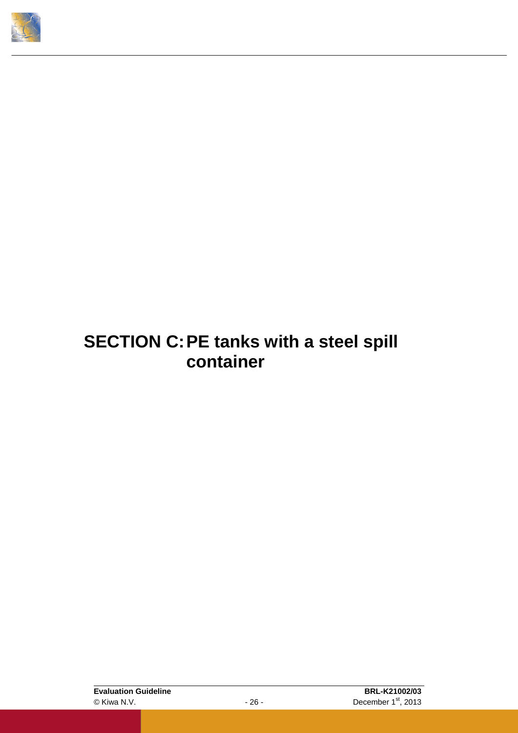<span id="page-29-0"></span>

### **SECTION C:PE tanks with a steel spill container**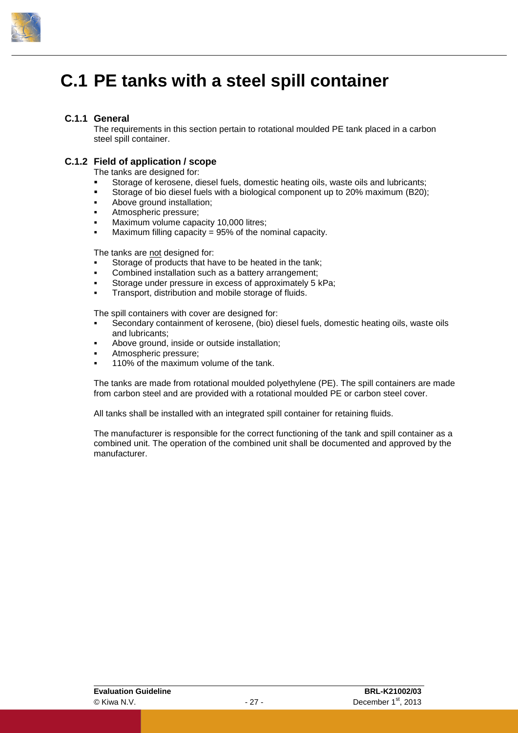

### <span id="page-30-0"></span>**C.1 PE tanks with a steel spill container**

#### **C.1.1 General**

<span id="page-30-2"></span><span id="page-30-1"></span>The requirements in this section pertain to rotational moulded PE tank placed in a carbon steel spill container.

#### **C.1.2 Field of application / scope**

The tanks are designed for:

- Storage of kerosene, diesel fuels, domestic heating oils, waste oils and lubricants;
- Storage of bio diesel fuels with a biological component up to 20% maximum (B20);
- Above ground installation;
- Atmospheric pressure;
- Maximum volume capacity 10,000 litres;
- Maximum filling capacity = 95% of the nominal capacity.

The tanks are not designed for:

- Storage of products that have to be heated in the tank:
- Combined installation such as a battery arrangement;
- Storage under pressure in excess of approximately 5 kPa;
- Transport, distribution and mobile storage of fluids.

The spill containers with cover are designed for:

- Secondary containment of kerosene, (bio) diesel fuels, domestic heating oils, waste oils and lubricants;
- Above ground, inside or outside installation;
- Atmospheric pressure;
- 110% of the maximum volume of the tank.

The tanks are made from rotational moulded polyethylene (PE). The spill containers are made from carbon steel and are provided with a rotational moulded PE or carbon steel cover.

All tanks shall be installed with an integrated spill container for retaining fluids.

The manufacturer is responsible for the correct functioning of the tank and spill container as a combined unit. The operation of the combined unit shall be documented and approved by the manufacturer.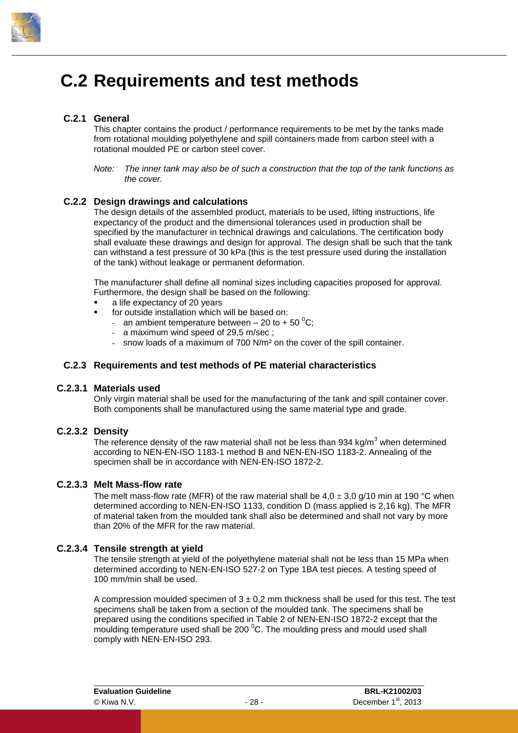

### <span id="page-31-0"></span>**C.2 Requirements and test methods**

#### **C.2.1 General**

<span id="page-31-1"></span>This chapter contains the product / performance requirements to be met by the tanks made from rotational moulding polyethylene and spill containers made from carbon steel with a rotational moulded PE or carbon steel cover.

#### **C.2.2 Design drawings and calculations**

The design details of the assembled product, materials to be used, lifting instructions, life expectancy of the product and the dimensional tolerances used in production shall be specified by the manufacturer in technical drawings and calculations. The certification body shall evaluate these drawings and design for approval. The design shall be such that the tank can withstand a test pressure of 30 kPa (this is the test pressure used during the installation of the tank) without leakage or permanent deformation.

The manufacturer shall define all nominal sizes including capacities proposed for approval. Furthermore, the design shall be based on the following:

- a life expectancy of 20 years
- for outside installation which will be based on:
	- an ambient temperature between  $-20$  to  $+50$  °C;
	- a maximum wind speed of 29,5 m/sec ;
	- snow loads of a maximum of 700 N/m² on the cover of the spill container.

#### <span id="page-31-3"></span>**C.2.3 Requirements and test methods of PE material characteristics**

#### **C.2.3.1 Materials used**

<span id="page-31-5"></span><span id="page-31-4"></span>Only virgin material shall be used for the manufacturing of the tank and spill container cover. Both components shall be manufactured using the same material type and grade.

#### **C.2.3.2 Density**

The reference density of the raw material shall not be less than 934 kg/m<sup>3</sup> when determined according to NEN-EN-ISO 1183-1 method B and NEN-EN-ISO 1183-2. Annealing of the specimen shall be in accordance with NEN-EN-ISO 1872-2.

#### **C.2.3.3 Melt Mass-flow rate**

<span id="page-31-6"></span>The melt mass-flow rate (MFR) of the raw material shall be  $4.0 \pm 3.0$  g/10 min at 190 °C when determined according to NEN-EN-ISO 1133, condition D (mass applied is 2,16 kg). The MFR of material taken from the moulded tank shall also be determined and shall not vary by more than 20% of the MFR for the raw material.

#### **C.2.3.4 Tensile strength at yield**

<span id="page-31-7"></span>The tensile strength at yield of the polyethylene material shall not be less than 15 MPa when determined according to NEN-EN-ISO 527-2 on Type 1BA test pieces. A testing speed of 100 mm/min shall be used.

A compression moulded specimen of  $3 \pm 0.2$  mm thickness shall be used for this test. The test specimens shall be taken from a section of the moulded tank. The specimens shall be prepared using the conditions specified in Table 2 of NEN-EN-ISO 1872-2 except that the moulding temperature used shall be 200 $\degree$ C. The moulding press and mould used shall comply with NEN-EN-ISO 293.

<span id="page-31-2"></span>*Note: The inner tank may also be of such a construction that the top of the tank functions as the cover.*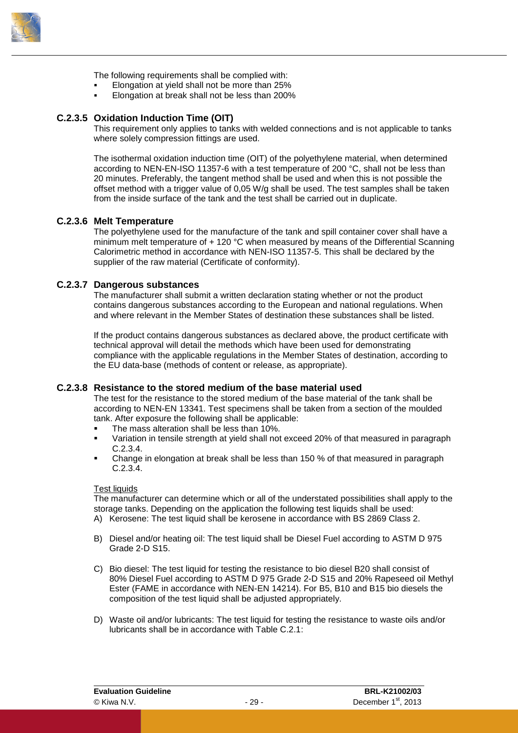

The following requirements shall be complied with:

- Elongation at yield shall not be more than 25%
- <span id="page-32-0"></span>Elongation at break shall not be less than 200%

#### **C.2.3.5 Oxidation Induction Time (OIT)**

This requirement only applies to tanks with welded connections and is not applicable to tanks where solely compression fittings are used.

The isothermal oxidation induction time (OIT) of the polyethylene material, when determined according to NEN-EN-ISO 11357-6 with a test temperature of 200 °C, shall not be less than 20 minutes. Preferably, the tangent method shall be used and when this is not possible the offset method with a trigger value of 0,05 W/g shall be used. The test samples shall be taken from the inside surface of the tank and the test shall be carried out in duplicate.

#### **C.2.3.6 Melt Temperature**

<span id="page-32-1"></span>The polyethylene used for the manufacture of the tank and spill container cover shall have a minimum melt temperature of + 120 °C when measured by means of the Differential Scanning Calorimetric method in accordance with NEN-ISO 11357-5. This shall be declared by the supplier of the raw material (Certificate of conformity).

#### **C.2.3.7 Dangerous substances**

<span id="page-32-2"></span>The manufacturer shall submit a written declaration stating whether or not the product contains dangerous substances according to the European and national regulations. When and where relevant in the Member States of destination these substances shall be listed.

If the product contains dangerous substances as declared above, the product certificate with technical approval will detail the methods which have been used for demonstrating compliance with the applicable regulations in the Member States of destination, according to the EU data-base (methods of content or release, as appropriate).

#### **C.2.3.8 Resistance to the stored medium of the base material used**

<span id="page-32-3"></span>The test for the resistance to the stored medium of the base material of the tank shall be according to NEN-EN 13341. Test specimens shall be taken from a section of the moulded tank. After exposure the following shall be applicable:

- The mass alteration shall be less than 10%.
- Variation in tensile strength at yield shall not exceed 20% of that measured in paragraph [C.2.3.4.](#page-31-7)
- Change in elongation at break shall be less than 150 % of that measured in paragraph [C.2.3.4.](#page-31-7)

#### Test liquids

The manufacturer can determine which or all of the understated possibilities shall apply to the storage tanks. Depending on the application the following test liquids shall be used:

- A) Kerosene: The test liquid shall be kerosene in accordance with BS 2869 Class 2.
- B) Diesel and/or heating oil: The test liquid shall be Diesel Fuel according to ASTM D 975 Grade 2-D S15.
- C) Bio diesel: The test liquid for testing the resistance to bio diesel B20 shall consist of 80% Diesel Fuel according to ASTM D 975 Grade 2-D S15 and 20% Rapeseed oil Methyl Ester (FAME in accordance with NEN-EN 14214). For B5, B10 and B15 bio diesels the composition of the test liquid shall be adjusted appropriately.
- D) Waste oil and/or lubricants: The test liquid for testing the resistance to waste oils and/or lubricants shall be in accordance with [Table C.2.1:](#page-33-6)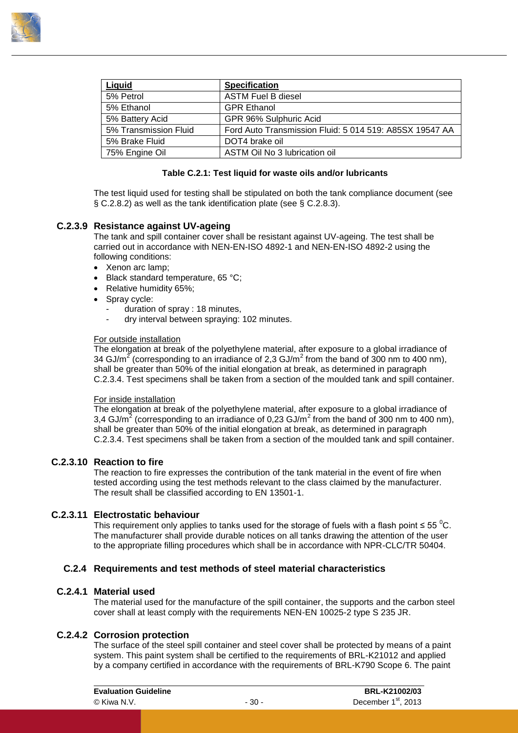

| Liquid                | <b>Specification</b>                                    |
|-----------------------|---------------------------------------------------------|
| 5% Petrol             | <b>ASTM Fuel B diesel</b>                               |
| 5% Ethanol            | <b>GPR Ethanol</b>                                      |
| 5% Battery Acid       | GPR 96% Sulphuric Acid                                  |
| 5% Transmission Fluid | Ford Auto Transmission Fluid: 5 014 519: A85SX 19547 AA |
| 5% Brake Fluid        | DOT4 brake oil                                          |
| 75% Engine Oil        | ASTM Oil No 3 lubrication oil                           |

#### **Table C.2.1: Test liquid for waste oils and/or lubricants**

<span id="page-33-6"></span><span id="page-33-0"></span>The test liquid used for testing shall be stipulated on both the tank compliance document (see § [C.2.8.2\)](#page-40-3) as well as the tank identification plate (see § [C.2.8.3\)](#page-40-4).

#### **C.2.3.9 Resistance against UV-ageing**

The tank and spill container cover shall be resistant against UV-ageing. The test shall be carried out in accordance with NEN-EN-ISO 4892-1 and NEN-EN-ISO 4892-2 using the following conditions:

- Xenon arc lamp;
- Black standard temperature, 65 °C;
- Relative humidity 65%;
- Spray cycle:
	- duration of spray : 18 minutes,
	- dry interval between spraying: 102 minutes.

#### For outside installation

The elongation at break of the polyethylene material, after exposure to a global irradiance of 34 GJ/m<sup>2</sup> (corresponding to an irradiance of 2,3 GJ/m<sup>2</sup> from the band of 300 nm to 400 nm), shall be greater than 50% of the initial elongation at break, as determined in paragraph [C.2.3.4.](#page-31-7) Test specimens shall be taken from a section of the moulded tank and spill container.

#### For inside installation

The elongation at break of the polyethylene material, after exposure to a global irradiance of 3,4 GJ/m<sup>2</sup> (corresponding to an irradiance of 0,23 GJ/m<sup>2</sup> from the band of 300 nm to 400 nm), shall be greater than 50% of the initial elongation at break, as determined in paragraph [C.2.3.4.](#page-31-7) Test specimens shall be taken from a section of the moulded tank and spill container.

#### **C.2.3.10 Reaction to fire**

<span id="page-33-1"></span>The reaction to fire expresses the contribution of the tank material in the event of fire when tested according using the test methods relevant to the class claimed by the manufacturer. The result shall be classified according to EN 13501-1.

#### **C.2.3.11 Electrostatic behaviour**

<span id="page-33-3"></span><span id="page-33-2"></span>This requirement only applies to tanks used for the storage of fuels with a flash point  $\leq 55$  °C. The manufacturer shall provide durable notices on all tanks drawing the attention of the user to the appropriate filling procedures which shall be in accordance with NPR-CLC/TR 50404.

#### **C.2.4 Requirements and test methods of steel material characteristics**

#### **C.2.4.1 Material used**

<span id="page-33-5"></span><span id="page-33-4"></span>The material used for the manufacture of the spill container, the supports and the carbon steel cover shall at least comply with the requirements NEN-EN 10025-2 type S 235 JR.

#### **C.2.4.2 Corrosion protection**

The surface of the steel spill container and steel cover shall be protected by means of a paint system. This paint system shall be certified to the requirements of BRL-K21012 and applied by a company certified in accordance with the requirements of BRL-K790 Scope 6. The paint

| <b>Evaluation Guideline</b> |        | <b>BRL-K21002/03</b>            |  |  |
|-----------------------------|--------|---------------------------------|--|--|
| © Kiwa N.V.                 | - 30 - | December 1 <sup>st</sup> , 2013 |  |  |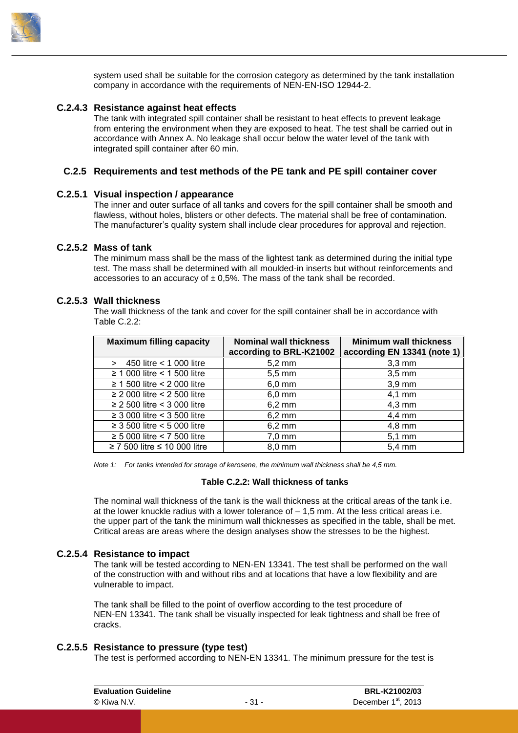

<span id="page-34-0"></span>system used shall be suitable for the corrosion category as determined by the tank installation company in accordance with the requirements of NEN-EN-ISO 12944-2.

#### **C.2.4.3 Resistance against heat effects**

The tank with integrated spill container shall be resistant to heat effects to prevent leakage from entering the environment when they are exposed to heat. The test shall be carried out in accordance with [Annex A.](#page-54-0) No leakage shall occur below the water level of the tank with integrated spill container after 60 min.

#### <span id="page-34-1"></span>**C.2.5 Requirements and test methods of the PE tank and PE spill container cover**

#### **C.2.5.1 Visual inspection / appearance**

<span id="page-34-2"></span>The inner and outer surface of all tanks and covers for the spill container shall be smooth and flawless, without holes, blisters or other defects. The material shall be free of contamination. The manufacturer's quality system shall include clear procedures for approval and rejection.

#### **C.2.5.2 Mass of tank**

<span id="page-34-3"></span>The minimum mass shall be the mass of the lightest tank as determined during the initial type test. The mass shall be determined with all moulded-in inserts but without reinforcements and accessories to an accuracy of  $\pm$  0.5%. The mass of the tank shall be recorded.

#### **C.2.5.3 Wall thickness**

<span id="page-34-4"></span>The wall thickness of the tank and cover for the spill container shall be in accordance with [Table C.2.2:](#page-34-7)

| <b>Maximum filling capacity</b>        | <b>Nominal wall thickness</b><br>according to BRL-K21002 | <b>Minimum wall thickness</b><br>according EN 13341 (note 1) |
|----------------------------------------|----------------------------------------------------------|--------------------------------------------------------------|
| 450 litre < 1 000 litre                | $5,2 \text{ mm}$                                         | $3,3$ mm                                                     |
| $\geq$ 1 000 litre < 1 500 litre       | $5,5 \text{ mm}$                                         | $3,5 \text{ mm}$                                             |
| $\geq$ 1 500 litre < 2 000 litre       | $6,0$ mm                                                 | $3,9$ mm                                                     |
| $\geq$ 2 000 litre < 2 500 litre       | $6,0$ mm                                                 | $4,1$ mm                                                     |
| $\geq$ 2 500 litre < 3 000 litre       | $6,2 \, \text{mm}$                                       | $4,3 \text{ mm}$                                             |
| $\geq$ 3 000 litre < 3 500 litre       | $6,2 \text{ mm}$                                         | $4,4$ mm                                                     |
| $\geq$ 3 500 litre $<$ 5 000 litre     | $6,2 \text{ mm}$                                         | $4,8 \text{ mm}$                                             |
| $\geq$ 5 000 litre < 7 500 litre       | $7,0$ mm                                                 | $5,1$ mm                                                     |
| $\geq$ 7 500 litre $\leq$ 10 000 litre | $8.0 \text{ mm}$                                         | $5.4 \text{ mm}$                                             |

<span id="page-34-7"></span>*Note 1: For tanks intended for storage of kerosene, the minimum wall thickness shall be 4,5 mm.*

#### **Table C.2.2: Wall thickness of tanks**

The nominal wall thickness of the tank is the wall thickness at the critical areas of the tank i.e. at the lower knuckle radius with a lower tolerance of – 1,5 mm. At the less critical areas i.e. the upper part of the tank the minimum wall thicknesses as specified in the table, shall be met. Critical areas are areas where the design analyses show the stresses to be the highest.

#### **C.2.5.4 Resistance to impact**

<span id="page-34-5"></span>The tank will be tested according to NEN-EN 13341. The test shall be performed on the wall of the construction with and without ribs and at locations that have a low flexibility and are vulnerable to impact.

The tank shall be filled to the point of overflow according to the test procedure of NEN-EN 13341. The tank shall be visually inspected for leak tightness and shall be free of cracks.

#### **C.2.5.5 Resistance to pressure (type test)**

<span id="page-34-6"></span>The test is performed according to NEN-EN 13341. The minimum pressure for the test is

| <b>Evaluation Guideline</b> |        | BRL-K21002/03                   |
|-----------------------------|--------|---------------------------------|
| © Kiwa N.V.                 | $-31-$ | December 1 <sup>st</sup> , 2013 |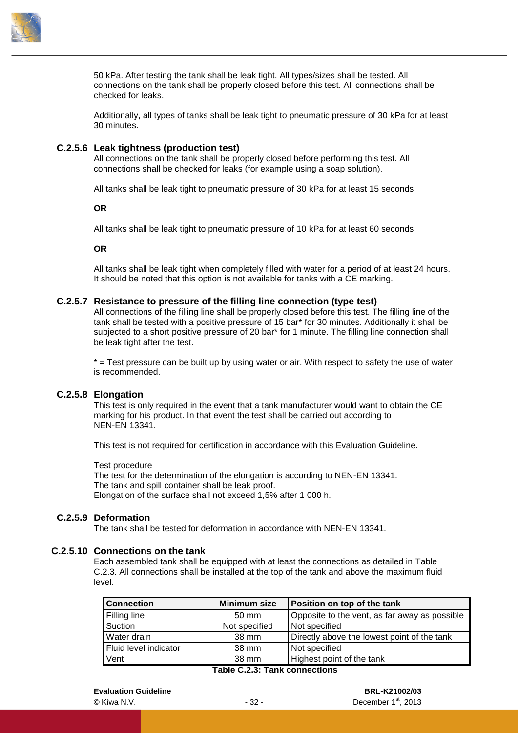

50 kPa. After testing the tank shall be leak tight. All types/sizes shall be tested. All connections on the tank shall be properly closed before this test. All connections shall be checked for leaks.

<span id="page-35-0"></span>Additionally, all types of tanks shall be leak tight to pneumatic pressure of 30 kPa for at least 30 minutes.

#### **C.2.5.6 Leak tightness (production test)**

All connections on the tank shall be properly closed before performing this test. All connections shall be checked for leaks (for example using a soap solution).

All tanks shall be leak tight to pneumatic pressure of 30 kPa for at least 15 seconds

**OR**

All tanks shall be leak tight to pneumatic pressure of 10 kPa for at least 60 seconds

**OR**

<span id="page-35-1"></span>All tanks shall be leak tight when completely filled with water for a period of at least 24 hours. It should be noted that this option is not available for tanks with a CE marking.

#### **C.2.5.7 Resistance to pressure of the filling line connection (type test)**

All connections of the filling line shall be properly closed before this test. The filling line of the tank shall be tested with a positive pressure of 15 bar\* for 30 minutes. Additionally it shall be subjected to a short positive pressure of 20 bar\* for 1 minute. The filling line connection shall be leak tight after the test.

<span id="page-35-2"></span> $*$  = Test pressure can be built up by using water or air. With respect to safety the use of water is recommended.

#### **C.2.5.8 Elongation**

This test is only required in the event that a tank manufacturer would want to obtain the CE marking for his product. In that event the test shall be carried out according to NEN-EN 13341.

This test is not required for certification in accordance with this Evaluation Guideline.

#### Test procedure

The test for the determination of the elongation is according to NEN-EN 13341. The tank and spill container shall be leak proof. Elongation of the surface shall not exceed 1,5% after 1 000 h.

#### **C.2.5.9 Deformation**

<span id="page-35-4"></span><span id="page-35-3"></span>The tank shall be tested for deformation in accordance with NEN-EN 13341.

#### **C.2.5.10 Connections on the tank**

Each assembled tank shall be equipped with at least the connections as detailed in [Table](#page-35-5)  [C.2.3.](#page-35-5) All connections shall be installed at the top of the tank and above the maximum fluid level.

<span id="page-35-5"></span>

| <b>Connection</b>                                                                                        | <b>Minimum size</b> | Position on top of the tank                   |  |
|----------------------------------------------------------------------------------------------------------|---------------------|-----------------------------------------------|--|
| <b>Filling line</b>                                                                                      | $50 \text{ mm}$     | Opposite to the vent, as far away as possible |  |
| Suction                                                                                                  | Not specified       | Not specified                                 |  |
| Water drain                                                                                              | 38 mm               | Directly above the lowest point of the tank   |  |
| Fluid level indicator                                                                                    | 38 mm               | Not specified                                 |  |
| Vent                                                                                                     | 38 mm               | Highest point of the tank                     |  |
| $T_{\rm eff}$ $\sim$ $\sim$ $\sim$ $\sim$ $T_{\rm eff}$ $\sim$ $\sim$ $\sim$ $\sim$ $\sim$ $\sim$ $\sim$ |                     |                                               |  |

#### **Table C.2.3: Tank connections**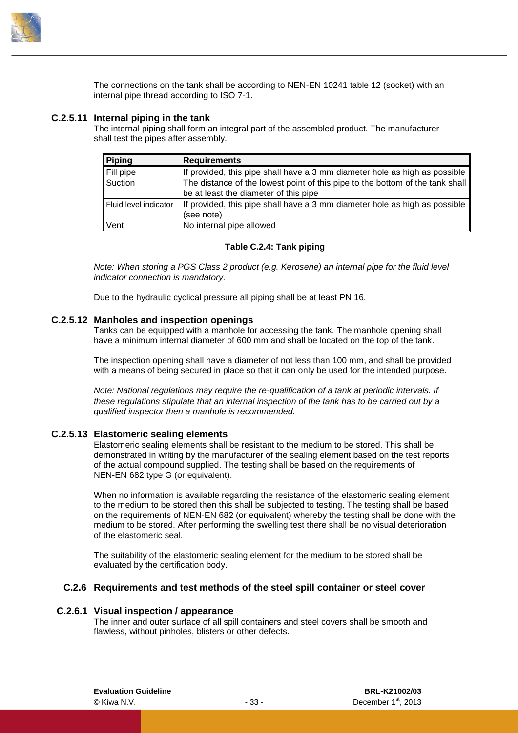

<span id="page-36-0"></span>The connections on the tank shall be according to NEN-EN 10241 table 12 (socket) with an internal pipe thread according to ISO 7-1.

#### **C.2.5.11 Internal piping in the tank**

The internal piping shall form an integral part of the assembled product. The manufacturer shall test the pipes after assembly.

| <b>Piping</b>         | <b>Requirements</b>                                                           |
|-----------------------|-------------------------------------------------------------------------------|
| Fill pipe             | If provided, this pipe shall have a 3 mm diameter hole as high as possible    |
| Suction               | The distance of the lowest point of this pipe to the bottom of the tank shall |
|                       | be at least the diameter of this pipe                                         |
| Fluid level indicator | If provided, this pipe shall have a 3 mm diameter hole as high as possible    |
|                       | (see note)                                                                    |
| Vent                  | No internal pipe allowed                                                      |

#### **Table C.2.4: Tank piping**

*Note: When storing a PGS Class 2 product (e.g. Kerosene) an internal pipe for the fluid level indicator connection is mandatory.*

<span id="page-36-1"></span>Due to the hydraulic cyclical pressure all piping shall be at least PN 16.

#### **C.2.5.12 Manholes and inspection openings**

Tanks can be equipped with a manhole for accessing the tank. The manhole opening shall have a minimum internal diameter of 600 mm and shall be located on the top of the tank.

The inspection opening shall have a diameter of not less than 100 mm, and shall be provided with a means of being secured in place so that it can only be used for the intended purpose.

*Note: National regulations may require the re-qualification of a tank at periodic intervals. If these regulations stipulate that an internal inspection of the tank has to be carried out by a qualified inspector then a manhole is recommended.*

#### **C.2.5.13 Elastomeric sealing elements**

<span id="page-36-2"></span>Elastomeric sealing elements shall be resistant to the medium to be stored. This shall be demonstrated in writing by the manufacturer of the sealing element based on the test reports of the actual compound supplied. The testing shall be based on the requirements of NEN-EN 682 type G (or equivalent).

When no information is available regarding the resistance of the elastomeric sealing element to the medium to be stored then this shall be subjected to testing. The testing shall be based on the requirements of NEN-EN 682 (or equivalent) whereby the testing shall be done with the medium to be stored. After performing the swelling test there shall be no visual deterioration of the elastomeric seal.

<span id="page-36-3"></span>The suitability of the elastomeric sealing element for the medium to be stored shall be evaluated by the certification body.

#### **C.2.6 Requirements and test methods of the steel spill container or steel cover**

#### **C.2.6.1 Visual inspection / appearance**

<span id="page-36-4"></span>The inner and outer surface of all spill containers and steel covers shall be smooth and flawless, without pinholes, blisters or other defects.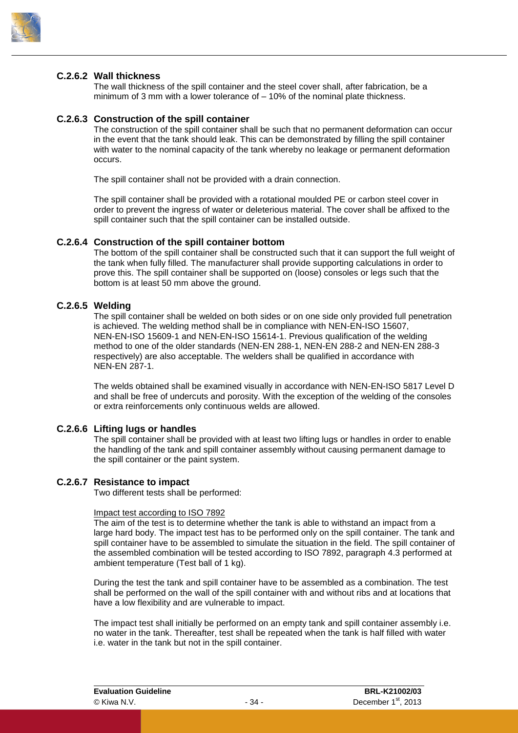

#### **C.2.6.2 Wall thickness**

<span id="page-37-1"></span><span id="page-37-0"></span>The wall thickness of the spill container and the steel cover shall, after fabrication, be a minimum of 3 mm with a lower tolerance of – 10% of the nominal plate thickness.

#### **C.2.6.3 Construction of the spill container**

The construction of the spill container shall be such that no permanent deformation can occur in the event that the tank should leak. This can be demonstrated by filling the spill container with water to the nominal capacity of the tank whereby no leakage or permanent deformation occurs.

The spill container shall not be provided with a drain connection.

The spill container shall be provided with a rotational moulded PE or carbon steel cover in order to prevent the ingress of water or deleterious material. The cover shall be affixed to the spill container such that the spill container can be installed outside.

#### **C.2.6.4 Construction of the spill container bottom**

<span id="page-37-2"></span>The bottom of the spill container shall be constructed such that it can support the full weight of the tank when fully filled. The manufacturer shall provide supporting calculations in order to prove this. The spill container shall be supported on (loose) consoles or legs such that the bottom is at least 50 mm above the ground.

#### **C.2.6.5 Welding**

<span id="page-37-3"></span>The spill container shall be welded on both sides or on one side only provided full penetration is achieved. The welding method shall be in compliance with NEN-EN-ISO 15607, NEN-EN-ISO 15609-1 and NEN-EN-ISO 15614-1. Previous qualification of the welding method to one of the older standards (NEN-EN 288-1, NEN-EN 288-2 and NEN-EN 288-3 respectively) are also acceptable. The welders shall be qualified in accordance with NEN-EN 287-1.

The welds obtained shall be examined visually in accordance with NEN-EN-ISO 5817 Level D and shall be free of undercuts and porosity. With the exception of the welding of the consoles or extra reinforcements only continuous welds are allowed.

#### **C.2.6.6 Lifting lugs or handles**

<span id="page-37-4"></span>The spill container shall be provided with at least two lifting lugs or handles in order to enable the handling of the tank and spill container assembly without causing permanent damage to the spill container or the paint system.

#### **C.2.6.7 Resistance to impact**

<span id="page-37-5"></span>Two different tests shall be performed:

#### Impact test according to ISO 7892

The aim of the test is to determine whether the tank is able to withstand an impact from a large hard body. The impact test has to be performed only on the spill container. The tank and spill container have to be assembled to simulate the situation in the field. The spill container of the assembled combination will be tested according to ISO 7892, paragraph 4.3 performed at ambient temperature (Test ball of 1 kg).

During the test the tank and spill container have to be assembled as a combination. The test shall be performed on the wall of the spill container with and without ribs and at locations that have a low flexibility and are vulnerable to impact.

The impact test shall initially be performed on an empty tank and spill container assembly i.e. no water in the tank. Thereafter, test shall be repeated when the tank is half filled with water i.e. water in the tank but not in the spill container.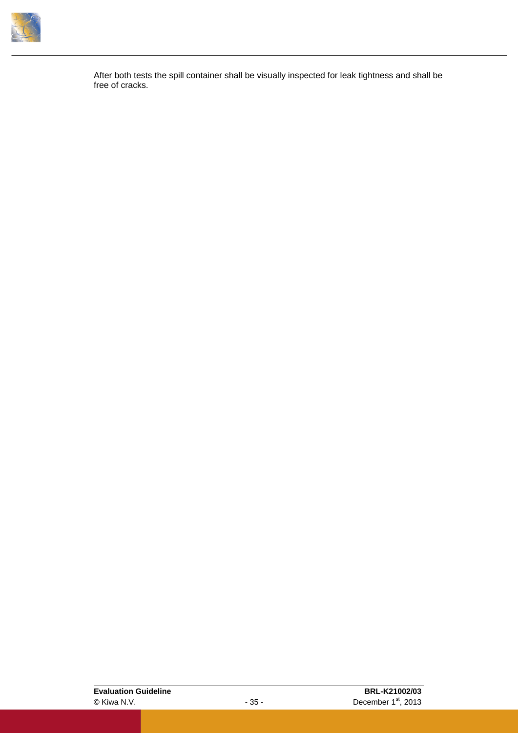

After both tests the spill container shall be visually inspected for leak tightness and shall be free of cracks.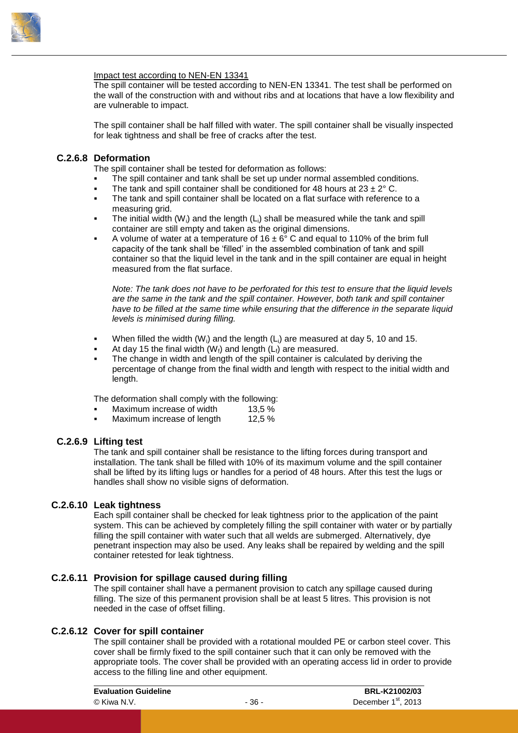

#### Impact test according to NEN-EN 13341

The spill container will be tested according to NEN-EN 13341. The test shall be performed on the wall of the construction with and without ribs and at locations that have a low flexibility and are vulnerable to impact.

<span id="page-39-0"></span>The spill container shall be half filled with water. The spill container shall be visually inspected for leak tightness and shall be free of cracks after the test.

#### **C.2.6.8 Deformation**

The spill container shall be tested for deformation as follows:

- The spill container and tank shall be set up under normal assembled conditions.
- The tank and spill container shall be conditioned for 48 hours at  $23 \pm 2^{\circ}$  C.
- The tank and spill container shall be located on a flat surface with reference to a measuring grid.
- The initial width  $(W_i)$  and the length  $(L_i)$  shall be measured while the tank and spill container are still empty and taken as the original dimensions.
- A volume of water at a temperature of  $16 \pm 6^{\circ}$  C and equal to 110% of the brim full capacity of the tank shall be 'filled' in the assembled combination of tank and spill container so that the liquid level in the tank and in the spill container are equal in height measured from the flat surface.

*Note: The tank does not have to be perforated for this test to ensure that the liquid levels are the same in the tank and the spill container. However, both tank and spill container have to be filled at the same time while ensuring that the difference in the separate liquid levels is minimised during filling.*

- When filled the width (W<sub>i</sub>) and the length (L<sub>i</sub>) are measured at day 5, 10 and 15.
- At day 15 the final width  $(W_i)$  and length  $(L_i)$  are measured.
- The change in width and length of the spill container is calculated by deriving the percentage of change from the final width and length with respect to the initial width and length.

The deformation shall comply with the following:

- Maximum increase of width 13.5 %
- <span id="page-39-1"></span>Maximum increase of length 12,5 %

#### **C.2.6.9 Lifting test**

The tank and spill container shall be resistance to the lifting forces during transport and installation. The tank shall be filled with 10% of its maximum volume and the spill container shall be lifted by its lifting lugs or handles for a period of 48 hours. After this test the lugs or handles shall show no visible signs of deformation.

#### **C.2.6.10 Leak tightness**

<span id="page-39-2"></span>Each spill container shall be checked for leak tightness prior to the application of the paint system. This can be achieved by completely filling the spill container with water or by partially filling the spill container with water such that all welds are submerged. Alternatively, dye penetrant inspection may also be used. Any leaks shall be repaired by welding and the spill container retested for leak tightness.

#### **C.2.6.11 Provision for spillage caused during filling**

<span id="page-39-3"></span>The spill container shall have a permanent provision to catch any spillage caused during filling. The size of this permanent provision shall be at least 5 litres. This provision is not needed in the case of offset filling.

#### **C.2.6.12 Cover for spill container**

<span id="page-39-4"></span>The spill container shall be provided with a rotational moulded PE or carbon steel cover. This cover shall be firmly fixed to the spill container such that it can only be removed with the appropriate tools. The cover shall be provided with an operating access lid in order to provide access to the filling line and other equipment.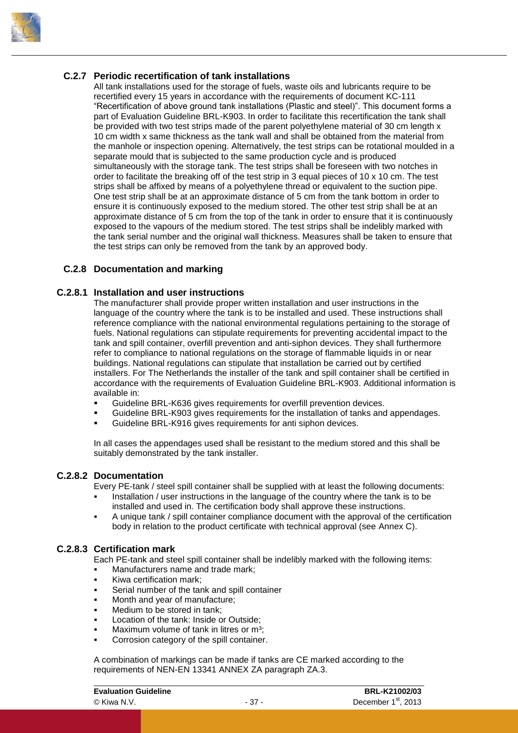

#### **C.2.7 Periodic recertification of tank installations**

<span id="page-40-0"></span>All tank installations used for the storage of fuels, waste oils and lubricants require to be recertified every 15 years in accordance with the requirements of document KC-111 "Recertification of above ground tank installations (Plastic and steel)". This document forms a part of Evaluation Guideline BRL-K903. In order to facilitate this recertification the tank shall be provided with two test strips made of the parent polyethylene material of 30 cm length x 10 cm width x same thickness as the tank wall and shall be obtained from the material from the manhole or inspection opening. Alternatively, the test strips can be rotational moulded in a separate mould that is subjected to the same production cycle and is produced simultaneously with the storage tank. The test strips shall be foreseen with two notches in order to facilitate the breaking off of the test strip in 3 equal pieces of 10 x 10 cm. The test strips shall be affixed by means of a polyethylene thread or equivalent to the suction pipe. One test strip shall be at an approximate distance of 5 cm from the tank bottom in order to ensure it is continuously exposed to the medium stored. The other test strip shall be at an approximate distance of 5 cm from the top of the tank in order to ensure that it is continuously exposed to the vapours of the medium stored. The test strips shall be indelibly marked with the tank serial number and the original wall thickness. Measures shall be taken to ensure that the test strips can only be removed from the tank by an approved body.

#### <span id="page-40-1"></span>**C.2.8 Documentation and marking**

#### **C.2.8.1 Installation and user instructions**

<span id="page-40-2"></span>The manufacturer shall provide proper written installation and user instructions in the language of the country where the tank is to be installed and used. These instructions shall reference compliance with the national environmental regulations pertaining to the storage of fuels. National regulations can stipulate requirements for preventing accidental impact to the tank and spill container, overfill prevention and anti-siphon devices. They shall furthermore refer to compliance to national regulations on the storage of flammable liquids in or near buildings. National regulations can stipulate that installation be carried out by certified installers. For The Netherlands the installer of the tank and spill container shall be certified in accordance with the requirements of Evaluation Guideline BRL-K903. Additional information is available in:

- Guideline BRL-K636 gives requirements for overfill prevention devices.
- Guideline BRL-K903 gives requirements for the installation of tanks and appendages.
- Guideline BRL-K916 gives requirements for anti siphon devices.

<span id="page-40-3"></span>In all cases the appendages used shall be resistant to the medium stored and this shall be suitably demonstrated by the tank installer.

#### **C.2.8.2 Documentation**

Every PE-tank / steel spill container shall be supplied with at least the following documents:

- Installation / user instructions in the language of the country where the tank is to be installed and used in. The certification body shall approve these instructions.
- <span id="page-40-4"></span> A unique tank / spill container compliance document with the approval of the certification body in relation to the product certificate with technical approval (see [Annex C\)](#page-59-0).

#### **C.2.8.3 Certification mark**

Each PE-tank and steel spill container shall be indelibly marked with the following items:

- Manufacturers name and trade mark;
- Kiwa certification mark;
- Serial number of the tank and spill container
- Month and year of manufacture;
- Medium to be stored in tank;
- Location of the tank: Inside or Outside;
- Maximum volume of tank in litres or m<sup>3</sup>;
- Corrosion category of the spill container.

A combination of markings can be made if tanks are CE marked according to the requirements of NEN-EN 13341 ANNEX ZA paragraph ZA.3.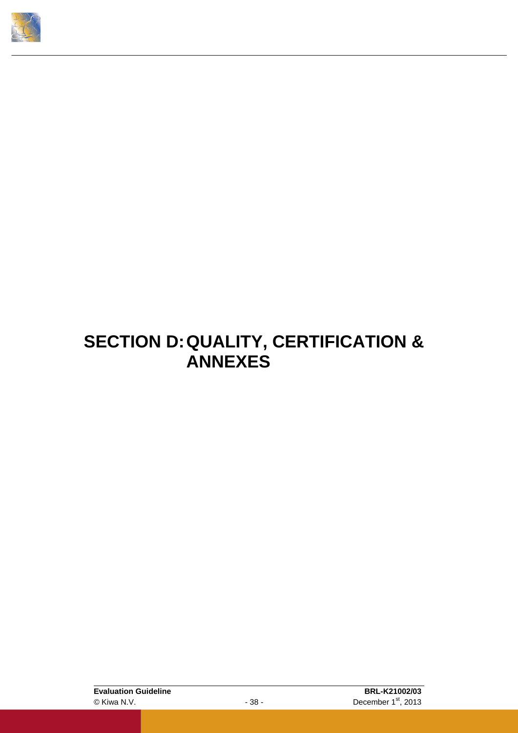<span id="page-41-0"></span>

### **SECTION D:QUALITY, CERTIFICATION & ANNEXES**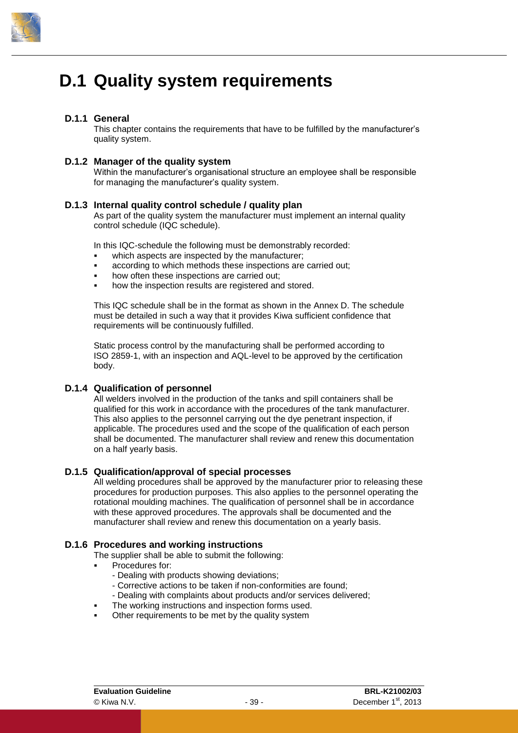

### <span id="page-42-0"></span>**D.1 Quality system requirements**

#### **D.1.1 General**

<span id="page-42-2"></span><span id="page-42-1"></span>This chapter contains the requirements that have to be fulfilled by the manufacturer's quality system.

#### **D.1.2 Manager of the quality system**

<span id="page-42-3"></span>Within the manufacturer's organisational structure an employee shall be responsible for managing the manufacturer's quality system.

#### **D.1.3 Internal quality control schedule / quality plan**

As part of the quality system the manufacturer must implement an internal quality control schedule (IQC schedule).

In this IQC-schedule the following must be demonstrably recorded:

- which aspects are inspected by the manufacturer;
- according to which methods these inspections are carried out;
- how often these inspections are carried out;
- how the inspection results are registered and stored.

This IQC schedule shall be in the format as shown in the [Annex D.](#page-60-0) The schedule must be detailed in such a way that it provides Kiwa sufficient confidence that requirements will be continuously fulfilled.

Static process control by the manufacturing shall be performed according to ISO 2859-1, with an inspection and AQL-level to be approved by the certification body.

#### **D.1.4 Qualification of personnel**

<span id="page-42-4"></span>All welders involved in the production of the tanks and spill containers shall be qualified for this work in accordance with the procedures of the tank manufacturer. This also applies to the personnel carrying out the dye penetrant inspection, if applicable. The procedures used and the scope of the qualification of each person shall be documented. The manufacturer shall review and renew this documentation on a half yearly basis.

#### **D.1.5 Qualification/approval of special processes**

<span id="page-42-5"></span>All welding procedures shall be approved by the manufacturer prior to releasing these procedures for production purposes. This also applies to the personnel operating the rotational moulding machines. The qualification of personnel shall be in accordance with these approved procedures. The approvals shall be documented and the manufacturer shall review and renew this documentation on a yearly basis.

#### **D.1.6 Procedures and working instructions**

<span id="page-42-6"></span>The supplier shall be able to submit the following:

- Procedures for:
	- Dealing with products showing deviations;
	- Corrective actions to be taken if non-conformities are found;
	- Dealing with complaints about products and/or services delivered;
- The working instructions and inspection forms used.
- Other requirements to be met by the quality system

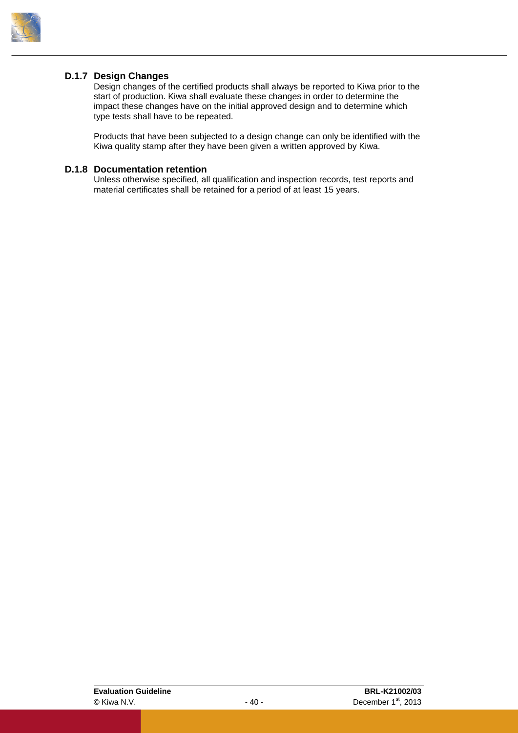

#### **D.1.7 Design Changes**

<span id="page-43-0"></span>Design changes of the certified products shall always be reported to Kiwa prior to the start of production. Kiwa shall evaluate these changes in order to determine the impact these changes have on the initial approved design and to determine which type tests shall have to be repeated.

<span id="page-43-1"></span>Products that have been subjected to a design change can only be identified with the Kiwa quality stamp after they have been given a written approved by Kiwa.

#### **D.1.8 Documentation retention**

Unless otherwise specified, all qualification and inspection records, test reports and material certificates shall be retained for a period of at least 15 years.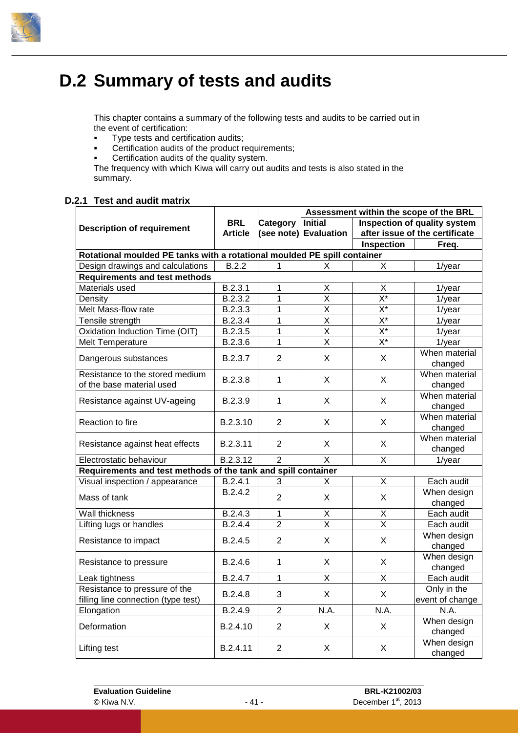

### <span id="page-44-0"></span>**D.2 Summary of tests and audits**

This chapter contains a summary of the following tests and audits to be carried out in the event of certification:

- **Type tests and certification audits;**
- **Certification audits of the product requirements;**
- Certification audits of the quality system.

<span id="page-44-1"></span>The frequency with which Kiwa will carry out audits and tests is also stated in the summary.

#### **D.2.1 Test and audit matrix**

|                                                                          |                                         |                | Assessment within the scope of the BRL |                                |                 |  |
|--------------------------------------------------------------------------|-----------------------------------------|----------------|----------------------------------------|--------------------------------|-----------------|--|
| <b>Description of requirement</b>                                        | <b>BRL</b>                              | Category       | <b>Initial</b>                         | Inspection of quality system   |                 |  |
|                                                                          | <b>Article</b><br>(see note) Evaluation |                |                                        | after issue of the certificate |                 |  |
|                                                                          |                                         |                |                                        | Inspection                     | Freq.           |  |
| Rotational moulded PE tanks with a rotational moulded PE spill container |                                         |                |                                        |                                |                 |  |
| Design drawings and calculations                                         | B.2.2                                   | 1              | X                                      | X                              | $1$ /year       |  |
| <b>Requirements and test methods</b>                                     |                                         |                |                                        |                                |                 |  |
| Materials used                                                           | B.2.3.1                                 | 1              | Χ                                      | X                              | $1$ /year       |  |
| Density                                                                  | B.2.3.2                                 | $\mathbf 1$    | X                                      | $\overline{X^*}$               | $1$ /year       |  |
| Melt Mass-flow rate                                                      | B.2.3.3                                 | 1              | $\overline{\mathsf{x}}$                | $\overline{X^*}$               | $1$ /year       |  |
| Tensile strength                                                         | B.2.3.4                                 | $\mathbf{1}$   | $\overline{\mathsf{x}}$                | $X^*$                          | $1$ /year       |  |
| Oxidation Induction Time (OIT)                                           | B.2.3.5                                 | $\mathbf 1$    | X                                      | $X^*$                          | $1$ /year       |  |
| Melt Temperature                                                         | B.2.3.6                                 | 1              | $\overline{\mathsf{x}}$                | $\overline{X^*}$               | $1$ /year       |  |
|                                                                          |                                         |                |                                        |                                | When material   |  |
| Dangerous substances                                                     | B.2.3.7                                 | $\overline{2}$ | X                                      | X                              | changed         |  |
| Resistance to the stored medium                                          |                                         |                |                                        |                                | When material   |  |
| of the base material used                                                | B.2.3.8                                 | $\mathbf{1}$   | X                                      | X                              | changed         |  |
|                                                                          |                                         |                |                                        |                                | When material   |  |
| Resistance against UV-ageing                                             | B.2.3.9                                 | 1              | X                                      | X                              | changed         |  |
| Reaction to fire                                                         | B.2.3.10                                |                | X                                      | X                              | When material   |  |
|                                                                          |                                         | $\overline{2}$ |                                        |                                | changed         |  |
|                                                                          |                                         |                | X                                      | X                              | When material   |  |
| Resistance against heat effects                                          | B.2.3.11                                | $\overline{2}$ |                                        |                                | changed         |  |
| Electrostatic behaviour                                                  | B.2.3.12                                | $\overline{2}$ | $\overline{\mathsf{x}}$                | X                              | $1$ /year       |  |
| Requirements and test methods of the tank and spill container            |                                         |                |                                        |                                |                 |  |
| Visual inspection / appearance                                           | B.2.4.1                                 | 3              | Χ                                      | X                              | Each audit      |  |
| Mass of tank                                                             | B.2.4.2                                 | $\overline{2}$ | Χ                                      | X                              | When design     |  |
|                                                                          |                                         |                |                                        |                                | changed         |  |
| Wall thickness                                                           | B.2.4.3                                 | 1              | Χ                                      | Χ                              | Each audit      |  |
| Lifting lugs or handles                                                  | B.2.4.4                                 | $\overline{2}$ | X                                      | $\overline{\mathsf{x}}$        | Each audit      |  |
| Resistance to impact                                                     | B.2.4.5                                 | $\overline{2}$ | Χ                                      | X                              | When design     |  |
|                                                                          |                                         |                |                                        |                                | changed         |  |
| Resistance to pressure                                                   | B.2.4.6                                 | 1              | X                                      | X                              | When design     |  |
|                                                                          |                                         |                |                                        |                                | changed         |  |
| Leak tightness                                                           | B.2.4.7                                 | 1              | X                                      | X                              | Each audit      |  |
| Resistance to pressure of the                                            | B.2.4.8                                 | 3              | X                                      | X                              | Only in the     |  |
| filling line connection (type test)                                      |                                         |                |                                        |                                | event of change |  |
| Elongation                                                               | B.2.4.9                                 | $\overline{2}$ | N.A.                                   | N.A.                           | N.A.            |  |
| Deformation                                                              | B.2.4.10                                | $\overline{2}$ | X                                      | X                              | When design     |  |
|                                                                          |                                         |                |                                        |                                | changed         |  |
| Lifting test                                                             | B.2.4.11                                | $\overline{2}$ | X                                      | X                              | When design     |  |
|                                                                          |                                         |                |                                        |                                | changed         |  |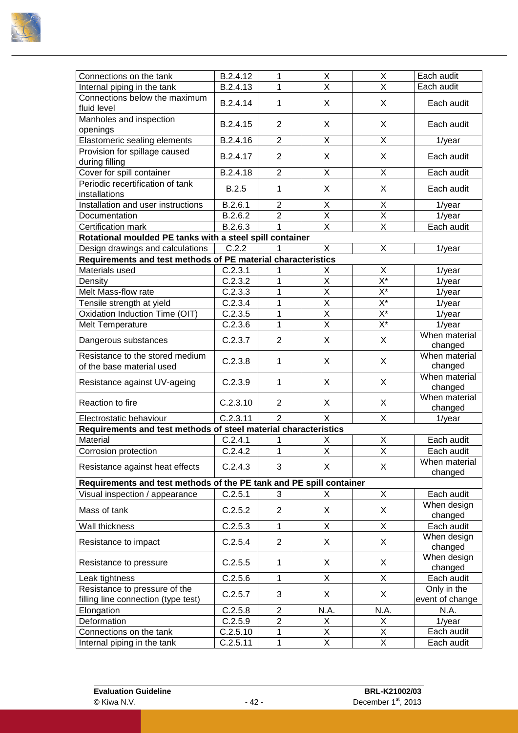

| Connections on the tank                                             | B.2.4.12            | 1              | X                            | X                         | Each audit               |
|---------------------------------------------------------------------|---------------------|----------------|------------------------------|---------------------------|--------------------------|
| Internal piping in the tank                                         | B.2.4.13            | 1              | $\overline{\mathsf{x}}$      | X                         | Each audit               |
| Connections below the maximum                                       |                     |                |                              |                           |                          |
| fluid level                                                         | B.2.4.14            | 1              | X                            | X                         | Each audit               |
| Manholes and inspection                                             |                     |                |                              |                           |                          |
| openings                                                            | B.2.4.15            | $\overline{2}$ | X                            | X                         | Each audit               |
| Elastomeric sealing elements                                        | B.2.4.16            | $\overline{2}$ | X                            | X                         | 1/year                   |
| Provision for spillage caused                                       | B.2.4.17            | $\overline{2}$ | X                            | X                         | Each audit               |
| during filling                                                      |                     |                |                              |                           |                          |
| Cover for spill container                                           | B.2.4.18            | $\overline{2}$ | X                            | X                         | Each audit               |
| Periodic recertification of tank                                    | <b>B.2.5</b>        | 1              | X                            | X                         | Each audit               |
| installations                                                       |                     |                |                              |                           |                          |
| Installation and user instructions                                  | B.2.6.1             | $\overline{2}$ | Χ                            | X                         | $1$ /year                |
| Documentation                                                       | B.2.6.2             | $\overline{2}$ | X                            | X                         | $1$ /year                |
| Certification mark                                                  | B.2.6.3             | 1              | $\overline{\mathsf{x}}$      | $\overline{\mathsf{x}}$   | Each audit               |
| Rotational moulded PE tanks with a steel spill container            |                     |                |                              |                           |                          |
| Design drawings and calculations                                    | C.2.2               | 1              | X                            | X                         | $1$ /year                |
| Requirements and test methods of PE material characteristics        |                     |                |                              |                           |                          |
| Materials used                                                      | C.2.3.1             | 1              | Х                            | X                         | $1$ /year                |
| Density                                                             | C.2.3.2             | 1              | X                            | $X^*$                     | $1$ /year                |
| Melt Mass-flow rate                                                 | C.2.3.3             | 1              | $\overline{\mathsf{x}}$      | $\overline{X^*}$          | $1$ /year                |
| Tensile strength at yield                                           | C.2.3.4             | 1              | $\overline{\mathsf{x}}$      | $\overline{\mathsf{X}^*}$ | $1$ /year                |
| Oxidation Induction Time (OIT)                                      | C.2.3.5             | 1              | $\overline{X}$               | $X^*$                     | $1$ /year                |
| Melt Temperature                                                    | C.2.3.6             | 1              | $\overline{\mathsf{x}}$      | $\overline{X^*}$          | $1$ /year                |
| Dangerous substances                                                | C.2.3.7             | $\overline{2}$ | X                            | X                         | When material            |
|                                                                     |                     |                |                              |                           | changed<br>When material |
| Resistance to the stored medium                                     | C.2.3.8             | 1              | X                            | X                         |                          |
| of the base material used                                           |                     |                |                              |                           | changed<br>When material |
| Resistance against UV-ageing                                        | C.2.3.9             | 1              | X                            | X                         | changed                  |
|                                                                     |                     |                |                              |                           | When material            |
| Reaction to fire                                                    | C.2.3.10            | $\overline{2}$ | X                            | X                         | changed                  |
| Electrostatic behaviour                                             | C.2.3.11            | $\overline{2}$ | X                            | X                         | $1$ /year                |
| Requirements and test methods of steel material characteristics     |                     |                |                              |                           |                          |
| Material                                                            | C.2.4.1             | 1              | Χ                            | X                         | Each audit               |
| Corrosion protection                                                | C.2.4.2             | 1              | X                            | X                         | Each audit               |
|                                                                     |                     |                |                              |                           | When material            |
| Resistance against heat effects                                     | C.2.4.3             | 3              | X                            | X                         | changed                  |
| Requirements and test methods of the PE tank and PE spill container |                     |                |                              |                           |                          |
| Visual inspection / appearance                                      | C.2.5.1             | 3              | X.                           | X                         | Each audit               |
| Mass of tank                                                        | C.2.5.2             | $\overline{2}$ | X                            | X                         | When design              |
|                                                                     |                     |                |                              |                           | changed                  |
| Wall thickness                                                      | C.2.5.3             | 1              | X                            | X                         | Each audit               |
| Resistance to impact                                                | C.2.5.4             | $\overline{2}$ | X                            | X                         | When design              |
|                                                                     |                     |                |                              |                           | changed                  |
| Resistance to pressure                                              | C.2.5.5             | 1              | X                            | X                         | When design              |
|                                                                     |                     |                |                              |                           | changed                  |
| Leak tightness                                                      | C.2.5.6             | 1              | X                            | X                         | Each audit               |
| Resistance to pressure of the                                       | C.2.5.7             | 3              | X                            | X                         | Only in the              |
| filling line connection (type test)                                 | C.2.5.8             | $\overline{2}$ | N.A.                         | N.A.                      | event of change<br>N.A.  |
| Elongation<br>Deformation                                           |                     | $\overline{2}$ |                              | X                         |                          |
| Connections on the tank                                             | C.2.5.9<br>C.2.5.10 | 1              | Χ<br>$\overline{\mathsf{X}}$ | $\overline{X}$            | $1$ /year<br>Each audit  |
| Internal piping in the tank                                         | C.2.5.11            | 1              | $\overline{\mathsf{X}}$      | $\overline{X}$            | Each audit               |
|                                                                     |                     |                |                              |                           |                          |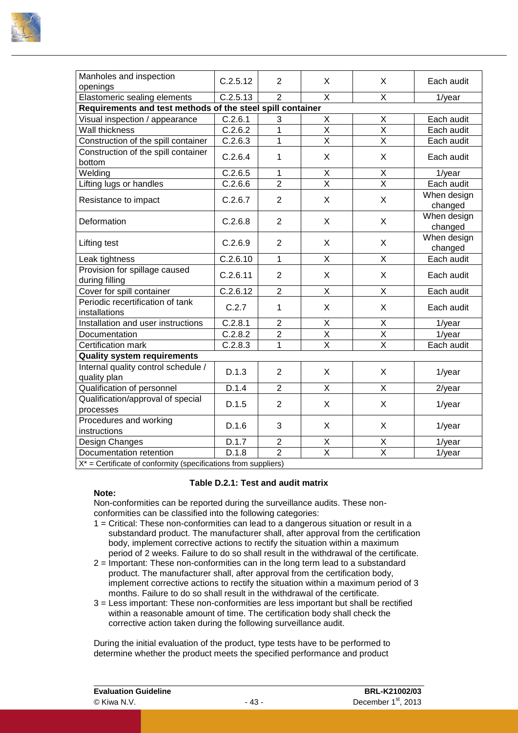

| Manholes and inspection<br>openings                               | C.2.5.12             | $\overline{2}$ | X                       | X                       | Each audit             |
|-------------------------------------------------------------------|----------------------|----------------|-------------------------|-------------------------|------------------------|
| Elastomeric sealing elements                                      | C.2.5.13             | $\overline{2}$ | X                       | X                       | $1$ /year              |
| Requirements and test methods of the steel spill container        |                      |                |                         |                         |                        |
| Visual inspection / appearance                                    | C.2.6.1              | 3              | X                       | Χ                       | Each audit             |
| Wall thickness                                                    | C.2.6.2              | 1              | $\overline{\mathsf{x}}$ | $\overline{X}$          | Each audit             |
| Construction of the spill container                               | C.2.6.3              | $\mathbf{1}$   | $\overline{X}$          | X                       | Each audit             |
| Construction of the spill container<br>bottom                     | C.2.6.4              | 1              | X                       | X                       | Each audit             |
| Welding                                                           | C.2.6.5              | $\mathbf{1}$   | X                       | X                       | $1$ /year              |
| Lifting lugs or handles                                           | C.2.6.6              | $\overline{2}$ | $\overline{\mathsf{x}}$ | X                       | Each audit             |
| Resistance to impact                                              | C.2.6.7              | 2              | X                       | $\mathsf{X}$            | When design<br>changed |
| Deformation                                                       | C.2.6.8              | $\overline{2}$ | X                       | X                       | When design<br>changed |
| Lifting test                                                      | C.2.6.9              | 2              | X                       | X                       | When design<br>changed |
| Leak tightness                                                    | C.2.6.10             | $\mathbf{1}$   | X                       | X                       | Each audit             |
| Provision for spillage caused<br>during filling                   | C.2.6.11             | 2              | X                       | X                       | Each audit             |
| Cover for spill container                                         | C.2.6.12             | $\overline{2}$ | X                       | X                       | Each audit             |
| Periodic recertification of tank<br>installations                 | C.2.7                | $\mathbf{1}$   | X                       | X                       | Each audit             |
| Installation and user instructions                                | C.2.8.1              | $\overline{2}$ | Χ                       | X                       | $1$ /year              |
| Documentation                                                     | C.2.8.2              | $\overline{2}$ | X                       | X                       | $1$ /year              |
| Certification mark                                                | $\overline{C.2.8.3}$ | 1              | $\overline{\mathsf{x}}$ | $\overline{X}$          | Each audit             |
| <b>Quality system requirements</b>                                |                      |                |                         |                         |                        |
| Internal quality control schedule /<br>quality plan               | D.1.3                | $\overline{2}$ | X                       | X                       | 1/year                 |
| Qualification of personnel                                        | D.1.4                | $\overline{2}$ | X                       | X                       | $2$ /year              |
| Qualification/approval of special<br>processes                    | D.1.5                | $\overline{2}$ | X                       | X                       | 1/year                 |
| Procedures and working<br>instructions                            | D.1.6                | 3              | X                       | X                       | $1$ /year              |
| Design Changes                                                    | D.1.7                | $\overline{2}$ |                         | X                       | $1$ /year              |
| Documentation retention                                           | D.1.8                | $\overline{2}$ | $\frac{X}{X}$           | $\overline{\mathsf{x}}$ | $1$ /year              |
| $X^*$ = Certificate of conformity (specifications from suppliers) |                      |                |                         |                         |                        |

#### **Table D.2.1: Test and audit matrix**

#### **Note:**

Non-conformities can be reported during the surveillance audits. These nonconformities can be classified into the following categories:

- 1 = Critical: These non-conformities can lead to a dangerous situation or result in a substandard product. The manufacturer shall, after approval from the certification body, implement corrective actions to rectify the situation within a maximum period of 2 weeks. Failure to do so shall result in the withdrawal of the certificate.
- 2 = Important: These non-conformities can in the long term lead to a substandard product. The manufacturer shall, after approval from the certification body, implement corrective actions to rectify the situation within a maximum period of 3 months. Failure to do so shall result in the withdrawal of the certificate.
- 3 = Less important: These non-conformities are less important but shall be rectified within a reasonable amount of time. The certification body shall check the corrective action taken during the following surveillance audit.

During the initial evaluation of the product, type tests have to be performed to determine whether the product meets the specified performance and product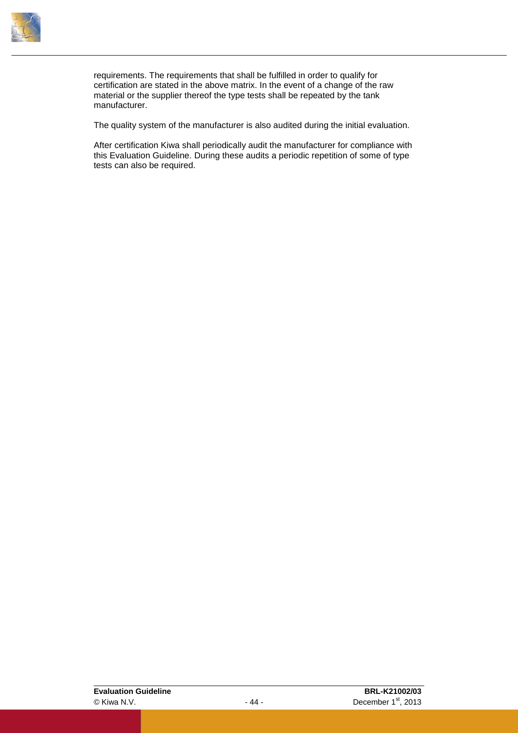

requirements. The requirements that shall be fulfilled in order to qualify for certification are stated in the above matrix. In the event of a change of the raw material or the supplier thereof the type tests shall be repeated by the tank manufacturer.

The quality system of the manufacturer is also audited during the initial evaluation.

After certification Kiwa shall periodically audit the manufacturer for compliance with this Evaluation Guideline. During these audits a periodic repetition of some of type tests can also be required.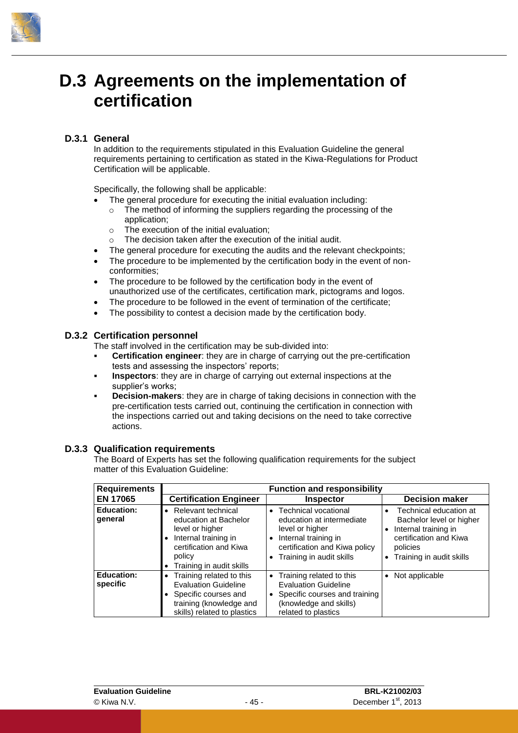

### <span id="page-48-0"></span>**D.3 Agreements on the implementation of certification**

#### **D.3.1 General**

<span id="page-48-1"></span>In addition to the requirements stipulated in this Evaluation Guideline the general requirements pertaining to certification as stated in the Kiwa-Regulations for Product Certification will be applicable.

Specifically, the following shall be applicable:

- The general procedure for executing the initial evaluation including:
	- o The method of informing the suppliers regarding the processing of the application;
	- o The execution of the initial evaluation;
- $\circ$  The decision taken after the execution of the initial audit.
- The general procedure for executing the audits and the relevant checkpoints;
- The procedure to be implemented by the certification body in the event of nonconformities;
- The procedure to be followed by the certification body in the event of unauthorized use of the certificates, certification mark, pictograms and logos.
- The procedure to be followed in the event of termination of the certificate;
- <span id="page-48-2"></span>The possibility to contest a decision made by the certification body.

#### **D.3.2 Certification personnel**

The staff involved in the certification may be sub-divided into:

- **Certification engineer**: they are in charge of carrying out the pre-certification tests and assessing the inspectors' reports;
- **Inspectors**: they are in charge of carrying out external inspections at the supplier's works;
- **Decision-makers**: they are in charge of taking decisions in connection with the pre-certification tests carried out, continuing the certification in connection with the inspections carried out and taking decisions on the need to take corrective actions.

#### **D.3.3 Qualification requirements**

<span id="page-48-3"></span>The Board of Experts has set the following qualification requirements for the subject matter of this Evaluation Guideline:

| <b>Requirements</b>           |                                                                                                                                                                     | <b>Function and responsibility</b>                                                                                                                                                                      |                                                                                                                                                           |
|-------------------------------|---------------------------------------------------------------------------------------------------------------------------------------------------------------------|---------------------------------------------------------------------------------------------------------------------------------------------------------------------------------------------------------|-----------------------------------------------------------------------------------------------------------------------------------------------------------|
| <b>EN 17065</b>               | <b>Certification Engineer</b>                                                                                                                                       | <b>Inspector</b>                                                                                                                                                                                        | <b>Decision maker</b>                                                                                                                                     |
| <b>Education:</b><br>qeneral  | Relevant technical<br>$\bullet$<br>education at Bachelor<br>level or higher<br>Internal training in<br>certification and Kiwa<br>policy<br>Training in audit skills | <b>Technical vocational</b><br>$\bullet$<br>education at intermediate<br>level or higher<br>Internal training in<br>$\bullet$<br>certification and Kiwa policy<br>Training in audit skills<br>$\bullet$ | Technical education at<br>$\bullet$<br>Bachelor level or higher<br>Internal training in<br>certification and Kiwa<br>policies<br>Training in audit skills |
| <b>Education:</b><br>specific | Training related to this<br>$\bullet$<br><b>Evaluation Guideline</b><br>Specific courses and<br>training (knowledge and<br>skills) related to plastics              | Training related to this<br>$\bullet$<br><b>Evaluation Guideline</b><br>Specific courses and training<br>$\bullet$<br>(knowledge and skills)<br>related to plastics                                     | Not applicable<br>$\bullet$                                                                                                                               |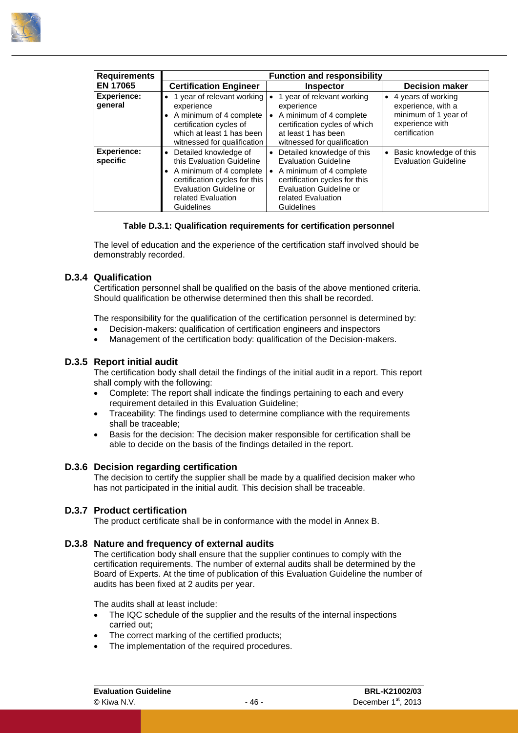

| <b>Requirements</b>            |                                                                                                                                                                                                     | <b>Function and responsibility</b>                                                                                                                                                                |                                                                                                                   |
|--------------------------------|-----------------------------------------------------------------------------------------------------------------------------------------------------------------------------------------------------|---------------------------------------------------------------------------------------------------------------------------------------------------------------------------------------------------|-------------------------------------------------------------------------------------------------------------------|
| <b>EN 17065</b>                | <b>Certification Engineer</b>                                                                                                                                                                       | <b>Inspector</b>                                                                                                                                                                                  | <b>Decision maker</b>                                                                                             |
| <b>Experience:</b><br>qeneral  | • 1 year of relevant working<br>experience<br>• A minimum of 4 complete<br>certification cycles of<br>which at least 1 has been<br>witnessed for qualification                                      | 1 year of relevant working<br>experience<br>A minimum of 4 complete<br>$\bullet$<br>certification cycles of which<br>at least 1 has been<br>witnessed for qualification                           | 4 years of working<br>$\bullet$<br>experience, with a<br>minimum of 1 year of<br>experience with<br>certification |
| <b>Experience:</b><br>specific | Detailed knowledge of<br>$\bullet$<br>this Evaluation Guideline<br>• A minimum of 4 complete<br>certification cycles for this<br><b>Evaluation Guideline or</b><br>related Evaluation<br>Guidelines | Detailed knowledge of this<br>$\bullet$<br><b>Evaluation Guideline</b><br>A minimum of 4 complete<br>certification cycles for this<br>Evaluation Guideline or<br>related Evaluation<br>Guidelines | Basic knowledge of this<br><b>Evaluation Guideline</b>                                                            |

#### **Table D.3.1: Qualification requirements for certification personnel**

<span id="page-49-0"></span>The level of education and the experience of the certification staff involved should be demonstrably recorded.

#### **D.3.4 Qualification**

Certification personnel shall be qualified on the basis of the above mentioned criteria. Should qualification be otherwise determined then this shall be recorded.

The responsibility for the qualification of the certification personnel is determined by:

- Decision-makers: qualification of certification engineers and inspectors
- <span id="page-49-1"></span>Management of the certification body: qualification of the Decision-makers.

#### **D.3.5 Report initial audit**

The certification body shall detail the findings of the initial audit in a report. This report shall comply with the following:

- Complete: The report shall indicate the findings pertaining to each and every requirement detailed in this Evaluation Guideline;
- Traceability: The findings used to determine compliance with the requirements shall be traceable;
- <span id="page-49-2"></span> Basis for the decision: The decision maker responsible for certification shall be able to decide on the basis of the findings detailed in the report.

#### **D.3.6 Decision regarding certification**

<span id="page-49-3"></span>The decision to certify the supplier shall be made by a qualified decision maker who has not participated in the initial audit. This decision shall be traceable.

#### **D.3.7 Product certification**

<span id="page-49-4"></span>The product certificate shall be in conformance with the model in [Annex B.](#page-56-0)

#### **D.3.8 Nature and frequency of external audits**

The certification body shall ensure that the supplier continues to comply with the certification requirements. The number of external audits shall be determined by the Board of Experts. At the time of publication of this Evaluation Guideline the number of audits has been fixed at 2 audits per year.

The audits shall at least include:

- The IQC schedule of the supplier and the results of the internal inspections carried out;
- The correct marking of the certified products;
- The implementation of the required procedures.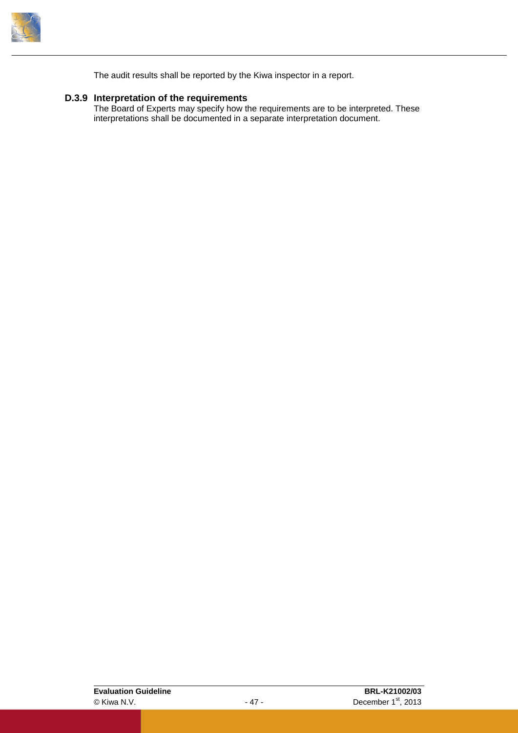

<span id="page-50-0"></span>The audit results shall be reported by the Kiwa inspector in a report.

#### **D.3.9 Interpretation of the requirements**

The Board of Experts may specify how the requirements are to be interpreted. These interpretations shall be documented in a separate interpretation document.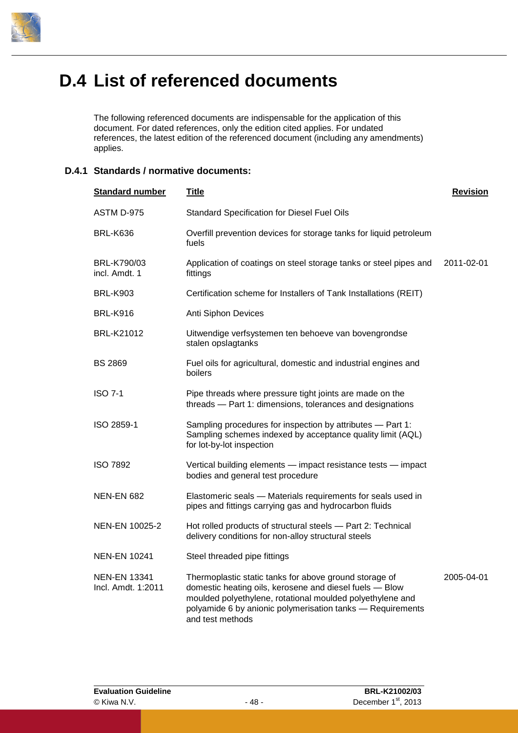

### <span id="page-51-0"></span>**D.4 List of referenced documents**

The following referenced documents are indispensable for the application of this document. For dated references, only the edition cited applies. For undated references, the latest edition of the referenced document (including any amendments) applies.

#### <span id="page-51-1"></span>**D.4.1 Standards / normative documents:**

| <b>Standard number</b>                    | <u>Title</u>                                                                                                                                                                                                                                                     | <b>Revision</b> |
|-------------------------------------------|------------------------------------------------------------------------------------------------------------------------------------------------------------------------------------------------------------------------------------------------------------------|-----------------|
| ASTM D-975                                | <b>Standard Specification for Diesel Fuel Oils</b>                                                                                                                                                                                                               |                 |
| <b>BRL-K636</b>                           | Overfill prevention devices for storage tanks for liquid petroleum<br>fuels                                                                                                                                                                                      |                 |
| BRL-K790/03<br>incl. Amdt. 1              | Application of coatings on steel storage tanks or steel pipes and<br>fittings                                                                                                                                                                                    | 2011-02-01      |
| <b>BRL-K903</b>                           | Certification scheme for Installers of Tank Installations (REIT)                                                                                                                                                                                                 |                 |
| <b>BRL-K916</b>                           | Anti Siphon Devices                                                                                                                                                                                                                                              |                 |
| BRL-K21012                                | Uitwendige verfsystemen ten behoeve van bovengrondse<br>stalen opslagtanks                                                                                                                                                                                       |                 |
| <b>BS 2869</b>                            | Fuel oils for agricultural, domestic and industrial engines and<br>boilers                                                                                                                                                                                       |                 |
| <b>ISO 7-1</b>                            | Pipe threads where pressure tight joints are made on the<br>threads - Part 1: dimensions, tolerances and designations                                                                                                                                            |                 |
| ISO 2859-1                                | Sampling procedures for inspection by attributes - Part 1:<br>Sampling schemes indexed by acceptance quality limit (AQL)<br>for lot-by-lot inspection                                                                                                            |                 |
| <b>ISO 7892</b>                           | Vertical building elements - impact resistance tests - impact<br>bodies and general test procedure                                                                                                                                                               |                 |
| <b>NEN-EN 682</b>                         | Elastomeric seals - Materials requirements for seals used in<br>pipes and fittings carrying gas and hydrocarbon fluids                                                                                                                                           |                 |
| NEN-EN 10025-2                            | Hot rolled products of structural steels - Part 2: Technical<br>delivery conditions for non-alloy structural steels                                                                                                                                              |                 |
| <b>NEN-EN 10241</b>                       | Steel threaded pipe fittings                                                                                                                                                                                                                                     |                 |
| <b>NEN-EN 13341</b><br>Incl. Amdt. 1:2011 | Thermoplastic static tanks for above ground storage of<br>domestic heating oils, kerosene and diesel fuels - Blow<br>moulded polyethylene, rotational moulded polyethylene and<br>polyamide 6 by anionic polymerisation tanks - Requirements<br>and test methods | 2005-04-01      |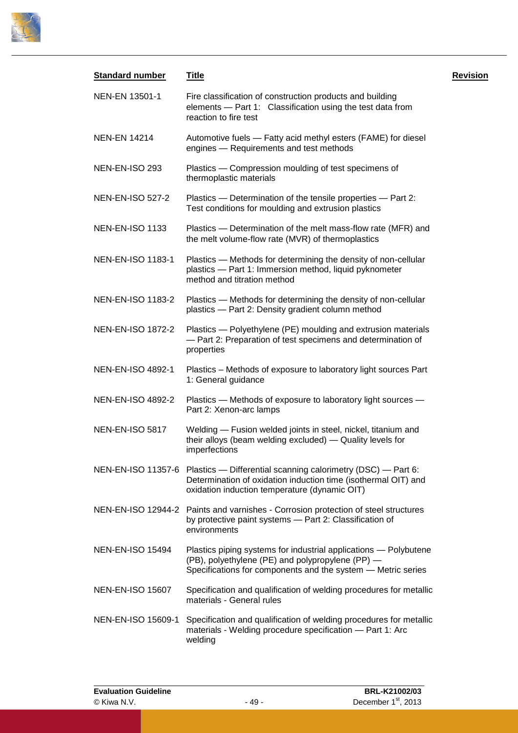

| <b>Standard number</b>   | <b>Title</b>                                                                                                                                                                                       | <b>Revision</b> |
|--------------------------|----------------------------------------------------------------------------------------------------------------------------------------------------------------------------------------------------|-----------------|
| NEN-EN 13501-1           | Fire classification of construction products and building<br>elements - Part 1: Classification using the test data from<br>reaction to fire test                                                   |                 |
| <b>NEN-EN 14214</b>      | Automotive fuels - Fatty acid methyl esters (FAME) for diesel<br>engines - Requirements and test methods                                                                                           |                 |
| NEN-EN-ISO 293           | Plastics - Compression moulding of test specimens of<br>thermoplastic materials                                                                                                                    |                 |
| <b>NEN-EN-ISO 527-2</b>  | Plastics - Determination of the tensile properties - Part 2:<br>Test conditions for moulding and extrusion plastics                                                                                |                 |
| <b>NEN-EN-ISO 1133</b>   | Plastics - Determination of the melt mass-flow rate (MFR) and<br>the melt volume-flow rate (MVR) of thermoplastics                                                                                 |                 |
| <b>NEN-EN-ISO 1183-1</b> | Plastics - Methods for determining the density of non-cellular<br>plastics - Part 1: Immersion method, liquid pyknometer<br>method and titration method                                            |                 |
| <b>NEN-EN-ISO 1183-2</b> | Plastics - Methods for determining the density of non-cellular<br>plastics - Part 2: Density gradient column method                                                                                |                 |
| <b>NEN-EN-ISO 1872-2</b> | Plastics - Polyethylene (PE) moulding and extrusion materials<br>- Part 2: Preparation of test specimens and determination of<br>properties                                                        |                 |
| NEN-EN-ISO 4892-1        | Plastics - Methods of exposure to laboratory light sources Part<br>1: General guidance                                                                                                             |                 |
| <b>NEN-EN-ISO 4892-2</b> | Plastics - Methods of exposure to laboratory light sources -<br>Part 2: Xenon-arc lamps                                                                                                            |                 |
| <b>NEN-EN-ISO 5817</b>   | Welding - Fusion welded joints in steel, nickel, titanium and<br>their alloys (beam welding excluded) — Quality levels for<br>imperfections                                                        |                 |
|                          | NEN-EN-ISO 11357-6 Plastics — Differential scanning calorimetry (DSC) — Part 6:<br>Determination of oxidation induction time (isothermal OIT) and<br>oxidation induction temperature (dynamic OIT) |                 |
|                          | NEN-EN-ISO 12944-2 Paints and varnishes - Corrosion protection of steel structures<br>by protective paint systems - Part 2: Classification of<br>environments                                      |                 |
| <b>NEN-EN-ISO 15494</b>  | Plastics piping systems for industrial applications - Polybutene<br>(PB), polyethylene (PE) and polypropylene (PP) -<br>Specifications for components and the system - Metric series               |                 |
| <b>NEN-EN-ISO 15607</b>  | Specification and qualification of welding procedures for metallic<br>materials - General rules                                                                                                    |                 |
| NEN-EN-ISO 15609-1       | Specification and qualification of welding procedures for metallic<br>materials - Welding procedure specification - Part 1: Arc<br>welding                                                         |                 |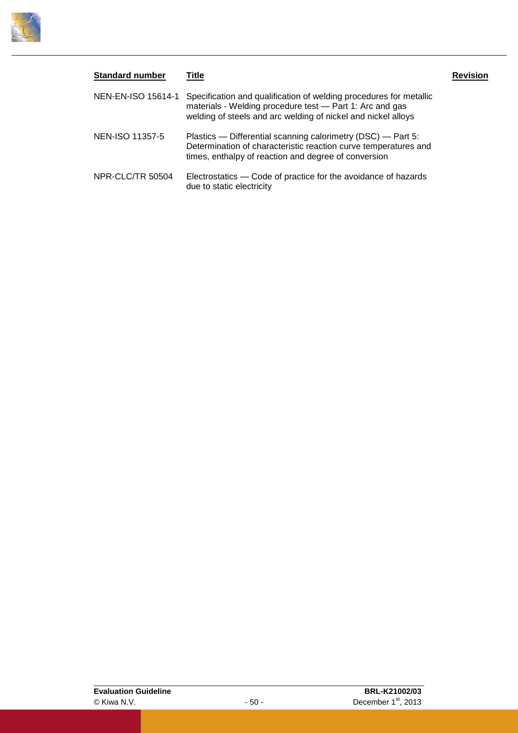

| <b>Standard number</b> | Title                                                                                                                                                                                           | <b>Revision</b> |
|------------------------|-------------------------------------------------------------------------------------------------------------------------------------------------------------------------------------------------|-----------------|
| NEN-EN-ISO 15614-1     | Specification and qualification of welding procedures for metallic<br>materials - Welding procedure test - Part 1: Arc and gas<br>welding of steels and arc welding of nickel and nickel alloys |                 |
| NEN-ISO 11357-5        | Plastics — Differential scanning calorimetry (DSC) — Part 5:<br>Determination of characteristic reaction curve temperatures and<br>times, enthalpy of reaction and degree of conversion         |                 |
| NPR-CLC/TR 50504       | Electrostatics — Code of practice for the avoidance of hazards<br>due to static electricity                                                                                                     |                 |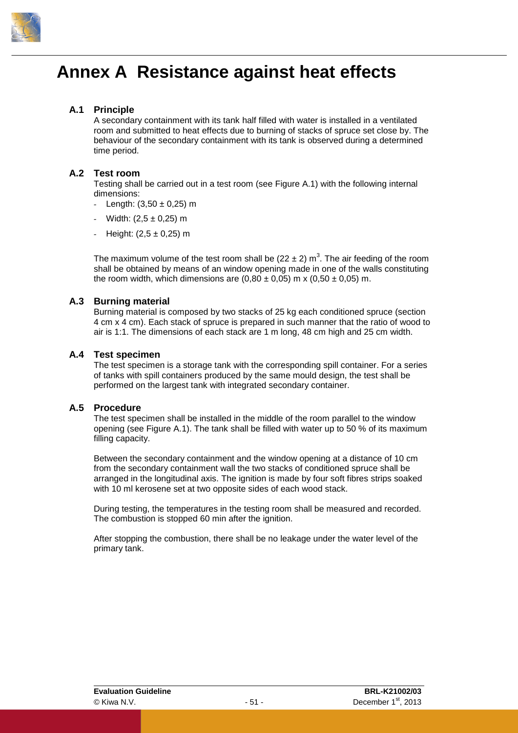

### <span id="page-54-0"></span>**Annex A Resistance against heat effects**

#### **A.1 Principle**

A secondary containment with its tank half filled with water is installed in a ventilated room and submitted to heat effects due to burning of stacks of spruce set close by. The behaviour of the secondary containment with its tank is observed during a determined time period.

#### **A.2 Test room**

Testing shall be carried out in a test room (see [Figure A.1\)](#page-55-0) with the following internal dimensions:

- Length:  $(3,50 \pm 0,25)$  m
- Width:  $(2,5 \pm 0,25)$  m
- Height:  $(2,5 \pm 0,25)$  m

The maximum volume of the test room shall be (22  $\pm$  2) m<sup>3</sup>. The air feeding of the room shall be obtained by means of an window opening made in one of the walls constituting the room width, which dimensions are  $(0.80 \pm 0.05)$  m x  $(0.50 \pm 0.05)$  m.

#### **A.3 Burning material**

Burning material is composed by two stacks of 25 kg each conditioned spruce (section 4 cm x 4 cm). Each stack of spruce is prepared in such manner that the ratio of wood to air is 1:1. The dimensions of each stack are 1 m long, 48 cm high and 25 cm width.

#### **A.4 Test specimen**

The test specimen is a storage tank with the corresponding spill container. For a series of tanks with spill containers produced by the same mould design, the test shall be performed on the largest tank with integrated secondary container.

#### **A.5 Procedure**

The test specimen shall be installed in the middle of the room parallel to the window opening (see [Figure A.1\)](#page-55-0). The tank shall be filled with water up to 50 % of its maximum filling capacity.

Between the secondary containment and the window opening at a distance of 10 cm from the secondary containment wall the two stacks of conditioned spruce shall be arranged in the longitudinal axis. The ignition is made by four soft fibres strips soaked with 10 ml kerosene set at two opposite sides of each wood stack.

During testing, the temperatures in the testing room shall be measured and recorded. The combustion is stopped 60 min after the ignition.

After stopping the combustion, there shall be no leakage under the water level of the primary tank.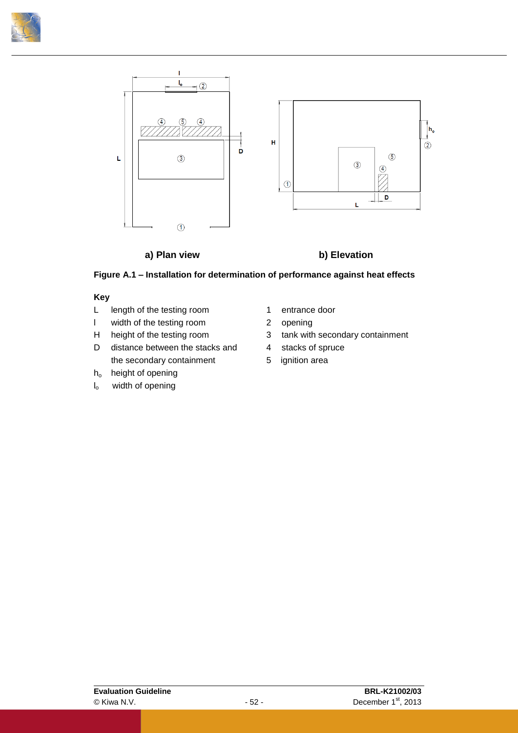



#### **a) Plan view b) Elevation**

<span id="page-55-0"></span>

#### **Key**

- L length of the testing room 1 entrance door
- l width of the testing room 2 opening
- 
- D distance between the stacks and 4 stacks of spruce the secondary containment 5 ignition area
- h<sub>o</sub> height of opening
- $I_0$  width of opening
- 
- 
- H height of the testing room 3 tank with secondary containment
	-
	-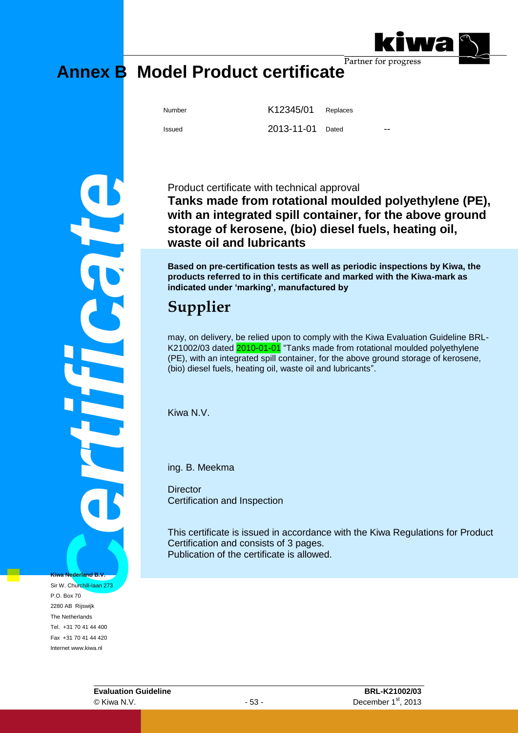

# <span id="page-56-0"></span>**Annex B Model Product certificate**

Number K12345/01 Replaces Issued 2013-11-01 Dated

**Certificate R.V.**<br>Broad S.V.<br>Certificate R.V.<br>Certificate R.V.<br>Certificate R.V.<br>Experiment R.V.<br>Experiment R.V.<br>Experiment R.V.<br>Experiment R.V.<br>Experiment R.V.<br>Experiment R.V.<br>Experiment R.V.<br>Experiment R.V.<br>Experiment R. **Kiwa Nederland B.V.** Sir W. Churchill-laan 273

P.O. Box 70 2280 AB Rijswijk The Netherlands Tel. +31 70 41 44 400 Fax +31 70 41 44 420 Internet www.kiwa.nl

Product certificate with technical approval **Tanks made from rotational moulded polyethylene (PE), with an integrated spill container, for the above ground storage of kerosene, (bio) diesel fuels, heating oil, waste oil and lubricants**

**Based on pre-certification tests as well as periodic inspections by Kiwa, the products referred to in this certificate and marked with the Kiwa-mark as indicated under 'marking', manufactured by**

### **Supplier**

may, on delivery, be relied upon to comply with the Kiwa Evaluation Guideline BRL-K21002/03 dated 2010-01-01 "Tanks made from rotational moulded polyethylene (PE), with an integrated spill container, for the above ground storage of kerosene, (bio) diesel fuels, heating oil, waste oil and lubricants".

Kiwa N.V.

ing. B. Meekma

**Director** Certification and Inspection

This certificate is issued in accordance with the Kiwa Regulations for Product Certification and consists of 3 pages. Publication of the certificate is allowed.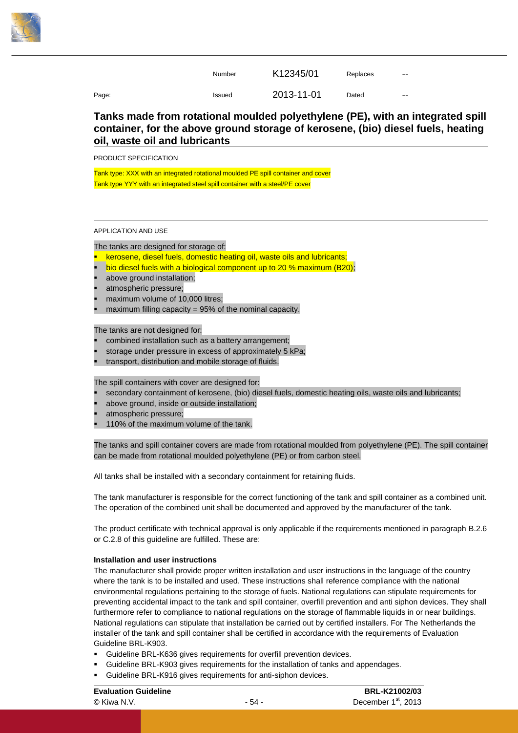

|       | Number | K12345/01  | Replaces | --            |
|-------|--------|------------|----------|---------------|
| Page: | Issued | 2013-11-01 | Dated    | $\sim$ $\sim$ |

#### **Tanks made from rotational moulded polyethylene (PE), with an integrated spill container, for the above ground storage of kerosene, (bio) diesel fuels, heating oil, waste oil and lubricants**

PRODUCT SPECIFICATION

Tank type: XXX with an integrated rotational moulded PE spill container and cover Tank type YYY with an integrated steel spill container with a steel/PE cover

APPLICATION AND USE

The tanks are designed for storage of:

- kerosene, diesel fuels, domestic heating oil, waste oils and lubricants;
- bio diesel fuels with a biological component up to 20 % maximum (B20);
- above ground installation;
- atmospheric pressure;
- maximum volume of 10,000 litres;
- maximum filling capacity = 95% of the nominal capacity.

The tanks are not designed for:

- combined installation such as a battery arrangement;
- storage under pressure in excess of approximately 5 kPa;
- transport, distribution and mobile storage of fluids.

The spill containers with cover are designed for:

- secondary containment of kerosene, (bio) diesel fuels, domestic heating oils, waste oils and lubricants;
- above ground, inside or outside installation;
- atmospheric pressure;
- 110% of the maximum volume of the tank.

The tanks and spill container covers are made from rotational moulded from polyethylene (PE). The spill container can be made from rotational moulded polyethylene (PE) or from carbon steel.

All tanks shall be installed with a secondary containment for retaining fluids.

The tank manufacturer is responsible for the correct functioning of the tank and spill container as a combined unit. The operation of the combined unit shall be documented and approved by the manufacturer of the tank.

The product certificate with technical approval is only applicable if the requirements mentioned in paragraph [B.2.6](#page-28-0) or [C.2.8](#page-40-1) of this guideline are fulfilled. These are:

#### **Installation and user instructions**

The manufacturer shall provide proper written installation and user instructions in the language of the country where the tank is to be installed and used. These instructions shall reference compliance with the national environmental regulations pertaining to the storage of fuels. National regulations can stipulate requirements for preventing accidental impact to the tank and spill container, overfill prevention and anti siphon devices. They shall furthermore refer to compliance to national regulations on the storage of flammable liquids in or near buildings. National regulations can stipulate that installation be carried out by certified installers. For The Netherlands the installer of the tank and spill container shall be certified in accordance with the requirements of Evaluation Guideline BRL-K903.

- Guideline BRL-K636 gives requirements for overfill prevention devices.
- Guideline BRL-K903 gives requirements for the installation of tanks and appendages.
- Guideline BRL-K916 gives requirements for anti-siphon devices.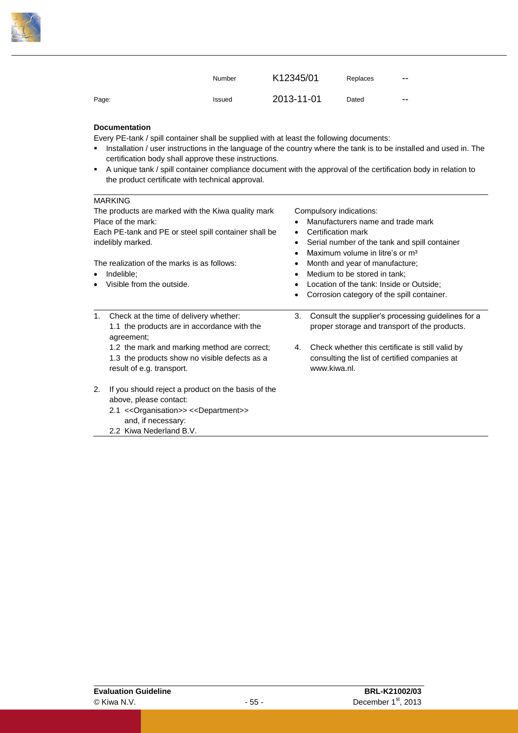

|       | Number | K12345/01  | Replaces | $- -$ |
|-------|--------|------------|----------|-------|
| Page: | Issued | 2013-11-01 | Dated    | $- -$ |

#### **Documentation**

Every PE-tank / spill container shall be supplied with at least the following documents:

- **Installation / user instructions in the language of the country where the tank is to be installed and used in. The** certification body shall approve these instructions.
- A unique tank / spill container compliance document with the approval of the certification body in relation to the product certificate with technical approval.

#### **MARKING**

| The products are marked with the Kiwa quality mark<br>Place of the mark:<br>Each PE-tank and PE or steel spill container shall be<br>indelibly marked.<br>The realization of the marks is as follows:<br>Indelible:<br>٠<br>Visible from the outside.<br>$\bullet$ | Compulsory indications:<br>Manufacturers name and trade mark<br>Certification mark<br>٠<br>Serial number of the tank and spill container<br>Maximum volume in litre's or m <sup>3</sup><br>$\bullet$<br>Month and year of manufacture;<br>٠<br>Medium to be stored in tank;<br>$\bullet$<br>Location of the tank: Inside or Outside;<br>$\bullet$<br>Corrosion category of the spill container.<br>٠ |
|--------------------------------------------------------------------------------------------------------------------------------------------------------------------------------------------------------------------------------------------------------------------|------------------------------------------------------------------------------------------------------------------------------------------------------------------------------------------------------------------------------------------------------------------------------------------------------------------------------------------------------------------------------------------------------|
| Check at the time of delivery whether:<br>1.<br>1.1 the products are in accordance with the<br>agreement;<br>1.2 the mark and marking method are correct;<br>1.3 the products show no visible defects as a<br>result of e.g. transport.                            | Consult the supplier's processing guidelines for a<br>3.<br>proper storage and transport of the products.<br>Check whether this certificate is still valid by<br>4.<br>consulting the list of certified companies at<br>www.kiwa.nl.                                                                                                                                                                 |
| 2.<br>If you should reject a product on the basis of the<br>above, please contact:<br>2.1 << Organisation >> << Department >><br>and, if necessary:<br>2.2 Kiwa Nederland B.V.                                                                                     |                                                                                                                                                                                                                                                                                                                                                                                                      |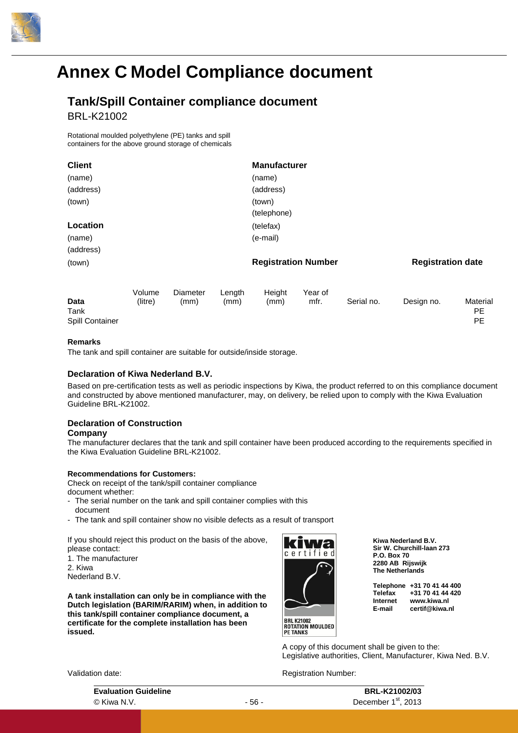

### <span id="page-59-0"></span>**Annex C Model Compliance document**

### **Tank/Spill Container compliance document**

BRL-K21002

Rotational moulded polyethylene (PE) tanks and spill containers for the above ground storage of chemicals

| <b>Client</b>                          |         |                 |        | <b>Manufacturer</b>        |         |            |                          |                       |
|----------------------------------------|---------|-----------------|--------|----------------------------|---------|------------|--------------------------|-----------------------|
| (name)                                 |         |                 |        | (name)                     |         |            |                          |                       |
| (address)                              |         |                 |        | (address)                  |         |            |                          |                       |
| (town)                                 |         |                 |        | (town)                     |         |            |                          |                       |
|                                        |         |                 |        | (telephone)                |         |            |                          |                       |
| Location                               |         |                 |        | (telefax)                  |         |            |                          |                       |
| (name)                                 |         |                 |        | (e-mail)                   |         |            |                          |                       |
| (address)                              |         |                 |        |                            |         |            |                          |                       |
| (town)                                 |         |                 |        | <b>Registration Number</b> |         |            | <b>Registration date</b> |                       |
|                                        | Volume  | <b>Diameter</b> | Length | Height                     | Year of |            |                          |                       |
| <b>Data</b><br>Tank<br>Spill Container | (litre) | (mm)            | (mm)   | (mm)                       | mfr.    | Serial no. | Design no.               | Materia<br>PE.<br>PE. |

#### **Remarks**

The tank and spill container are suitable for outside/inside storage.

#### **Declaration of Kiwa Nederland B.V.**

Based on pre-certification tests as well as periodic inspections by Kiwa, the product referred to on this compliance document and constructed by above mentioned manufacturer, may, on delivery, be relied upon to comply with the Kiwa Evaluation Guideline BRL-K21002.

#### **Declaration of Construction Company**

The manufacturer declares that the tank and spill container have been produced according to the requirements specified in the Kiwa Evaluation Guideline BRL-K21002.

#### **Recommendations for Customers:**

Check on receipt of the tank/spill container compliance

document whether:

- The serial number on the tank and spill container complies with this document
- The tank and spill container show no visible defects as a result of transport

If you should reject this product on the basis of the above, please contact:

1. The manufacturer 2. Kiwa

Nederland B.V.

**A tank installation can only be in compliance with the Dutch legislation (BARIM/RARIM) when, in addition to this tank/spill container compliance document, a certificate for the complete installation has been issued.**



**BRL K21002<br>ROTATION MOULDED<br>PE TANKS** 

**Kiwa Nederland B.V. Sir W. Churchill-laan 273 P.O. Box 70 2280 AB Rijswijk The Netherlands**

**Telephone +31 70 41 44 400 Telefax +31 70 41 44 420 Internet www.kiwa.nl E-mail certif@kiwa.nl**

A copy of this document shall be given to the: Legislative authorities, Client, Manufacturer, Kiwa Ned. B.V.

Registration Number:

| √alidation date: |
|------------------|
|------------------|

| <b>Evaluation Guideline</b> | <b>BRL-K21002/03</b> |                                 |
|-----------------------------|----------------------|---------------------------------|
| © Kiwa N.V.                 | - 56 -               | December 1 <sup>st</sup> , 2013 |